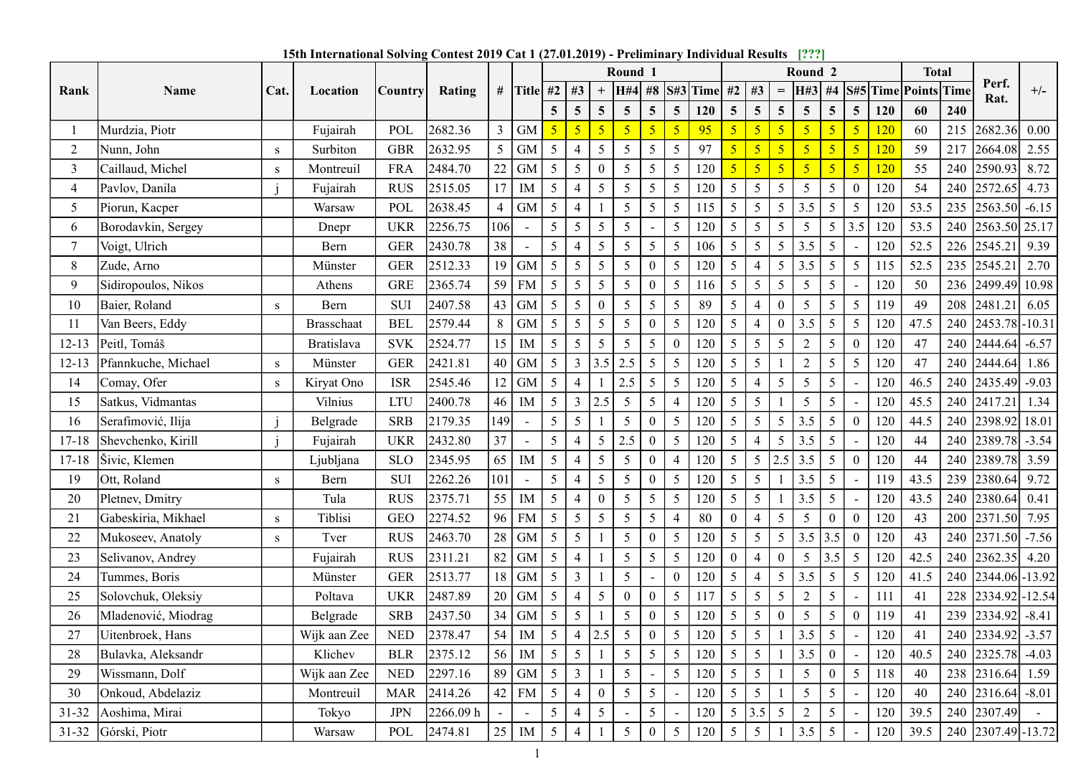15th International Solving Contest 2019 Cat 1 (27.01.2019) - Preliminary Individual Results [???]

| Rank<br>2      | Name                |              |              |                |                                                                                                   |                 |                          |                 |                |                          |                   |                         |                          |            |                          |                 |                   |                           |                                   |                |            |                                      |     |                                                      |                |
|----------------|---------------------|--------------|--------------|----------------|---------------------------------------------------------------------------------------------------|-----------------|--------------------------|-----------------|----------------|--------------------------|-------------------|-------------------------|--------------------------|------------|--------------------------|-----------------|-------------------|---------------------------|-----------------------------------|----------------|------------|--------------------------------------|-----|------------------------------------------------------|----------------|
|                |                     |              |              |                | 15th International Solving Contest 2019 Cat 1 (27.01.2019) - Preliminary Individual Results [???] |                 |                          |                 |                |                          |                   |                         |                          |            |                          |                 |                   |                           |                                   |                |            |                                      |     |                                                      |                |
|                |                     | Cat.         |              | <b>Country</b> | Rating                                                                                            | # Title #2   #3 |                          |                 |                |                          | Round 1           | $H#4$ #8 S#3 Time #2 #3 |                          |            |                          |                 | $=$               | Round <sub>2</sub><br>H#3 | #4                                |                |            | <b>Total</b><br>S#5 Time Points Time |     | Perf.                                                | $+/-$          |
|                |                     |              | Location     |                |                                                                                                   |                 |                          | 5 <sup>5</sup>  | $\overline{5}$ | $5^{\circ}$              | $\overline{5}$    | $\overline{5}$          | 5 <sup>5</sup>           | <b>120</b> | 5 <sup>5</sup>           | $\overline{5}$  | 5 <sup>5</sup>    | $5\overline{)}$           | $5\overline{)}$<br>$\overline{5}$ |                | <b>120</b> | 60                                   | 240 | Rat.                                                 |                |
|                | Murdzia, Piotr      |              | Fujairah     | POL            | 2682.36                                                                                           | $\mathfrak{Z}$  | $\mbox{GM}$              |                 |                |                          | 5 <sub>o</sub>    |                         | 5 <sup>1</sup>           | 95         | 5                        |                 |                   | 5 <sup>5</sup>            |                                   | 5 <sup>1</sup> | <b>120</b> | 60                                   | 215 | 2682.36 0.00                                         |                |
|                | Nunn, John          | S            | Surbiton     | <b>GBR</b>     | 2632.95                                                                                           | 5 <sup>5</sup>  | <b>GM</b>                | 5               |                | 5                        | $5\overline{)}$   | 5                       | $5\overline{)}$          | 97         | $\overline{\mathcal{L}}$ |                 |                   | 5 <sup>1</sup>            |                                   | 5 <sup>1</sup> | <b>120</b> | 59                                   |     | 217 2664.08 2.55                                     |                |
| 3              | Caillaud, Michel    | S            | Montreuil    | <b>FRA</b>     | 2484.70                                                                                           | 22 GM           |                          | 5 <sup>5</sup>  | 5              |                          | 5                 | $\overline{5}$          | 5 <sup>5</sup>           | 120        | 5 <sup>5</sup>           |                 |                   | 5 <sup>5</sup>            | $\sqrt{5}$                        | 5 <sub>1</sub> | <b>120</b> | 55                                   |     | 240 2590.93                                          | 8.72           |
| $\overline{4}$ | Pavlov, Danila      |              | Fujairah     | <b>RUS</b>     | 2515.05                                                                                           | 17              | IM                       | 5               |                | $\overline{\mathcal{L}}$ | -5                | -5                      | $\overline{\mathcal{L}}$ | 120        | 5                        | 5               | 5                 | $5\overline{)}$           | 5                                 |                | 120        | 54                                   | 240 | $\left  2572.65 \right $ 4.73                        |                |
| 5              | Piorun, Kacper      |              | Warsaw       | POL            | 2638.45                                                                                           | $\overline{4}$  | <b>GM</b>                | 5               | $\overline{4}$ |                          | 5                 | $\overline{5}$          | 5                        | 115        | 5 <sup>5</sup>           | 5 <sup>5</sup>  | 5 <sup>5</sup>    | 3.5                       | $5\overline{)}$<br>5 <sup>5</sup> |                | 120        | 53.5                                 |     | $235$  2563.50  -6.15                                |                |
| 6              | Borodavkin, Sergey  |              | Dnepr        | UKR            | 2256.75                                                                                           | 106             | $\sim$                   | 5               | 5              | 5                        | 5                 |                         | 5                        | 120        | 5 <sup>5</sup>           | $5\overline{)}$ | 5 <sup>5</sup>    | 5 <sup>5</sup>            | 3.5<br>5 <sup>5</sup>             |                | 120        | 53.5                                 |     | 240 2563.50 25.17                                    |                |
|                | Voigt, Ulrich       |              | Bern         | <b>GER</b>     | 2430.78                                                                                           | 38              | $\overline{\phantom{a}}$ | 5               |                | 5                        | 5 <sup>5</sup>    | $\overline{5}$          | 5 <sup>5</sup>           | 106        | 5 <sup>5</sup>           | 5 <sup>5</sup>  | 5 <sup>5</sup>    | 3.5                       | 5                                 |                | 120        | 52.5                                 |     | 226 2545.21                                          | 9.39           |
| 8              | Zude, Arno          |              | Münster      | <b>GER</b>     | 2512.33                                                                                           | $19$ GM         |                          | 5               | 5              | 5                        | 5                 |                         | 5                        | 120        | 5 <sup>5</sup>           | $\overline{4}$  | 5                 | 3.5                       | 5<br>$5\overline{)}$              |                | 115        | 52.5                                 |     | 235 2545.21                                          | $\boxed{2.70}$ |
| 9              | Sidiropoulos, Nikos |              | Athens       | GRE            | 2365.74                                                                                           | 59 FM           |                          | 5               | 5              | 5                        | 5                 | $\Omega$                | 5 <sup>5</sup>           | 116        | 5 <sup>5</sup>           | $5\overline{)}$ | 5                 | $5\overline{)}$           | 5                                 |                | 120        | 50                                   |     | 236 2499.49 10.98                                    |                |
| 10             | Baier, Roland       | S            | Bern         | SUI            | 2407.58                                                                                           | 43 GM           |                          | $5\overline{)}$ | -5             |                          | 5                 | -5                      | 5                        | 89         | 5                        |                 | $\theta$          | $5\overline{)}$           | $\overline{5}$<br>$5\overline{)}$ |                | 119        | 49                                   | 208 | 2481.21                                              | 6.05           |
| 11             | Van Beers, Eddy     |              | Brasschaat   | BEL            | 2579.44                                                                                           | 8               | GM                       | 5 <sup>5</sup>  | $\mathfrak{S}$ | 5 <sup>5</sup>           | $5\overline{)}$   | $\boldsymbol{0}$        | 5 <sup>5</sup>           | 120        | 5 <sup>5</sup>           | 4               | $\overline{0}$    | 3.5                       | 5 <sup>5</sup><br>5 <sup>5</sup>  |                | 120        | 47.5                                 |     | 240 2453.78 - 10.31                                  |                |
| $12-13$        | Peitl, Tomáš        |              | Bratislava   | SVK            | 2524.77                                                                                           | $15$ M          |                          | 5 <sup>5</sup>  | 5              | 5 <sup>5</sup>           | 5 <sup>5</sup>    | $\overline{5}$          | $\mathbf{0}$             | 120        | 5 <sup>5</sup>           | 5 <sup>5</sup>  | $5\overline{)}$   | $\overline{2}$            | $\overline{5}$<br>$\overline{0}$  |                | 120        | 47                                   |     | 240 2444.64 -6.57                                    |                |
| $12 - 13$      | Pfannkuche, Michael | S            | Münster      | <b>GER</b>     | 2421.81                                                                                           | $40$ GM         |                          | 5 <sup>5</sup>  | $\mathbf{3}$   | $3.5 \mid 2.5$           |                   | $5\overline{)}$         | 5 <sup>5</sup>           | 120        | 5 <sup>5</sup>           | $5\overline{)}$ |                   | $\overline{2}$            | $5\overline{)}$<br>5              |                | 120        | 47                                   |     | 240 2444.64 1.86                                     |                |
| 14             | Comay, Ofer         | <sub>S</sub> | Kiryat Ono   | <b>ISR</b>     | 2545.46                                                                                           | $12$ GM         |                          | 5 <sup>5</sup>  | $\overline{4}$ |                          | 2.5               | $\overline{5}$          | 5 <sup>5</sup>           | 120        | 5 <sup>5</sup>           | $\overline{4}$  | 5 <sup>5</sup>    | 5 <sup>5</sup>            | $5\overline{)}$                   |                | 120        | 46.5                                 |     | 240 2435.49 -9.03                                    |                |
| 15             | Satkus, Vidmantas   |              | Vilnius      | <b>LTU</b>     | 2400.78                                                                                           | 46              | IM                       | 5 <sup>5</sup>  | $\mathfrak{Z}$ | 2.5                      | $5\overline{)}$   | $\overline{5}$          | $\overline{4}$           | 120        | 5 <sup>5</sup>           | $5\overline{)}$ |                   | 5 <sup>5</sup>            | 5                                 |                | 120        | 45.5                                 |     | 240 2417.21 1.34                                     |                |
| 16             | Serafimović, Ilija  |              | Belgrade     | <b>SRB</b>     | 2179.35                                                                                           | 149             | $\sim$                   | 5 <sup>5</sup>  | $\overline{5}$ |                          | 5 <sup>5</sup>    | $\mathbf{0}$            | 5 <sup>5</sup>           | 120        | 5 <sup>5</sup>           | 5 <sup>1</sup>  | $5 \mid 3.5 \mid$ |                           | 5 <sup>5</sup><br>$\overline{0}$  |                | 120        | 44.5                                 |     | 240 2398.92 18.01                                    |                |
| $17 - 18$      | Shevchenko, Kirill  |              | Fujairah     | <b>UKR</b>     | 2432.80                                                                                           | 37              | $\sim$                   | 5 <sup>5</sup>  |                | 5 <sup>5</sup>           | $\vert 2.5 \vert$ | $\theta$                | 5                        | 120        | 5 <sup>5</sup>           | $\overline{4}$  | 5 <sup>1</sup>    | 3.5                       | $5\overline{)}$<br>$\sim$         |                | 120        | 44                                   |     | 240 2389.78 -3.54                                    |                |
| $17 - 18$      | Šivic, Klemen       |              | Ljubljana    | <b>SLO</b>     | 2345.95                                                                                           | $65$ M          |                          | 5 <sup>1</sup>  | $\overline{4}$ | 5 <sup>5</sup>           | 5 <sup>5</sup>    | $\mathbf{0}$            | $\overline{4}$           | 120        | 5 <sup>5</sup>           |                 | 5   2.5   3.5     |                           | 5 <sup>5</sup><br>$\overline{0}$  |                | 120        | 44                                   |     | 240 2389.78 3.59                                     |                |
| 19             | Ott, Roland         | S            | Bern         | SUI            | 2262.26                                                                                           | 101             | $\sim$                   | 5               | $\overline{4}$ | 5                        | -5                | $\theta$                | 5                        | 120        | 5 <sup>5</sup>           | $5\overline{)}$ |                   | 3.5                       | 5                                 |                | 119        | 43.5                                 |     | 239 2380.64 9.72                                     |                |
| 20             | Pletnev, Dmitry     |              | Tula         | <b>RUS</b>     | 2375.71                                                                                           | $55$ M $5$      |                          |                 | $\overline{4}$ | $\mathbf{0}$             | 5 <sup>5</sup>    | $5\overline{)}$         | 5 <sup>5</sup>           | 120        | 5 <sup>5</sup>           | 5 <sup>1</sup>  |                   | 3.5                       | 5 <sup>5</sup><br>$\sim$          |                | 120        | 43.5                                 |     | $\begin{bmatrix} 240 & 2380.64 & 0.41 \end{bmatrix}$ |                |
| 21             | Gabeskiria, Mikhael | S            | Tiblisi      | GEO            | 2274.52                                                                                           | 96 FM           |                          | 5 <sup>5</sup>  | $\overline{5}$ | 5                        | 5 <sup>5</sup>    | $\overline{5}$          | $\overline{4}$           | 80         | $\mathbf{0}$             | $\overline{4}$  | 5 <sup>5</sup>    | 5 <sup>5</sup>            | $\mathbf{0}$<br>$\mathbf{0}$      |                | 120        | 43                                   |     | 200 2371.50 7.95                                     |                |
| 22             | Mukoseev, Anatoly   | S            | Tver         | <b>RUS</b>     | 2463.70                                                                                           | $28$ GM         |                          | 5 <sup>5</sup>  | $\overline{5}$ |                          | 5 <sup>5</sup>    | $\mathbf{0}$            | 5 <sup>5</sup>           | 120        | 5 <sup>5</sup>           | 5 <sup>5</sup>  | 5 <sup>1</sup>    | 3.5                       | 3.5<br>$\mathbf{0}$               |                | 120        | 43                                   |     | 240 2371.50 -7.56                                    |                |
| 23             | Selivanov, Andrey   |              | Fujairah     | <b>RUS</b>     | 2311.21                                                                                           | 82 GM           |                          | 5               |                |                          | 5 <sup>5</sup>    | 5                       | $5\overline{)}$          | 120        | $\overline{0}$           | $\overline{4}$  | $\theta$          | $5\overline{)}$           | $\overline{5}$<br>3.5             |                | $120\,$    | 42.5                                 |     | 240 2362.35 4.20                                     |                |
| 24             | Tummes, Boris       |              | Münster      | <b>GER</b>     | 2513.77                                                                                           | 18 GM           |                          | 5 <sup>5</sup>  | 3              |                          | 5 <sup>5</sup>    |                         | $\theta$                 | 120        | 5 <sup>5</sup>           | $\overline{4}$  | 5 <sup>5</sup>    | 3.5                       | $\cdot$ 5<br>5 <sup>5</sup>       |                | 120        | 41.5                                 |     | 240 2344.06 - 13.92                                  |                |
| 25             | Solovchuk, Oleksiy  |              | Poltava      | <b>UKR</b>     | 2487.89                                                                                           | $20$ GM         |                          | 5               |                | $\overline{5}$           |                   |                         | 5                        | 117        | 5 <sup>5</sup>           | $5\overline{)}$ | 5                 | 2                         | $\overline{5}$                    |                | 111        | 41                                   |     | 228 2334.92 - 12.54                                  |                |
| 26             | Mladenović, Miodrag |              | Belgrade     | <b>SRB</b>     | 2437.50                                                                                           | $34$ GM         |                          | 5 <sup>5</sup>  | 5              |                          | 5                 | $\theta$                | $\mathfrak{S}$           | 120        | $5\overline{)}$          | $5\overline{)}$ | $\overline{0}$    | 5 <sup>5</sup>            | 5<br>$\mathbf{0}$                 |                | 119        | 41                                   |     | 239 2334.92 -8.41                                    |                |
| 27             | Uitenbroek, Hans    |              | Wijk aan Zee | <b>NED</b>     | 2378.47                                                                                           | $54$ M          |                          | 5 <sup>5</sup>  | $\overline{4}$ | 2.5                      | 5                 | $\theta$                | 5 <sup>5</sup>           | 120        | 5 <sup>5</sup>           | 5 <sup>5</sup>  |                   | 3.5                       | 5                                 |                | 120        | 41                                   |     | 240 2334.92 - 3.57                                   |                |
| 28             | Bulavka, Aleksandr  |              | Klichev      | <b>BLR</b>     | 2375.12                                                                                           | $56$ M          |                          | 5 <sup>5</sup>  | 5              |                          | $5\overline{)}$   | 5                       | 5 <sup>5</sup>           | 120        | 5 <sup>5</sup>           | $5\overline{)}$ |                   | 3.5                       | $\overline{0}$                    |                | 120        | 40.5                                 |     | 240 2325.78                                          | $-4.03$        |
| 29             | Wissmann, Dolf      |              | Wijk aan Zee | <b>NED</b>     | 2297.16                                                                                           | 89 GM           |                          | 5 <sup>5</sup>  | $\mathfrak{Z}$ |                          | 5 <sup>5</sup>    |                         | 5 <sup>5</sup>           | 120        | 5 <sup>5</sup>           | 5 <sup>5</sup>  |                   | 5 <sup>5</sup>            | $5\overline{)}$<br>$\bf{0}$       |                | 118        | 40                                   |     | 238 2316.64                                          | 1.59           |
| 30             | Onkoud, Abdelaziz   |              | Montreuil    | <b>MAR</b>     | 2414.26                                                                                           | $42$ FM         |                          | 5 <sup>5</sup>  | $\overline{4}$ | $\theta$                 | 5 <sup>5</sup>    | 5                       |                          | 120        | 5 <sup>5</sup>           | $5\overline{)}$ |                   | 5 <sup>5</sup>            | 5                                 |                | 120        | 40                                   |     | $240$ 2316.64 -8.01                                  |                |
| $31 - 32$      | Aoshima, Mirai      |              | Tokyo        | $\rm JPN$      | 2266.09 h                                                                                         |                 | $\sim$                   | 5 <sup>5</sup>  |                | 5 <sup>5</sup>           |                   | $\overline{5}$          |                          | 120        | $5 \mid 3.5$             |                 | $5\overline{)}$   | $2^{\circ}$               | 5<br>$\overline{\phantom{a}}$     |                | 120        | 39.5                                 |     | 240 2307.49                                          |                |
|                | 31-32 Górski, Piotr |              | Warsaw       | POL            | 2474.81                                                                                           | 25              | IM                       | 5               | $\overline{4}$ |                          | 5                 | $\Omega$                | 5                        | 120        | 5 <sup>5</sup>           | 5               |                   | 3.5                       | -5                                |                | 120        | 39.5                                 |     | 240 2307.49 - 13.72                                  |                |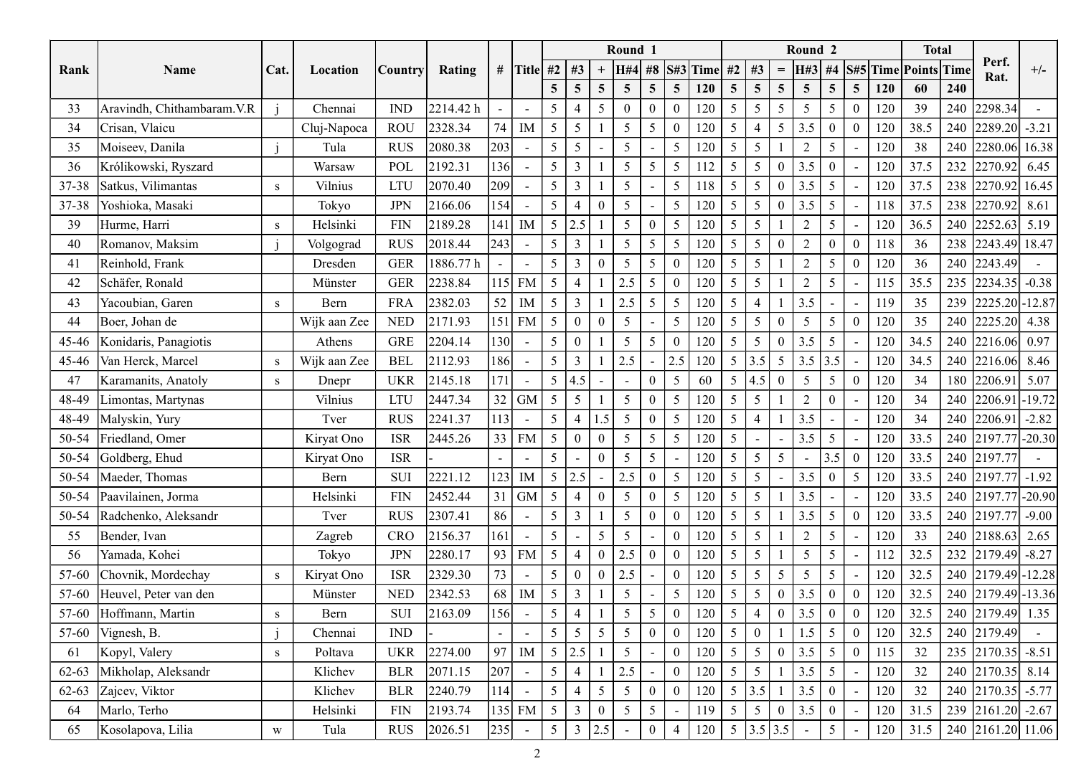|                 |                                            |      |                    |                             |                    |                          |                          |                         |                     | Round 1                            |                          |                            |                 |                                   |                                 |                   | Round <sub>2</sub> |                                   |                                |            | <b>Total</b> |            | Perf.                                                                 |         |
|-----------------|--------------------------------------------|------|--------------------|-----------------------------|--------------------|--------------------------|--------------------------|-------------------------|---------------------|------------------------------------|--------------------------|----------------------------|-----------------|-----------------------------------|---------------------------------|-------------------|--------------------|-----------------------------------|--------------------------------|------------|--------------|------------|-----------------------------------------------------------------------|---------|
| Rank            | Name                                       | Cat. | Location           | Country                     | Rating             |                          |                          | # Title #2   #3         |                     | <b>H#4</b>                         |                          |                            | #8 S#3 Time     | #2                                | #3                              | $\!\!\!=\!\!\!\!$ | H#3                | #4                                | S#5 Time Points Time           |            |              |            | Rat.                                                                  | $+/-$   |
|                 |                                            |      |                    |                             |                    |                          |                          | $5\overline{)}$         | $\overline{5}$      | $\overline{5}$<br>$\overline{5}$   | 5 <sup>5</sup>           | $5\overline{)}$            | <b>120</b>      | $5\overline{5}$                   | $\overline{5}$                  | $5\overline{)}$   | $5^{\circ}$        | $\overline{5}$                    | 5 <sup>5</sup>                 | 120        | 60           | 240        |                                                                       |         |
| 33              | Aravindh, Chithambaram. V.R                |      | Chennai            | <b>IND</b>                  | 2214.42 h          | $\overline{\phantom{a}}$ | $\sim$                   |                         | $\overline{4}$      |                                    | $\mathbf{0}$             |                            | 120             | $5\overline{)}$                   | $\overline{5}$                  | $5\overline{)}$   | 5                  | -5                                | $\mathbf{0}$                   | 120        | 39           | 240        | 2298.34                                                               |         |
| 34              | Crisan, Vlaicu                             |      | Cluj-Napoca        | <b>ROU</b>                  | 2328.34            | 74                       | IM                       | 5 <sup>5</sup>          | 5                   | 5                                  | 5                        |                            | 120             | $5\overline{)}$                   |                                 | 5 <sup>5</sup>    | 3.5                | -0                                | $\Omega$                       | 120        | 38.5         | 240        | $ 2289.20  -3.21$                                                     |         |
| 35              | Moiseev, Danila                            |      | Tula               | <b>RUS</b><br>POL           | 2080.38            | 203<br>136               | $\sim$                   | 5 <sup>5</sup>          | $5\overline{)}$     | -5<br>5                            | 5                        | 5                          | 120             | 5<br>-5                           | 5<br>-5                         | $\mathbf{0}$      | 2                  | -5                                |                                | 120        | 38           | 240        | 2280.06 16.38                                                         |         |
| 36<br>$37 - 38$ | Królikowski, Ryszard<br>Satkus, Vilimantas | S    | Warsaw<br>Vilnius  | <b>LTU</b>                  | 2192.31<br>2070.40 | 209                      | $\sim$<br>$\sim$         | 5                       | 3<br>$\overline{3}$ | -5                                 |                          | 5<br>5                     | 118             | 5                                 | $\overline{5}$                  | $\mathbf{0}$      | 3.5<br>3.5         | 5                                 | $\blacksquare$                 | 120<br>120 | 37.5<br>37.5 | 232<br>238 | 2270.92<br> 2270.92 16.45                                             | 6.45    |
| $37 - 38$       | Yoshioka, Masaki                           |      | Tokyo              | JPN                         | 2166.06            | 154                      | $\sim$                   | 5                       | $\overline{4}$      | -5                                 |                          | 5                          | 120             | 5                                 | 5                               | $\mathbf{0}$      | 3.5                | 5                                 | $\blacksquare$                 | 118        | 37.5         | 238        | $ 2270.92 $ 8.61                                                      |         |
| 39              | Hurme, Harri                               | S    | Helsinki           | FIN                         | 2189.28            | 141                      | IM                       | $5\overline{)}$         | 2.5                 | 5                                  | $\theta$                 | 5                          | 120             | $5\overline{)}$                   | 5                               |                   | $\bigcap$          | -5                                |                                | 120        | 36.5         | 240        | 2252.63                                                               | 5.19    |
| 40              | Romanov, Maksim                            |      | Volgograd          | <b>RUS</b>                  | 2018.44            | 243                      | $\sim$                   |                         | 3                   | 5                                  | 5                        | 5                          | 120             | $5\overline{)}$                   | $\overline{5}$                  | $\theta$          | $\bigcap$          | $\theta$                          | $\mathbf{0}$                   | 118        | 36           | 238        | 2243.49 18.47                                                         |         |
| 41              | Reinhold, Frank                            |      | Dresden            | <b>GER</b>                  | 1886.77 h          | $\overline{\phantom{a}}$ | $\sim$                   |                         | 3                   | $\overline{5}$                     | 5                        | $\Omega$                   | 120             | 5                                 | 5                               |                   | $\overline{2}$     | 5                                 | $\theta$                       | 120        | 36           | 240        | 2243.49                                                               |         |
| 42              | Schäfer, Ronald                            |      | Münster            | <b>GER</b>                  | 2238.84            |                          | 115 FM                   | $5\overline{)}$         | $\overline{4}$      | 2.5                                | 5 <sup>5</sup>           | $\theta$                   | 120             | $5\overline{)}$                   | $\overline{5}$                  |                   | $\bigcap$          | 5                                 |                                | 115        | 35.5         | 235        | $ 2234.35  -0.38$                                                     |         |
| 43              | Yacoubian, Garen                           | S.   | Bern               | <b>FRA</b>                  | 2382.03            | 52                       | $\rm IM$                 | $5\overline{)}$         | $\mathbf{3}$        | 2.5                                | $5\overline{)}$          | 5 <sup>5</sup>             | 120             | 5 <sup>5</sup>                    | $\overline{4}$                  |                   | 3.5                |                                   |                                | 119        | 35           | 239        | 2225.20 - 12.87                                                       |         |
| 44              | Boer, Johan de                             |      | Wijk aan Zee       | $\ensuremath{\mathsf{NED}}$ | 2171.93            |                          | $151$ FM                 | $5\overline{)}$         | $\bf{0}$            | $5\overline{)}$                    |                          | 5 <sup>5</sup>             | 120             | 5 <sup>5</sup>                    | $5\overline{)}$                 | $\overline{0}$    | 5 <sup>7</sup>     | $5\overline{)}$                   | $\overline{0}$                 | 120        | 35           |            | 240 2225.20 4.38                                                      |         |
| 45-46           | Konidaris, Panagiotis                      |      | Athens             | ${\tt GRE}$                 | 2204.14            | 130                      | $\sim$                   | 5 <sup>5</sup>          | $\mathbf{0}$        | $5\overline{)}$                    | $\overline{\mathcal{L}}$ | $\Omega$                   | 120             | $5\overline{)}$                   | $\overline{5}$                  | $\overline{0}$    | 3.5                | 5                                 |                                | 120        | 34.5         |            | 240 2216.06 0.97                                                      |         |
| 45-46           | Van Herck, Marcel                          | S    | Wijk aan Zee       | <b>BEL</b>                  | 2112.93            | 186                      | $\sim$                   | 5 <sup>1</sup>          | $\mathfrak{Z}$      | 2.5                                |                          | 2.5                        | 120             | 5 <sup>5</sup>                    | 3.5                             | 5 <sup>5</sup>    | 3.5                | 3.5                               |                                | 120        | 34.5         | 240        | $\begin{array}{ c c c c c } \hline 2216.06 & 8.46 \hline \end{array}$ |         |
| 47              | Karamanits, Anatoly                        | S    | Dnepr              | <b>UKR</b>                  | 2145.18            | 171                      | $\overline{\phantom{a}}$ | 5 <sup>5</sup>          | 4.5                 |                                    | $\theta$                 | $5\overline{)}$            | 60              | 5 <sup>5</sup>                    | 4.5                             | $\overline{0}$    | 5 <sup>5</sup>     | 5                                 | $\overline{0}$                 | 120        | 34           | 180        | 2206.91                                                               | 5.07    |
| 48-49           | Limontas, Martynas                         |      | Vilnius            | <b>LTU</b>                  | 2447.34            |                          | 32 GM                    | $5 \mid$                | $5\overline{)}$     | $5\overline{)}$                    | $\mathbf{0}$             | 5 <sup>5</sup>             | 120             | $5 \mid$                          | $5\overline{)}$                 |                   | $\overline{2}$     | $\mathbf{0}$                      |                                | 120        | 34           |            | 240 2206.91 - 19.72                                                   |         |
| 48-49           | Malyskin, Yury                             |      | Tver               | <b>RUS</b>                  | 2241.37            | $ 113 $ -                |                          | 5 <sup>7</sup>          | $\overline{4}$      | .5<br>5                            | $\overline{0}$           | 5                          | 120             | $5\overline{)}$                   | $\overline{4}$                  |                   | 3.5                |                                   |                                | 120        | 34           | 240        | 2206.91                                                               | $-2.82$ |
| 50-54           | Friedland, Omer                            |      | Kiryat Ono         | <b>ISR</b>                  | 2445.26            |                          | $33$ FM                  | 5 <sup>1</sup>          | $\overline{0}$      | $5\overline{)}$<br>$\theta$        | 5 <sup>5</sup>           | 5 <sup>5</sup>             | 120             | 5 <sup>5</sup>                    | $\overline{a}$                  | $\sim$ .          | 3.5                | $5\overline{)}$                   | $\sim$                         | 120        | 33.5         |            | 240 2197.77 - 20.30                                                   |         |
| 50-54           | Goldberg, Ehud                             |      | Kiryat Ono         | <b>ISR</b>                  |                    |                          | $\sim$                   | 5 <sup>5</sup>          |                     | -5                                 | 5                        |                            | 120             | 5 <sup>5</sup>                    | $\overline{5}$                  | $5\overline{)}$   | $\sim$             | 3.5                               | $\overline{0}$                 | 120        | 33.5         |            | 240 2197.77                                                           |         |
| 50-54           | Maeder, Thomas                             |      | Bern               | <b>SUI</b>                  | 2221.12            |                          | $ 123 $ IM               | $\overline{5}$   2.5    |                     | 2.5 $\vert$<br>$\sim$ $-$          | $\mathbf{0}$             | 5 <sup>5</sup>             | $\vert$ 120   5 |                                   | 5 <sup>5</sup>                  | $\sim$            | 3.5                | $\overline{0}$                    | $5\overline{)}$                | 120        | 33.5         |            | 240 2197.77 - 1.92                                                    |         |
| 50-54           | Paavilainen, Jorma                         |      | Helsinki           | <b>FIN</b>                  | 2452.44            |                          | $31$ GM                  | $5\overline{)}$         | $\overline{4}$      | $5\overline{)}$<br>$\Omega$        | $\overline{0}$           | 5 <sup>5</sup>             | 120             | 5 <sup>5</sup>                    | $\overline{5}$                  |                   | 3.5                |                                   | $\blacksquare$                 | 120        | 33.5         |            | 240 2197.77 - 20.90                                                   |         |
| 50-54           | Radchenko, Aleksandr                       |      | Tver               | <b>RUS</b>                  | 2307.41            | 86                       | $\sim$                   | 5 <sup>1</sup>          | $\mathbf{3}$        | $5\overline{)}$                    | $\mathbf{0}$             | $\overline{0}$             | 120             | 5 <sup>5</sup>                    | 5 <sup>5</sup>                  |                   | 3.5                | $\overline{5}$                    | $\overline{0}$                 | 120        | 33.5         |            | 240 2197.77 -9.00                                                     |         |
| 55              | Bender, Ivan                               |      | Zagreb             | CRO                         | 2156.37            | 161                      | $\sim$                   | 5 <sup>5</sup>          |                     | -5                                 |                          | $\Omega$                   | 120             | $5\overline{)}$                   | $\overline{5}$                  |                   |                    | 5                                 |                                | 120        | 33           |            | 240 2188.63 2.65                                                      |         |
| 56              | Yamada, Kohei                              |      | Tokyo              | <b>JPN</b>                  | 2280.17            |                          | $\sqrt{93}$ FM           | $5\overline{)}$         | $\overline{4}$      | 2.5                                | $\overline{0}$           | $\theta$                   | 120             | 5 <sup>5</sup>                    | $5\overline{)}$                 |                   | 5 <sup>5</sup>     | 5                                 |                                | 112        | 32.5         |            | 232 2179.49 -8.27                                                     |         |
| 57-60           | Chovnik, Mordechay                         | S    | Kiryat Ono         | <b>ISR</b>                  | 2329.30            | 73                       | $\sim$                   | 5 <sup>5</sup>          | $\overline{0}$      | 2.5                                |                          | $\theta$                   | 120             | $5\overline{)}$                   | 5                               | $5\overline{)}$   | 5 <sup>5</sup>     | 5                                 |                                | 120        | 32.5         |            | 240 2179.49 - 12.28                                                   |         |
| 57-60           | Heuvel, Peter van den                      |      | Münster            | <b>NED</b>                  | 2342.53            | 68                       | IM                       | 5 <sup>5</sup>          | $\mathfrak{Z}$      | 5                                  |                          | 5 <sup>5</sup>             | 120             | 5 <sup>5</sup>                    | 5                               | $\overline{0}$    | 3.5                | $\boldsymbol{0}$                  | $\overline{0}$                 | 120        | 32.5         |            | 240 2179.49 - 13.36                                                   |         |
| 57-60           | Hoffmann, Martin                           | S    | Bern               | SUI                         | 2163.09            | 156                      | $\sim$                   | 5 <sup>5</sup>          | $\overline{4}$      | 5<br>$\sim$                        | 5 <sup>5</sup>           | $\theta$                   | 120             | 5 <sup>5</sup>                    | $\overline{4}$                  | $\overline{0}$    | 3.5                | $\boldsymbol{0}$                  | $\overline{0}$                 | 120        | 32.5         |            | 240 2179.49 1.35                                                      |         |
| 57-60<br>61     | Vignesh, B.<br>Kopyl, Valery               |      | Chennai<br>Poltava | <b>IND</b><br><b>UKR</b>    | 2274.00            | 97                       | $\sim$<br>$\rm IM$       | 5 <sup>5</sup><br>5 2.5 | $5\overline{)}$     | $5\overline{)}$<br>$5\overline{)}$ | $\overline{0}$           | $\theta$<br>$\overline{0}$ | 120<br>120      | $5\overline{)}$<br>5 <sup>5</sup> | $\mathbf{0}$<br>$5\overline{)}$ | $\overline{0}$    | 1.5<br>3.5         | $5\overline{)}$<br>$\overline{5}$ | $\overline{0}$<br>$\mathbf{0}$ | 120<br>115 | 32.5<br>32   | 235        | 240 2179.49<br>$ 2170.35  - 8.51$                                     |         |
| 62-63           | Mikholap, Aleksandr                        | S    | Klichev            | <b>BLR</b>                  | 2071.15            | 207                      | $\sim$                   | 5 <sup>1</sup>          | $\overline{4}$      | 2.5                                |                          | $\theta$                   | 120             | 5 <sup>5</sup>                    | 5                               |                   | 3.5                | $5\overline{)}$                   |                                | 120        | 32           | 240        | $ 2170.35 $ 8.14                                                      |         |
| 62-63           | Zajcev, Viktor                             |      | Klichev            | <b>BLR</b>                  | 2240.79            | 114                      | $\sim$                   | 5 <sup>1</sup>          | $\overline{4}$      | $5\overline{)}$<br>5 <sup>5</sup>  | $\mathbf{0}$             | $\mathbf{0}$               |                 | $ 120 $ 5 3.5                     |                                 |                   | 3.5                | $\overline{0}$                    |                                | 120        | 32           |            | 240 2170.35 -5.77                                                     |         |
| 64              | Marlo, Terho                               |      | Helsinki           | FIN                         | 2193.74            |                          | 135 FM                   | 5 <sup>5</sup>          | $\mathbf{3}$        | -5                                 | 5 <sup>5</sup>           |                            | 119             | 5 <sup>5</sup>                    | 5                               | $\overline{0}$    | 3.5                | $\overline{0}$                    |                                | 120        | 31.5         |            | 239 2161.20 -2.67                                                     |         |
| 65              | Kosolapova, Lilia                          | W    | Tula               | <b>RUS</b>                  | 2026.51            | 235                      | $\sim$                   | 5 <sup>5</sup>          | $\mathbf{3}$        | 2.5                                | $\overline{0}$           |                            | 120             | 5 <sup>5</sup>                    | 3.5                             | 3.5               |                    | -5                                |                                | 120        | 31.5         |            | 240 2161.20 11.06                                                     |         |
|                 |                                            |      |                    |                             |                    |                          | $\overline{2}$           |                         |                     |                                    |                          |                            |                 |                                   |                                 |                   |                    |                                   |                                |            |              |            |                                                                       |         |
|                 |                                            |      |                    |                             |                    |                          |                          |                         |                     |                                    |                          |                            |                 |                                   |                                 |                   |                    |                                   |                                |            |              |            |                                                                       |         |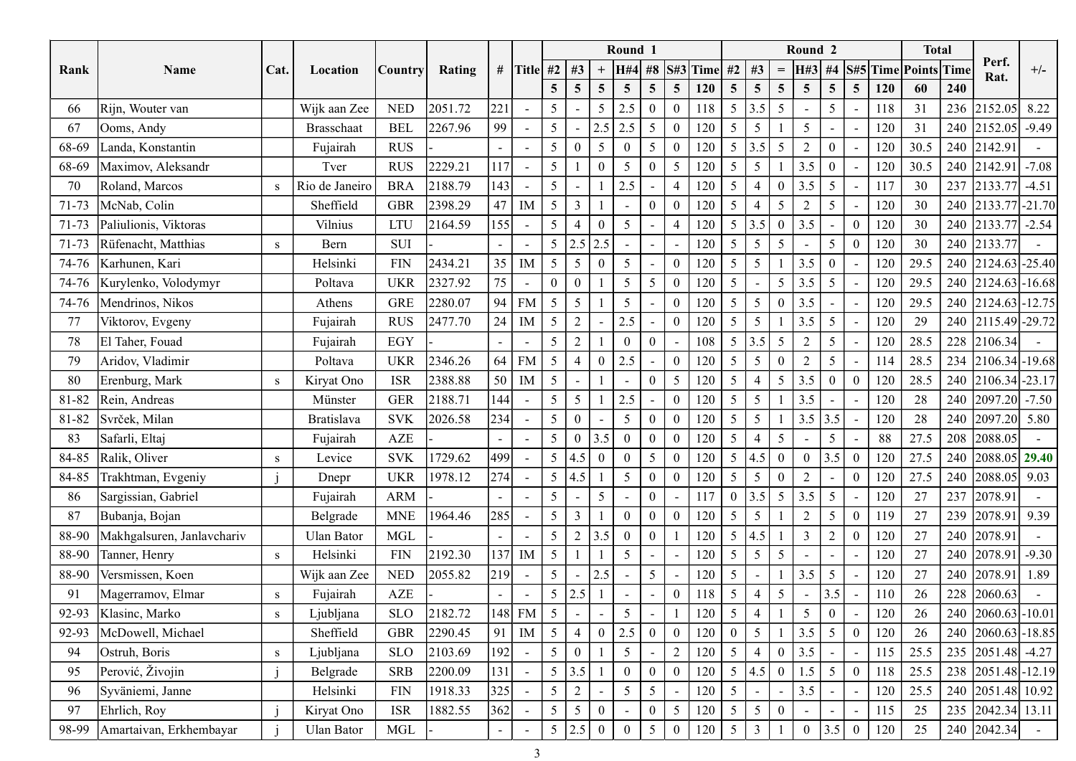|       |                              |              |                   |             |         |                          |                          |                |                          |                 | Round 1                  |                                      |            |                 |                          |                 | Round <sub>2</sub> |                 |                                 |      | <b>Total</b> |                                 |         |
|-------|------------------------------|--------------|-------------------|-------------|---------|--------------------------|--------------------------|----------------|--------------------------|-----------------|--------------------------|--------------------------------------|------------|-----------------|--------------------------|-----------------|--------------------|-----------------|---------------------------------|------|--------------|---------------------------------|---------|
| Rank  | Name                         | Cat.         | Location          | Country     | Rating  |                          | # Title $#2$             |                | #3                       |                 | <b>H#4</b>               | $\#8$                                | S#3 Time   | #2              | #3                       | $=$             | H#3                | $\#4$           | S#5 Time Points Time            |      |              | Perf.<br>Rat.                   | $+/-$   |
|       |                              |              |                   |             |         |                          |                          | 5 <sup>5</sup> | $\overline{5}$           | $5\overline{)}$ | $\overline{5}$           | 5<br>5 <sup>5</sup>                  | <b>120</b> | 5 <sup>5</sup>  | $\overline{5}$           | $5\overline{)}$ | $5\overline{)}$    | $\overline{5}$  | 5 <sup>5</sup><br>120           | 60   | 240          |                                 |         |
| 66    | Rijn, Wouter van             |              | Wijk aan Zee      | <b>NED</b>  | 2051.72 | 221                      |                          | 5 <sup>5</sup> |                          | 5               | 2.5                      | $\boldsymbol{0}$                     | 118        | 5 <sup>5</sup>  | 3.5                      | $5\overline{)}$ |                    | -5              | 118<br>$\overline{\phantom{a}}$ | 31   | 236          | 2152.05                         | 8.22    |
| 67    | Ooms, Andy                   |              | <b>Brasschaat</b> | <b>BEL</b>  | 2267.96 | 99                       |                          | 5 <sup>5</sup> |                          | 2.5             | 2.5                      | 5                                    | 120        | 5               | 5                        |                 | 5                  |                 | 120                             | 31   | 240          | $ 2152.05  -9.49$               |         |
| 68-69 | Landa, Konstantin            |              | Fujairah          | <b>RUS</b>  |         |                          | $\overline{\phantom{a}}$ | 5 <sup>5</sup> | $\boldsymbol{0}$         | 5 <sup>5</sup>  | $\bf{0}$                 | 5                                    | 120        | 5 <sup>5</sup>  | 3.5                      | $5\overline{)}$ | 2                  | $\theta$        | 120<br>$\overline{\phantom{a}}$ | 30.5 | 240          | 2142.9                          |         |
| 68-69 | Maximov, Aleksandr           |              | Tver              | <b>RUS</b>  | 2229.21 | 17                       | $\overline{\phantom{a}}$ | 5              |                          |                 | -5                       | $\Omega$<br>5                        | 120        | 5               | -5                       |                 | 3.5                |                 | 120                             | 30.5 | 240          | [2142.91]                       | $-7.08$ |
| 70    | Roland, Marcos               | <sup>S</sup> | Rio de Janeiro    | <b>BRA</b>  | 2188.79 | 143                      |                          | 5 <sup>5</sup> |                          |                 | 2.5                      | 4<br>$\overline{\phantom{a}}$        | 120        | 5               | $\overline{4}$           | $\theta$        | 3.5                | 5               | 117<br>$\overline{\phantom{a}}$ | 30   |              | 237 2133.77                     | $-4.51$ |
| 71-73 | McNab, Colin                 |              | Sheffield         | <b>GBR</b>  | 2398.29 | 47                       | IM                       | 5 <sup>5</sup> | $\mathbf{3}$             |                 | $\overline{\phantom{a}}$ | $\theta$                             | 120        | 5               | 4                        | 5               | $\overline{2}$     | -5              | 120<br>$\blacksquare$           | 30   |              | 240 2133.77 - 21.70             |         |
| 71-73 | Paliulionis, Viktoras        |              | Vilnius           | <b>LTU</b>  | 2164.59 | 155                      |                          | 5 <sup>5</sup> | $\overline{4}$           | $\theta$        | 5                        |                                      | 120        | 5 <sup>5</sup>  | 3.5                      | $\mathbf{0}$    | 3.5                |                 | $\boldsymbol{0}$<br>120         | 30   |              | 240 2133.77 -2.54               |         |
| 71-73 | Rüfenacht, Matthias          | S.           | Bern              | <b>SUI</b>  |         | $\blacksquare$           |                          | 5 <sup>5</sup> | $2.5$ 2.5                |                 | $\overline{\phantom{a}}$ |                                      | 120        | 5               | 5                        | $\overline{5}$  |                    | 5               | $\mathbf{0}$<br>120             | 30   |              | 240 2133.77                     |         |
| 74-76 | Karhunen, Kari               |              | Helsinki          | <b>FIN</b>  | 2434.21 | 35 <sup>°</sup>          | IM                       | 5 <sup>5</sup> | 5 <sup>5</sup>           | $\theta$        | 5                        |                                      | 120        | 5               | 5                        |                 | 3.5                |                 | 120                             | 29.5 |              | 240 2124.63 - 25.40             |         |
|       | 74-76   Kurylenko, Volodymyr |              | Poltava           | <b>UKR</b>  | 2327.92 | 75                       | $\sim$                   | $\overline{0}$ | $\mathbf{0}$             |                 | $\overline{5}$           | 5                                    | 120        | 5               | $\overline{\phantom{a}}$ | $5\overline{)}$ | 3.5                | 5               | 120<br>$\overline{\phantom{a}}$ | 29.5 |              | 240 2124.63 - 16.68             |         |
|       | 74-76 Mendrinos, Nikos       |              | Athens            | <b>GRE</b>  | 2280.07 |                          | 94 FM                    | 5 <sup>5</sup> | $\mathfrak{S}$           |                 | $5\overline{)}$          | $\bf{0}$<br>$\overline{\phantom{a}}$ | 120        | 5 <sup>5</sup>  | $5\overline{)}$          | $\mathbf{0}$    | 3.5                | $\sim$          | 120<br>$\overline{\phantom{0}}$ | 29.5 |              | 240 2124.63 - 12.75             |         |
| 77    | Viktorov, Evgeny             |              | Fujairah          | <b>RUS</b>  | 2477.70 |                          | $24$ M                   | 5 <sup>5</sup> | $\overline{2}$           |                 | 2.5                      | $\sim$                               | 120        | 5 <sup>5</sup>  | $5\phantom{.0}$          |                 | 3.5                | $5\overline{)}$ | 120<br>$\blacksquare$           | 29   |              | 240 2115.49 - 29.72             |         |
| 78    | El Taher, Fouad              |              | Fujairah          | EGY         |         |                          |                          | 5 <sup>5</sup> | $\overline{2}$           |                 | $\Omega$                 | $\boldsymbol{0}$                     | 108        |                 | $5 \mid 3.5$             | 5 <sup>5</sup>  | 2                  | 5               | 120                             | 28.5 |              | 228 2106.34                     |         |
| 79    | Aridov, Vladimir             |              | Poltava           | <b>UKR</b>  | 2346.26 |                          | $64$ FM                  | 5 <sup>5</sup> | $\overline{4}$           | $\overline{0}$  | 2.5                      |                                      | 120        | 5 <sup>5</sup>  | 5                        | $\overline{0}$  | $\overline{2}$     | 5               | 114                             | 28.5 |              | 234 2106.34 - 19.68             |         |
| 80    | Erenburg, Mark               |              | Kiryat Ono        | <b>ISR</b>  | 2388.88 |                          | $50$ M                   | 5 <sup>5</sup> |                          |                 |                          | $\mathbf{0}$<br>$5\overline{)}$      | 120        | 5 <sup>5</sup>  |                          | 5 <sup>5</sup>  | 3.5                | $\theta$        | $\overline{0}$<br>120           | 28.5 |              | 240 2106.34 - 23.17             |         |
| 81-82 | Rein, Andreas                |              | Münster           | <b>GER</b>  | 2188.71 | 144                      |                          | 5 <sup>1</sup> | 5 <sup>5</sup>           | $1 \mid 2.5$    |                          |                                      | 120        | 5 <sup>5</sup>  | $\overline{5}$           |                 | 3.5                |                 | 120                             | 28   |              | 240 $\big  2097.20 \big  -7.50$ |         |
| 81-82 | Svrček, Milan                |              | Bratislava        | <b>SVK</b>  | 2026.58 | 234                      |                          | 5 <sup>5</sup> | $\overline{0}$           |                 | 5                        | $\overline{0}$                       | 120        | 5 <sup>5</sup>  | $\overline{5}$           |                 | $3.5$ 3.5          |                 | 120                             | 28   |              | 240 2097.20 5.80                |         |
| 83    | Safarli, Eltaj               |              | Fujairah          | AZE         |         |                          |                          |                | $5 \mid 0 \mid 3.5 \mid$ |                 | $\overline{0}$           | $\mathbf{0}$                         | 120        | 5 <sup>1</sup>  | $\overline{4}$           | 5 <sup>5</sup>  |                    | 5               | 88<br>$\blacksquare$            | 27.5 |              | 208 2088.05                     |         |
| 84-85 | Ralik, Oliver                | S            | Levice            | <b>SVK</b>  | 1729.62 | 499                      |                          |                | 5 4.5 0                  |                 | $\bf{0}$                 | 5 <sup>5</sup>                       | 120        |                 | 5 4.5                    | $\mathbf{0}$    | $\overline{0}$     | 3.5             | $\overline{0}$<br>120           | 27.5 |              | 240 2088.05 29.40               |         |
| 84-85 | Trakhtman, Evgeniy           |              | Dnepr             | <b>UKR</b>  | 1978.12 | 274                      |                          |                | 5 4.5                    | -1-1            | 5 <sup>5</sup>           | $\boldsymbol{0}$<br>$\overline{0}$   |            | $5 \mid$<br>120 | $5\overline{)}$          | $\overline{0}$  | $\overline{2}$     | $\sim$          | $\mathbf{0}$<br>120             | 27.5 |              | 240 2088.05 9.03                |         |
| 86    | Sargissian, Gabriel          |              | Fujairah          | ARM         |         | $\overline{\phantom{0}}$ |                          | 5 <sup>5</sup> |                          | 5 <sup>5</sup>  |                          | $\overline{0}$                       | 117        | $\overline{0}$  | 3.5                      | 5 <sup>5</sup>  | 3.5                | 5               | 120<br>$\overline{\phantom{a}}$ | 27   |              | 237 2078.91                     |         |
| 87    | Bubanja, Bojan               |              | Belgrade          | <b>MNE</b>  | 1964.46 | 285                      |                          | 5 <sup>1</sup> | $\mathbf{3}$             |                 | $\overline{0}$           | $\mathbf{0}$<br>$\theta$             | 120        | 5 <sup>5</sup>  | $5\overline{)}$          |                 | $\overline{2}$     | $5\overline{)}$ | $\overline{0}$<br>119           | 27   |              | 239 2078.91 9.39                |         |
| 88-90 | Makhgalsuren, Janlavchariv   |              | Ulan Bator        | MGL         |         | $\overline{\phantom{0}}$ |                          | 5 <sup>1</sup> | 2                        | 3.5             | $\overline{0}$           | $\mathbf{0}$                         | 120        | 5 <sup>5</sup>  | 4.5                      |                 | $\mathfrak{Z}$     | $\overline{2}$  | $\overline{0}$<br>120           | 27   |              | 240 2078.91                     |         |
| 88-90 | Tanner, Henry                | S.           | Helsinki          | <b>FIN</b>  | 2192.30 |                          | $\overline{137}$ IM      | 5 <sup>5</sup> |                          |                 | $5\overline{)}$          |                                      | 120        | 5 <sup>5</sup>  | $\overline{5}$           | 5 <sup>5</sup>  |                    |                 | 120<br>$\blacksquare$           | 27   |              | 240 2078.91 -9.30               |         |
| 88-90 | Versmissen, Koen             |              | Wijk aan Zee      | <b>NED</b>  | 2055.82 | $ 219$ -                 |                          | 5 <sup>5</sup> | $\sim$                   | 2.5             |                          | 5 <sup>5</sup>                       | 120        | 5 <sup>5</sup>  | $\overline{\phantom{a}}$ |                 | 3.5                | $5\overline{)}$ | 120<br>$\blacksquare$           | 27   |              | 240 2078.91 1.89                |         |
| 91    | Magerramov, Elmar            | <sub>S</sub> | Fujairah          | ${\rm AZE}$ |         |                          | $\overline{\phantom{a}}$ |                | 5 2.5                    |                 | $\blacksquare$           |                                      | 118        | 5 <sup>5</sup>  | $\overline{4}$           | 5 <sup>5</sup>  |                    | 3.5             | 110<br>$\blacksquare$           | 26   |              | 228 2060.63                     |         |
| 92-93 | Klasinc, Marko               | $\mathbf{s}$ | Ljubljana         | <b>SLO</b>  | 2182.72 |                          | 148 FM                   | 5 <sup>5</sup> |                          |                 | $5\overline{)}$          |                                      | 120        | 5 <sup>5</sup>  | $\overline{4}$           |                 | 5 <sup>5</sup>     | $\Omega$        | 120<br>$\overline{a}$           | 26   |              | 240 2060.63 - 10.01             |         |
| 92-93 | McDowell, Michael            |              | Sheffield         | <b>GBR</b>  | 2290.45 |                          | $91$ M                   | 5 <sup>5</sup> | $\overline{4}$           | $\overline{0}$  | $\vert 2.5 \vert$        | $\overline{0}$                       | 120        | $\overline{0}$  | 5                        |                 | 3.5                | 5               | 120<br>$\mathbf{0}$             | 26   | 240          | $2060.63 - 18.85$               |         |
| 94    | Ostruh, Boris                |              | Ljubljana         | <b>SLO</b>  | 2103.69 | 192                      |                          | 5 <sup>1</sup> | $\mathbf{0}$             |                 | 5 <sup>5</sup>           |                                      | 120<br>2   | 5 <sup>5</sup>  | $\overline{4}$           | $\overline{0}$  | 3.5                |                 | 115<br>$\overline{\phantom{a}}$ | 25.5 |              | 235 2051.48 -4.27               |         |
| 95    | Perović, Živojin             |              | Belgrade          | <b>SRB</b>  | 2200.09 | 131                      |                          |                | $5 \,   \, 3.5 \,  $     |                 | $\mathbf{0}$             | $\overline{0}$                       | 120        |                 | 5 4.5                    | $\mathbf{0}$    | 1.5                | $\overline{5}$  | $\overline{0}$<br>118           | 25.5 |              | 238 2051.48 - 12.19             |         |
| 96    | Syväniemi, Janne             |              | Helsinki          | ${\rm FIN}$ | 1918.33 | $325$                    |                          | 5 <sup>5</sup> | 2                        |                 | $5\overline{)}$          | 5                                    | 120        | 5 <sup>5</sup>  |                          | $\sim$          | 3.5                |                 | 120<br>$\sim$                   | 25.5 |              | 240 2051.48 10.92               |         |
| 97    | Ehrlich, Roy                 |              | Kiryat Ono        | <b>ISR</b>  | 1882.55 | 362                      | $\sim$                   | 5 <sup>5</sup> | 5 <sup>5</sup>           | $\theta$        |                          | $\overline{0}$<br>5                  | 120        | 5 <sup>5</sup>  | 5                        | $\overline{0}$  |                    |                 | 115                             | 25   |              | 235 2042.34 13.11               |         |
| 98-99 | Amartaivan, Erkhembayar      |              | Ulan Bator        | <b>MGL</b>  |         |                          |                          |                | $5 \mid 2.5 \mid$        | $\theta$        |                          | 5 <sup>5</sup>                       | 120        | 5               | 3                        |                 | $\theta$           | 3.5             | $\mathbf{0}$<br>120             | 25   |              | 240 2042.34                     |         |
|       |                              |              |                   |             |         |                          | 3                        |                |                          |                 |                          |                                      |            |                 |                          |                 |                    |                 |                                 |      |              |                                 |         |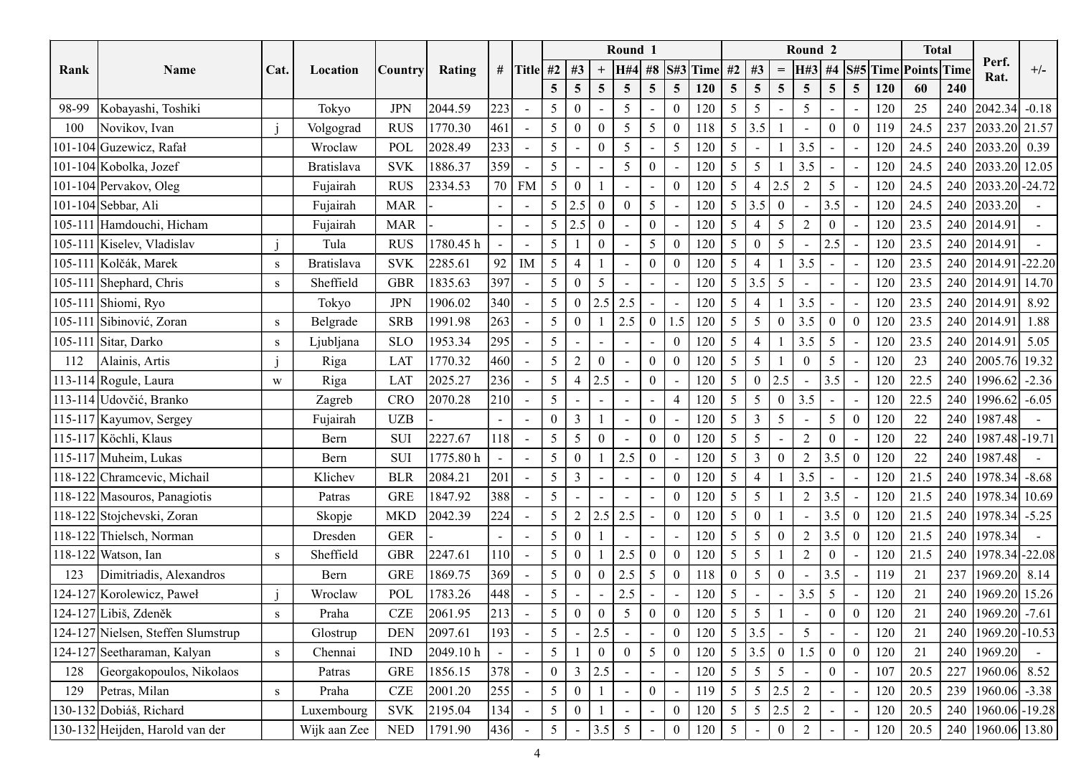|       |                                          |              |                      |                       |           |                          |                          |                |                  |                 | Round 1                                    |                          |                |            |                                   |                          | Round <sub>2</sub> |                  |                                 |      | <b>Total</b> |                                                                     |       |
|-------|------------------------------------------|--------------|----------------------|-----------------------|-----------|--------------------------|--------------------------|----------------|------------------|-----------------|--------------------------------------------|--------------------------|----------------|------------|-----------------------------------|--------------------------|--------------------|------------------|---------------------------------|------|--------------|---------------------------------------------------------------------|-------|
| Rank  | Name                                     | Cat.         | Location             | <i><b>Country</b></i> | Rating    |                          | # Title #2               |                | #3               |                 | <b>H#4</b>                                 | $\#8$                    |                | $S#3$ Time | #2<br>#3                          | $=$                      | H#3                | $\#4$            | S#5 Time Points Time            |      |              | Perf.                                                               | $+/-$ |
|       |                                          |              |                      |                       |           |                          |                          | 5 <sup>5</sup> | $\overline{5}$   | $5\overline{)}$ | $\overline{5}$                             | 5 <sup>5</sup>           | 5 <sup>5</sup> | 120        | $5\overline{)}$<br>$\overline{5}$ | $5\overline{)}$          | 5 <sup>5</sup>     | $\overline{5}$   | 5 <sup>5</sup><br>120           | 60   | 240          | Rat.                                                                |       |
| 98-99 | Kobayashi, Toshiki                       |              | Tokyo                | <b>JPN</b>            | 2044.59   | 223                      |                          | 5 <sup>5</sup> | $\overline{0}$   |                 | -5                                         |                          |                | 120        | 5<br>5                            | $\overline{\phantom{a}}$ | 5                  |                  | 120                             | 25   | 240          | $\left  2042.34 \right $ -0.18                                      |       |
| 100   |                                          |              |                      | <b>RUS</b>            | 1770.30   | 461                      |                          | 5 <sup>5</sup> | $\overline{0}$   | $\theta$        | -5                                         | 5                        |                | 118        | 5 <sup>5</sup><br>3.5             |                          |                    | - 0              | $\theta$<br>119                 | 24.5 | 237          | 2033.20 21.57                                                       |       |
|       | Novikov, Ivan<br>101-104 Guzewicz, Rafał |              | Volgograd<br>Wroclaw | POL                   | 2028.49   | 233                      | $\sim$                   | 5 <sup>5</sup> |                  | $\Omega$        | 5                                          | $\overline{\phantom{a}}$ | 5              | 120        | 5<br>$\overline{\phantom{a}}$     |                          | 3.5                |                  | 120                             | 24.5 | 240          | $\begin{array}{ c c c c } \hline 2033.20 & 0.39 \hline \end{array}$ |       |
|       | 101-104 Kobolka, Jozef                   |              | <b>Bratislava</b>    | <b>SVK</b>            | 1886.37   | 359                      | $\overline{a}$           | 5              |                  |                 | -5                                         | $\Omega$                 |                | 120        | 5<br>-5                           |                          | 3.5                |                  | 120                             | 24.5 |              | 240 2033.20 12.05                                                   |       |
|       | 101-104 Pervakov, Oleg                   |              | Fujairah             | <b>RUS</b>            | 2334.53   |                          | 70 FM                    | 5 <sup>5</sup> | $\boldsymbol{0}$ |                 |                                            |                          |                | 120        | 5<br>$\overline{4}$               | 2.5                      | 2                  | 5                |                                 | 24.5 |              | 240 2033.20 - 24.72                                                 |       |
|       | 101-104 Sebbar, Ali                      |              |                      | <b>MAR</b>            |           |                          | $\overline{\phantom{a}}$ | 5 <sup>5</sup> | 2.5              | $\theta$        | $\overline{\phantom{a}}$<br>$\overline{0}$ | $\mathfrak{S}$           |                |            | 5 <sup>5</sup><br>3.5             | $\overline{0}$           |                    |                  | 120<br>$\blacksquare$<br>120    |      |              | 240 2033.20                                                         |       |
|       |                                          |              | Fujairah             |                       |           |                          |                          |                |                  |                 |                                            |                          |                | 120        | $\overline{4}$                    |                          | $\sim$             | 3.5<br>$\Omega$  | $\overline{\phantom{a}}$        | 24.5 |              |                                                                     |       |
|       | 105-111 Hamdouchi, Hicham                |              | Fujairah             | <b>MAR</b>            |           |                          |                          | 5 <sup>5</sup> | 2.5              | $\theta$        | $\overline{\phantom{a}}$                   | $\boldsymbol{0}$         |                | 120        | 5                                 | $5\overline{)}$          | $\overline{2}$     |                  | 120                             | 23.5 |              | 240 2014.91                                                         |       |
|       | 105-111 Kiselev, Vladislav               |              | Tula                 | <b>RUS</b>            | 1780.45 h | $\overline{\phantom{a}}$ | $\blacksquare$           | 5              |                  |                 |                                            | 5                        |                | 120        | 5<br>$\theta$                     | $5\overline{)}$          |                    | 2.5              | 120<br>$\overline{\phantom{a}}$ | 23.5 |              | 240 2014.91                                                         |       |
|       | 105-111 Kolčák, Marek                    |              | <b>Bratislava</b>    | <b>SVK</b>            | 2285.61   |                          | $92$ M                   | 5 <sup>5</sup> |                  |                 | $\overline{\phantom{a}}$                   | $\mathbf{0}$             |                | 120        | 5<br>$\overline{4}$               |                          | 3.5                |                  | 120                             | 23.5 | 240          | $2014.91$ -22.20                                                    |       |
|       | 105-111 Shephard, Chris                  |              | Sheffield            | <b>GBR</b>            | 1835.63   | 397                      | $\sim$                   | 5 <sup>5</sup> | $\boldsymbol{0}$ | 5 <sup>5</sup>  | $\overline{a}$                             |                          |                | 120        | 5 <sup>5</sup><br>3.5             | $5\overline{)}$          |                    |                  | 120                             | 23.5 |              | 240 2014.91 14.70                                                   |       |
|       | 105-111 Shiomi, Ryo                      |              | Tokyo                | $\rm JPN$             | 1906.02   | 340                      |                          | 5 <sup>5</sup> | $\bf{0}$         | $2.5$ 2.5       |                                            | $\sim$                   | $\sim$ $-$     | 120        | 5 <sup>5</sup><br>$\overline{4}$  |                          | 3.5                |                  | 120                             | 23.5 |              | 240 2014.91 8.92                                                    |       |
|       | 105-111 Sibinović, Zoran                 |              | Belgrade             | <b>SRB</b>            | 1991.98   | $\vert 263 \vert$        |                          | 5 <sup>1</sup> | $\mathbf{0}$     | $1 \mid 2.5$    |                                            | $\mathbf{0}$             | 1.5            | 120        | $5 \mid$<br>$5\overline{)}$       | $\mathbf{0}$             | 3.5                | $\boldsymbol{0}$ | $\overline{0}$<br>120           | 23.5 |              | 240 2014.91 1.88                                                    |       |
|       | 105-111 Sitar, Darko                     |              | Ljubljana            | <b>SLO</b>            | 1953.34   | 295                      |                          | 5 <sup>1</sup> |                  |                 |                                            |                          |                | 120        | 5 <sup>5</sup>                    |                          | 3.5                | 5                | 120                             | 23.5 |              | 240 2014.91                                                         | 5.05  |
| 112   | Alainis, Artis                           |              | Riga                 | LAT                   | 1770.32   | 460                      |                          | 5 <sup>5</sup> | $\overline{2}$   | $\overline{0}$  |                                            | $\boldsymbol{0}$         |                | 120        | 5 <sup>5</sup><br>5               |                          |                    | 5                | 120                             | 23   |              | 240 2005.76 19.32                                                   |       |
|       | 113-114 Rogule, Laura                    | W            | Riga                 | <b>LAT</b>            | 2025.27   | 236                      |                          | 5 <sup>5</sup> | $\overline{4}$   | 2.5             |                                            | $\overline{0}$           |                | 120        | $\mathbf{0}$<br>5 <sup>5</sup>    | 2.5                      |                    | 3.5              | 120                             | 22.5 |              | 240   1996.62   -2.36                                               |       |
|       | 113-114 Udovčić, Branko                  |              | Zagreb               | CRO                   | 2070.28   | 210                      |                          | 5 <sup>5</sup> |                  |                 |                                            |                          | $\overline{4}$ | 120        | 5 <sup>5</sup><br>$\overline{5}$  | $\mathbf{0}$             | 3.5                |                  | 120                             | 22.5 |              | 240   1996.62   -6.05                                               |       |
|       | 115-117 Kayumov, Sergey                  |              | Fujairah             | <b>UZB</b>            |           |                          | $\sim$                   | $\overline{0}$ | $\mathbf{3}$     |                 |                                            | $\overline{0}$           |                | 120        | 5 <sup>5</sup><br>$\overline{3}$  | 5 <sup>5</sup>           |                    | 5                | $\overline{0}$<br>120           | 22   | 240          | 1987.48                                                             |       |
|       | 115-117 Köchli, Klaus                    |              | Bern                 | SUI                   | 2227.67   | 118                      |                          | 5 <sup>1</sup> | 5 <sup>5</sup>   | $\overline{0}$  |                                            | $\mathbf{0}$             |                | 120        | 5 <sup>5</sup><br>5               |                          | $\overline{2}$     | $\theta$         | 120                             | 22   |              | 240   1987.48   - 19.71                                             |       |
|       | 115-117 Muheim, Lukas                    |              | Bern                 | SUI                   | 1775.80 h | $\overline{\phantom{a}}$ | $\overline{\phantom{a}}$ | 5 <sup>1</sup> | $\overline{0}$   | $1 \mid 2.5$    |                                            | $\overline{0}$           |                | 120        | $\overline{3}$<br>5 <sup>1</sup>  | $\overline{0}$           | 2                  | 3.5              | $\mathbf{0}$<br>120             | 22   |              | 240   1987.48                                                       |       |
|       | 118-122 Chramcevic, Michail              |              | Klichev              | <b>BLR</b>            | 2084.21   | 201                      |                          | 5 <sup>1</sup> | $\mathfrak{Z}$   | $\sim$ $^{-1}$  | $\sim$                                     |                          | $\theta$       | 120        | 5 <sup>5</sup><br>$\overline{4}$  |                          | 3.5                | $\sim$           | 120<br>$\overline{\phantom{0}}$ | 21.5 |              | $240$   1978.34   -8.68                                             |       |
|       | 118-122 Masouros, Panagiotis             |              | Patras               | <b>GRE</b>            | 1847.92   | 388                      |                          | 5 <sup>5</sup> |                  |                 |                                            |                          |                | 120        | $\overline{5}$<br>5 <sup>5</sup>  |                          |                    | 3.5              | 120<br>$\overline{\phantom{a}}$ | 21.5 |              | 240   1978.34   10.69                                               |       |
|       | 118-122 Stojchevski, Zoran               |              | Skopje               | MKD                   | 2042.39   | 224                      |                          | 5 <sup>1</sup> | 2                | 2.5 2.5         |                                            |                          | $\Omega$       | 120        | $\bf{0}$<br>5 <sup>5</sup>        |                          |                    | 3.5              | $\overline{0}$<br>120           | 21.5 |              | 240   1978.34   -5.25                                               |       |
|       | 118-122 Thielsch, Norman                 |              | Dresden              | <b>GER</b>            |           | $\overline{\phantom{0}}$ |                          | 5 <sup>5</sup> | $\overline{0}$   |                 | $\overline{\phantom{a}}$                   |                          |                | 120        | 5<br>5 <sup>5</sup>               | $\overline{0}$           | 2                  | 3.5              | $\overline{0}$<br>120           | 21.5 |              | 240   1978.34                                                       |       |
|       | 118-122 Watson, Ian                      | <sup>S</sup> | Sheffield            | <b>GBR</b>            | 2247.61   | 110                      |                          | 5 <sup>1</sup> | $\mathbf{0}$     |                 | $\sqrt{2.5}$                               | $\boldsymbol{0}$         |                | 120        | $\overline{5}$<br>5 <sup>5</sup>  |                          | $\overline{2}$     | $\Omega$         | 120                             | 21.5 |              | 240 1978.34 - 22.08                                                 |       |
| 123   | Dimitriadis, Alexandros                  |              | Bern                 | <b>GRE</b>            | 1869.75   | 369                      |                          | 5 <sup>5</sup> | $\mathbf{0}$     | $\overline{0}$  | 2.5                                        | $5\overline{)}$          | $\Omega$       | 118        | 5<br>$\overline{0}$               | $\overline{0}$           | $\sim$             | 3.5              | 119<br>$\blacksquare$           | 21   |              | 237 1969.20 8.14                                                    |       |
|       | 124-127 Korolewicz, Paweł                |              | Wroclaw              | POL                   | 1783.26   | 448                      |                          | 5 <sup>5</sup> |                  |                 | 2.5                                        | $\blacksquare$           |                | 120        | 5 <sup>5</sup>                    | $\sim$                   | 3.5                | $\overline{5}$   | 120                             | 21   |              | 240 1969.20 15.26                                                   |       |
|       | 124-127 Libiš, Zdeněk                    | S            | Praha                | ${\rm CZE}$           | 2061.95   | 213                      |                          | 5 <sup>5</sup> | $\mathbf{0}$     | $\overline{0}$  | 5 <sup>5</sup>                             | $\overline{0}$           |                | 120        | $\overline{5}$<br>5 <sup>5</sup>  |                          |                    | $\Omega$         | $\overline{0}$<br>120           | 21   |              | 240 $ 1969.20  -7.61$                                               |       |
|       | 124-127 Nielsen, Steffen Slumstrup       |              | Glostrup             | <b>DEN</b>            | 2097.61   | 193                      |                          | 5 <sup>5</sup> |                  | 2.5             |                                            |                          |                | 120        | $5 \mid 3.5$                      |                          | $5\overline{)}$    |                  | 120                             | 21   |              | 240 1969.20 - 10.53                                                 |       |
|       | 124-127 Seetharaman, Kalyan              | S            | Chennai              | <b>IND</b>            | 2049.10 h |                          |                          | 5 <sup>5</sup> |                  | $\overline{0}$  |                                            | $5\overline{)}$          |                | 120        | $5 \,   \, 3.5 \,  $              | $\mathbf{0}$             | 1.5                | $\boldsymbol{0}$ | $\overline{0}$<br>120           | 21   | 240          | 1969.20                                                             |       |
| 128   | Georgakopoulos, Nikolaos                 |              | Patras               | <b>GRE</b>            | 1856.15   | 378                      |                          | $\overline{0}$ | $\mathfrak{Z}$   | 2.5             |                                            |                          |                | 120        | 5<br>5 <sup>5</sup>               | 5 <sup>5</sup>           |                    | $\Omega$         | 107                             | 20.5 | 227          | $ 1960.06 $ 8.52                                                    |       |
| 129   | Petras, Milan                            | $\mathbf{s}$ | Praha                | <b>CZE</b>            | 2001.20   | $\vert 255 \vert$        |                          | 5 <sup>1</sup> | $\mathbf{0}$     |                 |                                            | $\overline{0}$           |                | 119        | 5 <sup>5</sup><br>$\overline{5}$  | $2.5$                    | 2                  |                  | 120<br>$\overline{\phantom{a}}$ | 20.5 |              | 239 $ 1960.06  -3.38$                                               |       |
|       | 130-132 Dobiáš, Richard                  |              | Luxembourg           | <b>SVK</b>            | 2195.04   | 134                      |                          | 5 <sup>5</sup> | $\overline{0}$   |                 |                                            |                          |                | 120        | 5 <sup>5</sup><br>5               | 2.5                      | 2                  |                  | 120                             | 20.5 |              | 240 1960.06 - 19.28                                                 |       |
|       | 130-132 Heijden, Harold van der          |              | Wijk aan Zee         | <b>NED</b>            | 1791.90   | 436                      |                          | 5 <sup>5</sup> |                  | 3.5             | 5                                          |                          |                | 120        | 5                                 | $\overline{0}$           |                    |                  | 120                             | 20.5 |              | 240 1960.06 13.80                                                   |       |
|       |                                          |              |                      |                       |           |                          |                          |                |                  |                 |                                            |                          |                |            |                                   |                          |                    |                  |                                 |      |              |                                                                     |       |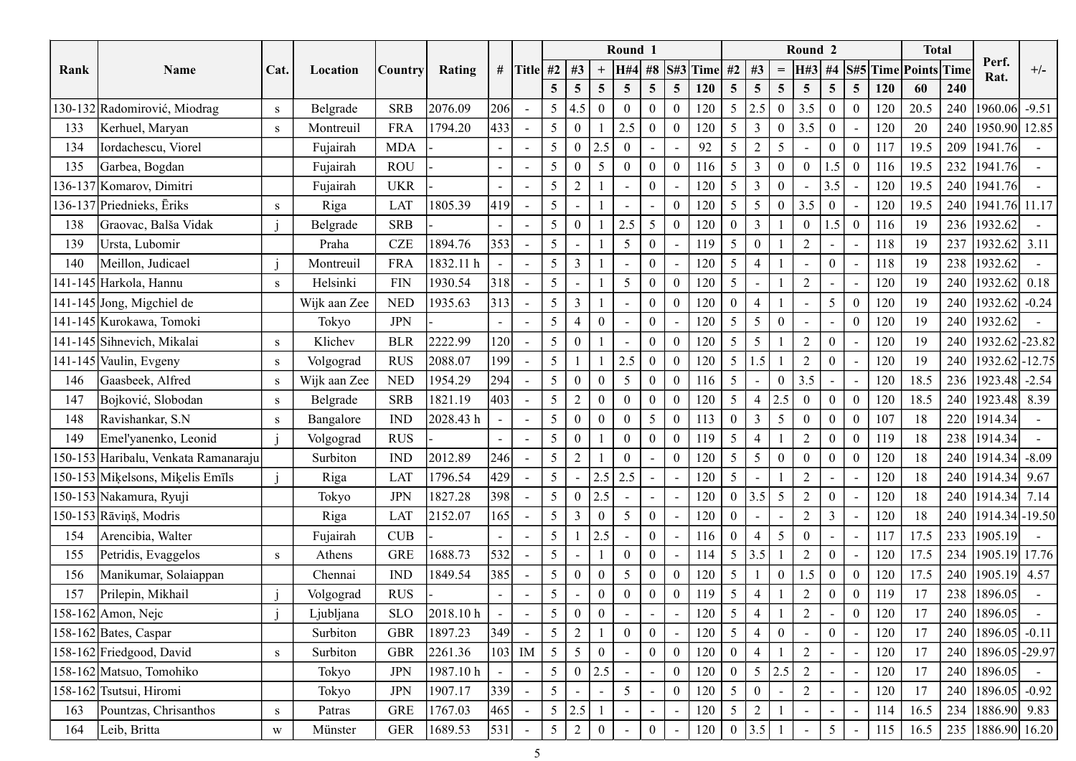| Round 1<br><b>Total</b><br>Round <sub>2</sub><br>Perf.<br>S#5 Time Points Time<br># Title #2   #3<br>#8 $S$ #3 Time<br>#2<br>$+/-$<br>#3<br>H#3<br>#4<br>Cat.<br><b>H#4</b><br>Rank<br>Name<br>Rating<br>  Country<br>Location<br>$\!\!\!=\!\!\!\!$<br>Rat.<br>240<br>5 <sup>5</sup><br>$\overline{5}$<br>$5\overline{)}$<br>5 <sup>5</sup><br>120<br>60<br>5 <sup>5</sup><br>$\overline{5}$<br>$\overline{5}$<br>5 <sup>5</sup><br>$5\overline{)}$<br><b>120</b><br>$\overline{5}$<br>$\overline{5}$<br>5 <sup>5</sup><br>240<br>2076.09<br>206<br>$\overline{0}$<br>20.5<br>1960.06 -9.51<br>130-132 Radomirović, Miodrag<br><b>SRB</b><br>$5\overline{)}$<br> 2.5 <br>3.5<br>Belgrade<br>5 <sup>5</sup><br>4.5<br>$\mathbf{0}$<br>120<br>$\overline{0}$<br>120<br>$\bf{0}$<br>$\bf{0}$<br>S<br>$\sim$<br>433<br>20<br>240<br><b>FRA</b><br>1794.20<br>$5\overline{)}$<br>$\overline{3}$<br>$\overline{0}$<br>1950.90 12.85<br>Kerhuel, Maryan<br>$\overline{0}$<br>2.5<br>$\overline{0}$<br>3.5<br>120<br>$\bf{0}$<br>120<br>133<br>Montreuil<br>S<br>$\sim$<br>209<br>5<br>2<br>$5\overline{)}$<br>19.5<br>1941.76<br>Iordachescu, Viorel<br>Fujairah<br><b>MDA</b><br>$\overline{0}$<br>92<br>$\boldsymbol{0}$<br>$\mathbf{0}$<br>117<br>5 <sup>5</sup><br>2.5<br>134<br>$\sim$<br>$\overline{\phantom{a}}$<br>232<br><b>ROU</b><br>$\overline{0}$<br>19.5<br>Garbea, Bogdan<br>Fujairah<br>$\overline{0}$<br>5<br>3<br>$\overline{0}$<br> 1941.76 <br>135<br>$\Omega$<br>$\sim$<br>1.5<br>116<br>116<br>$\overline{0}$<br>$\sim$<br>$\blacksquare$<br>240<br><b>UKR</b><br>5<br>$\overline{3}$<br>$\overline{0}$<br>19.5<br>[1941.76]<br>136-137 Komarov, Dimitri<br>5<br>2<br>$\overline{0}$<br>120<br>3.5<br>120<br>Fujairah<br>$\overline{\phantom{0}}$<br>$\sim$<br>$\sim$<br>$\overline{\phantom{a}}$<br>$\sim$<br> 419 <br>136-137 Priednieks, Ēriks<br>$\overline{5}$<br>$\overline{0}$<br>3.5<br>240   1941.76   11.17<br>1805.39<br>5<br>120<br>5<br>19.5<br>LAT<br>$\Omega$<br>120<br>Riga<br>S<br>$\sim$<br>$\blacksquare$<br>236<br>1932.62<br>Graovac, Balša Vidak<br><b>SRB</b><br>5 <sup>5</sup><br>$\overline{0}$<br>2.5<br>$5\overline{)}$<br>120<br>3<br>$\overline{0}$<br>116<br>19<br>$\overline{0}$<br>1.5<br>Belgrade<br>$\theta$<br>$\theta$<br>138<br>$\sim$<br>$\blacksquare$<br>353<br>CZE<br>1894.76<br>$5\overline{)}$<br>19<br>237<br>$ 1932.62 $ 3.11<br>Ursta, Lubomir<br>5<br>-5<br>$\mathbf{0}$<br>119<br>$\boldsymbol{0}$<br>$\bigcap$<br>118<br>139<br>Praha<br>$\sim$<br>238<br>1932.62<br><b>FRA</b><br>1832.11 h<br>5<br>$\overline{3}$<br>120<br>5<br>118<br>19<br>Meillon, Judicael<br>$\mathbf{0}$<br>$\overline{4}$<br>$\Omega$<br>140<br>Montreuil<br>$\sim$<br>$\overline{\phantom{a}}$<br>318<br>240<br>$ 1932.62 $ 0.18<br>141-145 Harkola, Hannu<br><b>FIN</b><br>1930.54<br>5 <sup>5</sup><br>$\boldsymbol{0}$<br>120<br>$5\overline{)}$<br>120<br>19<br>5<br>$\bigcap$<br>Helsinki<br>$\Omega$<br>S<br>$\sim$<br>$\overline{\phantom{a}}$<br>240 1932.62 -0.24<br>141-145 Jong, Migchiel de<br>1935.63<br>Wijk aan Zee<br><b>NED</b><br> 313 <br>120<br>$5\overline{)}$<br>$\mathbf{0}$<br>120<br>19<br>$\overline{0}$<br>$\mathfrak{S}$<br>$\mathbf{0}$<br>$\overline{4}$<br>$\bf{0}$<br>3<br>$\sim$<br>$5 \mid$<br>$5\overline{)}$<br>$\overline{0}$<br>240   1932.62  <br>141-145 Kurokawa, Tomoki<br><b>JPN</b><br>120<br>$\overline{0}$<br>120<br>19<br>5 <sup>1</sup><br>$\overline{4}$<br>$\overline{0}$<br>Tokyo<br>$\sim$<br>$\sim$<br>120<br>240<br>2222.99<br>5 <sup>5</sup><br>$ 1932.62 $ -23.82<br>141-145 Sihnevich, Mikalai<br>$\mathbf{0}$<br>120<br>$5\overline{)}$<br>5<br>120<br>19<br><b>BLR</b><br>$\Omega$<br>Klichev<br>$\Omega$<br>$\Omega$<br>S<br>$\overline{a}$<br>199<br>240<br>$ 1932.62 $ -12.75<br>141-145 Vaulin, Evgeny<br><b>RUS</b><br>2088.07<br>5 <sup>5</sup><br>2.5<br>120<br>5 <sup>5</sup><br>120<br>19<br>$\boldsymbol{0}$<br>1.5<br>Volgograd<br>$\overline{0}$<br>$\theta$<br>$\sim$<br><sub>S</sub><br>294<br>236 1923.48 -2.54<br>Gaasbeek, Alfred<br>1954.29<br>5 <sup>5</sup><br>$5\overline{)}$<br>$\overline{0}$<br>3.5<br>18.5<br><b>NED</b><br>$\mathbf{0}$<br>5<br>$\overline{0}$<br>116<br>120<br>Wijk aan Zee<br>146<br>$\theta$<br> 403 <br> 2.5 <br>240   1923.48   8.39<br>1821.19<br>$5 \mid 2$<br>$\mathbf{0}$<br>$120 \mid 5$<br>$\mathbf{0}$<br>$\mathbf{0}$<br>18.5<br>Bojković, Slobodan<br><b>SRB</b><br>$\overline{4}$<br>120<br>Belgrade<br>$\mathbf{0}$<br>$\overline{0}$<br>147<br>$\sim$<br>S<br>2028.43 h<br>5 <sup>5</sup><br>220<br>Ravishankar, S.N<br><b>IND</b><br>5 <sup>5</sup><br>5<br>$\overline{3}$<br>18<br>1914.34<br>148<br>$\theta$<br>113<br>$\theta$<br>107<br>Bangalore<br>$\overline{0}$<br>$\theta$<br>$\theta$<br>$\sim$<br>$\mathbf{0}$<br>5 <sup>5</sup><br>$\overline{0}$<br>18<br>238   1914.34<br><b>RUS</b><br>5 <sup>1</sup><br>119<br>$\boldsymbol{0}$<br>119<br>Emel'yanenko, Leonid<br>$\overline{0}$<br>$\overline{0}$<br>$\overline{4}$<br>$\overline{2}$<br>149<br>Volgograd<br>$\sim$<br>246<br>2012.89<br>$\overline{0}$<br>150-153 Haribalu, Venkata Ramanaraju<br>5 <sup>7</sup><br>2<br>120<br>5 <sup>5</sup><br>$\overline{5}$<br>$\overline{0}$<br>240   1914.34   -8.09<br><b>IND</b><br>$\overline{0}$<br>$\overline{0}$<br>120<br>18<br>Surbiton<br>$\Omega$<br>$\sim$<br>429<br>5 <sup>1</sup><br>$120 \mid 5$<br>240   1914.34   9.67<br>1796.54<br>$2.5$ 2.5<br>18<br>150-153 Mikelsons, Mikelis Emīls<br>120<br>Riga<br>LAT<br>$\sim$<br>$\sim$<br>398<br>3.5<br>$5\overline{)}$<br>150-153 Nakamura, Ryuji<br>JPN<br>1827.28<br>5 <sup>1</sup><br>120<br>240   1914.34   7.14<br>$\overline{0}$<br>2.5<br>$\overline{0}$<br>120<br>18<br>Tokyo<br>$\Omega$<br>$\sim$<br>165<br>18<br>240   1914.34   - 19.50<br>$150-153$ Rāviņš, Modris<br>2152.07<br>5 <sup>5</sup><br>$\boldsymbol{0}$<br>120<br>5 <sup>5</sup><br>$\overline{0}$<br>$\overline{2}$<br>$\mathbf{3}$<br>120<br>LAT<br>$\overline{3}$<br>Riga<br>$\overline{0}$<br>$\sim$<br>5 <sup>5</sup><br>5 <sup>5</sup><br>233 1905.19<br>Arencibia, Walter<br>$\mathbf{0}$<br>17.5<br>CUB<br>2.5<br>116<br>$\overline{0}$<br>$\theta$<br>117<br>154<br>Fujairah<br>$\blacksquare$<br>$\sim$<br>$\blacksquare$<br>$\overline{\phantom{a}}$<br> 532 <br>1688.73<br>234 1905.19 17.76<br>$\frac{1}{5}$<br>5 <sup>5</sup><br>3.5<br>17.5<br>Petridis, Evaggelos<br><b>GRE</b><br>$\mathbf{0}$<br>2<br>120<br>114<br>$\overline{0}$<br>155<br>Athens<br>S<br>$\sim$<br>385<br>$\overline{0}$<br>120<br>$5\overline{)}$<br>1.5<br>$\overline{0}$<br>1849.54<br>5 <sup>5</sup><br>17.5<br>240 1905.19 4.57<br>Manikumar, Solaiappan<br><b>IND</b><br>5<br>$\mathbf{0}$<br>$\boldsymbol{0}$<br>120<br>156<br>Chennai<br>$\mathbf{0}$<br>$\Omega$<br>$\sim$<br>238 1896.05<br>Prilepin, Mikhail<br><b>RUS</b><br>$5\overline{)}$<br>$\mathbf{0}$<br>119<br>17<br>157<br>5 <sup>5</sup><br>$\overline{0}$<br>119<br>$\mathbf{0}$<br>Volgograd<br>$\Omega$<br>$\overline{4}$<br>$\sim$<br>2018.10 h<br>120<br>5 <sup>5</sup><br>$\overline{0}$<br>158-162 Amon, Nejc<br>5 <sup>5</sup><br>120<br>17<br>240<br>1896.05<br><b>SLO</b><br>$\overline{0}$<br>$\overline{4}$<br>$\overline{2}$<br>Ljubljana<br>$\sim$<br>349<br>240<br>$158-162$ Bates, Caspar<br>5 <sup>1</sup><br>2<br>$\overline{0}$<br>120<br>$\overline{0}$<br>1896.05<br>Surbiton<br><b>GBR</b><br>1897.23<br>$5\overline{)}$<br>120<br>17<br>$-0.11$<br>$\overline{4}$<br>$\theta$<br>$\sim$<br>$ 103 $ IM<br>2261.36<br>240<br>1896.05 - 29.97<br>158-162 Friedgood, David<br><b>GBR</b><br>5 <sup>5</sup><br>$\overline{5}$<br>$\overline{0}$<br>120<br>$\overline{0}$<br>17<br>Surbiton<br>$\overline{2}$<br>120<br>$\bf{0}$<br>$\overline{4}$<br>$\theta$<br>S<br>2.5<br>2.5<br>5 <sup>1</sup><br>120<br>$\overline{5}$<br>240<br>1896.05<br>158-162 Matsuo, Tomohiko<br><b>JPN</b><br>1987.10 h<br>$\mathbf{0}$<br>$\overline{2}$<br>120<br>17<br>$\overline{0}$<br>Tokyo<br>$\theta$<br>$\sim$<br>$339$<br>$\vert 5 \vert$<br>158-162 Tsutsui, Hiromi<br>1907.17<br>5 <sup>5</sup><br>120<br>$\mathbf{0}$<br>17<br>240<br>$ 1896.05  -0.92$<br><b>JPN</b><br>120<br>$5\overline{)}$<br>$\overline{2}$<br>$\Omega$<br>Tokyo<br>$\sim$<br> 465 <br>$5 \mid 2.5$<br>234   1886.90   9.83<br>Pountzas, Chrisanthos<br><b>GRE</b><br>1767.03<br>5 <sup>5</sup><br>$\overline{2}$<br>16.5<br>120<br>163<br>114<br>S<br>Patras<br>$\sim$<br>1689.53<br>Leib, Britta<br> 531 <br>3.5<br>235 1886.90 16.20<br><b>GER</b><br>5 <sup>5</sup><br>$\overline{0}$<br>120<br>16.5<br>2<br>$\sim$<br>164<br>115<br>W<br>Münster<br>$\sim$ |  |  |  |  |  |  |  |  |  |  |  |  |  |
|-------------------------------------------------------------------------------------------------------------------------------------------------------------------------------------------------------------------------------------------------------------------------------------------------------------------------------------------------------------------------------------------------------------------------------------------------------------------------------------------------------------------------------------------------------------------------------------------------------------------------------------------------------------------------------------------------------------------------------------------------------------------------------------------------------------------------------------------------------------------------------------------------------------------------------------------------------------------------------------------------------------------------------------------------------------------------------------------------------------------------------------------------------------------------------------------------------------------------------------------------------------------------------------------------------------------------------------------------------------------------------------------------------------------------------------------------------------------------------------------------------------------------------------------------------------------------------------------------------------------------------------------------------------------------------------------------------------------------------------------------------------------------------------------------------------------------------------------------------------------------------------------------------------------------------------------------------------------------------------------------------------------------------------------------------------------------------------------------------------------------------------------------------------------------------------------------------------------------------------------------------------------------------------------------------------------------------------------------------------------------------------------------------------------------------------------------------------------------------------------------------------------------------------------------------------------------------------------------------------------------------------------------------------------------------------------------------------------------------------------------------------------------------------------------------------------------------------------------------------------------------------------------------------------------------------------------------------------------------------------------------------------------------------------------------------------------------------------------------------------------------------------------------------------------------------------------------------------------------------------------------------------------------------------------------------------------------------------------------------------------------------------------------------------------------------------------------------------------------------------------------------------------------------------------------------------------------------------------------------------------------------------------------------------------------------------------------------------------------------------------------------------------------------------------------------------------------------------------------------------------------------------------------------------------------------------------------------------------------------------------------------------------------------------------------------------------------------------------------------------------------------------------------------------------------------------------------------------------------------------------------------------------------------------------------------------------------------------------------------------------------------------------------------------------------------------------------------------------------------------------------------------------------------------------------------------------------------------------------------------------------------------------------------------------------------------------------------------------------------------------------------------------------------------------------------------------------------------------------------------------------------------------------------------------------------------------------------------------------------------------------------------------------------------------------------------------------------------------------------------------------------------------------------------------------------------------------------------------------------------------------------------------------------------------------------------------------------------------------------------------------------------------------------------------------------------------------------------------------------------------------------------------------------------------------------------------------------------------------------------------------------------------------------------------------------------------------------------------------------------------------------------------------------------------------------------------------------------------------------------------------------------------------------------------------------------------------------------------------------------------------------------------------------------------------------------------------------------------------------------------------------------------------------------------------------------------------------------------------------------------------------------------------------------------------------------------------------------------------------------------------------------------------------------------------------------------------------------------------------------------------------------------------------------------------------------------------------------------------------------------------------------------------------------------------------------------------------------------------------------------------------------------------------------------------------------------------------------------------------------------------------------------------------------------------------------------------------------------------------------------------------------------------------------------------------------------------------------------------------------------------------------------------------------------------------------------------------------------------------------------------------------------------------------------------------------------------------------------------------------------------------------------------------------------------------------------------------------------------------------------------------------------------------------------------------------------------------------------------------------------------------------------------------------------------------------------------------------------------------------------------------------------------------------------------------------------------------------------------------------------------------------------------------------------------------------------------------------------------------------------------------------------------------------------------------------------------------------------------------------------------------------------------------------------------------------------------------------------------------------------------------------------------------------------------------------------------------------------------------------------------------------------------------------------------------------------------------------------------------------------------------------------------------------------------------------------------------------------------------------------------|--|--|--|--|--|--|--|--|--|--|--|--|--|
|                                                                                                                                                                                                                                                                                                                                                                                                                                                                                                                                                                                                                                                                                                                                                                                                                                                                                                                                                                                                                                                                                                                                                                                                                                                                                                                                                                                                                                                                                                                                                                                                                                                                                                                                                                                                                                                                                                                                                                                                                                                                                                                                                                                                                                                                                                                                                                                                                                                                                                                                                                                                                                                                                                                                                                                                                                                                                                                                                                                                                                                                                                                                                                                                                                                                                                                                                                                                                                                                                                                                                                                                                                                                                                                                                                                                                                                                                                                                                                                                                                                                                                                                                                                                                                                                                                                                                                                                                                                                                                                                                                                                                                                                                                                                                                                                                                                                                                                                                                                                                                                                                                                                                                                                                                                                                                                                                                                                                                                                                                                                                                                                                                                                                                                                                                                                                                                                                                                                                                                                                                                                                                                                                                                                                                                                                                                                                                                                                                                                                                                                                                                                                                                                                                                                                                                                                                                                                                                                                                                                                                                                                                                                                                                                                                                                                                                                                                                                                                                                                                                                                                                                                                                                                                                                                                                                                                                                                                                                                                                                                                                                                                                                                                                                                                                                                                                                                                                                                                                                                                                                                                                                                               |  |  |  |  |  |  |  |  |  |  |  |  |  |
|                                                                                                                                                                                                                                                                                                                                                                                                                                                                                                                                                                                                                                                                                                                                                                                                                                                                                                                                                                                                                                                                                                                                                                                                                                                                                                                                                                                                                                                                                                                                                                                                                                                                                                                                                                                                                                                                                                                                                                                                                                                                                                                                                                                                                                                                                                                                                                                                                                                                                                                                                                                                                                                                                                                                                                                                                                                                                                                                                                                                                                                                                                                                                                                                                                                                                                                                                                                                                                                                                                                                                                                                                                                                                                                                                                                                                                                                                                                                                                                                                                                                                                                                                                                                                                                                                                                                                                                                                                                                                                                                                                                                                                                                                                                                                                                                                                                                                                                                                                                                                                                                                                                                                                                                                                                                                                                                                                                                                                                                                                                                                                                                                                                                                                                                                                                                                                                                                                                                                                                                                                                                                                                                                                                                                                                                                                                                                                                                                                                                                                                                                                                                                                                                                                                                                                                                                                                                                                                                                                                                                                                                                                                                                                                                                                                                                                                                                                                                                                                                                                                                                                                                                                                                                                                                                                                                                                                                                                                                                                                                                                                                                                                                                                                                                                                                                                                                                                                                                                                                                                                                                                                                                               |  |  |  |  |  |  |  |  |  |  |  |  |  |
|                                                                                                                                                                                                                                                                                                                                                                                                                                                                                                                                                                                                                                                                                                                                                                                                                                                                                                                                                                                                                                                                                                                                                                                                                                                                                                                                                                                                                                                                                                                                                                                                                                                                                                                                                                                                                                                                                                                                                                                                                                                                                                                                                                                                                                                                                                                                                                                                                                                                                                                                                                                                                                                                                                                                                                                                                                                                                                                                                                                                                                                                                                                                                                                                                                                                                                                                                                                                                                                                                                                                                                                                                                                                                                                                                                                                                                                                                                                                                                                                                                                                                                                                                                                                                                                                                                                                                                                                                                                                                                                                                                                                                                                                                                                                                                                                                                                                                                                                                                                                                                                                                                                                                                                                                                                                                                                                                                                                                                                                                                                                                                                                                                                                                                                                                                                                                                                                                                                                                                                                                                                                                                                                                                                                                                                                                                                                                                                                                                                                                                                                                                                                                                                                                                                                                                                                                                                                                                                                                                                                                                                                                                                                                                                                                                                                                                                                                                                                                                                                                                                                                                                                                                                                                                                                                                                                                                                                                                                                                                                                                                                                                                                                                                                                                                                                                                                                                                                                                                                                                                                                                                                                                               |  |  |  |  |  |  |  |  |  |  |  |  |  |
|                                                                                                                                                                                                                                                                                                                                                                                                                                                                                                                                                                                                                                                                                                                                                                                                                                                                                                                                                                                                                                                                                                                                                                                                                                                                                                                                                                                                                                                                                                                                                                                                                                                                                                                                                                                                                                                                                                                                                                                                                                                                                                                                                                                                                                                                                                                                                                                                                                                                                                                                                                                                                                                                                                                                                                                                                                                                                                                                                                                                                                                                                                                                                                                                                                                                                                                                                                                                                                                                                                                                                                                                                                                                                                                                                                                                                                                                                                                                                                                                                                                                                                                                                                                                                                                                                                                                                                                                                                                                                                                                                                                                                                                                                                                                                                                                                                                                                                                                                                                                                                                                                                                                                                                                                                                                                                                                                                                                                                                                                                                                                                                                                                                                                                                                                                                                                                                                                                                                                                                                                                                                                                                                                                                                                                                                                                                                                                                                                                                                                                                                                                                                                                                                                                                                                                                                                                                                                                                                                                                                                                                                                                                                                                                                                                                                                                                                                                                                                                                                                                                                                                                                                                                                                                                                                                                                                                                                                                                                                                                                                                                                                                                                                                                                                                                                                                                                                                                                                                                                                                                                                                                                                               |  |  |  |  |  |  |  |  |  |  |  |  |  |
|                                                                                                                                                                                                                                                                                                                                                                                                                                                                                                                                                                                                                                                                                                                                                                                                                                                                                                                                                                                                                                                                                                                                                                                                                                                                                                                                                                                                                                                                                                                                                                                                                                                                                                                                                                                                                                                                                                                                                                                                                                                                                                                                                                                                                                                                                                                                                                                                                                                                                                                                                                                                                                                                                                                                                                                                                                                                                                                                                                                                                                                                                                                                                                                                                                                                                                                                                                                                                                                                                                                                                                                                                                                                                                                                                                                                                                                                                                                                                                                                                                                                                                                                                                                                                                                                                                                                                                                                                                                                                                                                                                                                                                                                                                                                                                                                                                                                                                                                                                                                                                                                                                                                                                                                                                                                                                                                                                                                                                                                                                                                                                                                                                                                                                                                                                                                                                                                                                                                                                                                                                                                                                                                                                                                                                                                                                                                                                                                                                                                                                                                                                                                                                                                                                                                                                                                                                                                                                                                                                                                                                                                                                                                                                                                                                                                                                                                                                                                                                                                                                                                                                                                                                                                                                                                                                                                                                                                                                                                                                                                                                                                                                                                                                                                                                                                                                                                                                                                                                                                                                                                                                                                                               |  |  |  |  |  |  |  |  |  |  |  |  |  |
|                                                                                                                                                                                                                                                                                                                                                                                                                                                                                                                                                                                                                                                                                                                                                                                                                                                                                                                                                                                                                                                                                                                                                                                                                                                                                                                                                                                                                                                                                                                                                                                                                                                                                                                                                                                                                                                                                                                                                                                                                                                                                                                                                                                                                                                                                                                                                                                                                                                                                                                                                                                                                                                                                                                                                                                                                                                                                                                                                                                                                                                                                                                                                                                                                                                                                                                                                                                                                                                                                                                                                                                                                                                                                                                                                                                                                                                                                                                                                                                                                                                                                                                                                                                                                                                                                                                                                                                                                                                                                                                                                                                                                                                                                                                                                                                                                                                                                                                                                                                                                                                                                                                                                                                                                                                                                                                                                                                                                                                                                                                                                                                                                                                                                                                                                                                                                                                                                                                                                                                                                                                                                                                                                                                                                                                                                                                                                                                                                                                                                                                                                                                                                                                                                                                                                                                                                                                                                                                                                                                                                                                                                                                                                                                                                                                                                                                                                                                                                                                                                                                                                                                                                                                                                                                                                                                                                                                                                                                                                                                                                                                                                                                                                                                                                                                                                                                                                                                                                                                                                                                                                                                                                               |  |  |  |  |  |  |  |  |  |  |  |  |  |
|                                                                                                                                                                                                                                                                                                                                                                                                                                                                                                                                                                                                                                                                                                                                                                                                                                                                                                                                                                                                                                                                                                                                                                                                                                                                                                                                                                                                                                                                                                                                                                                                                                                                                                                                                                                                                                                                                                                                                                                                                                                                                                                                                                                                                                                                                                                                                                                                                                                                                                                                                                                                                                                                                                                                                                                                                                                                                                                                                                                                                                                                                                                                                                                                                                                                                                                                                                                                                                                                                                                                                                                                                                                                                                                                                                                                                                                                                                                                                                                                                                                                                                                                                                                                                                                                                                                                                                                                                                                                                                                                                                                                                                                                                                                                                                                                                                                                                                                                                                                                                                                                                                                                                                                                                                                                                                                                                                                                                                                                                                                                                                                                                                                                                                                                                                                                                                                                                                                                                                                                                                                                                                                                                                                                                                                                                                                                                                                                                                                                                                                                                                                                                                                                                                                                                                                                                                                                                                                                                                                                                                                                                                                                                                                                                                                                                                                                                                                                                                                                                                                                                                                                                                                                                                                                                                                                                                                                                                                                                                                                                                                                                                                                                                                                                                                                                                                                                                                                                                                                                                                                                                                                                               |  |  |  |  |  |  |  |  |  |  |  |  |  |
|                                                                                                                                                                                                                                                                                                                                                                                                                                                                                                                                                                                                                                                                                                                                                                                                                                                                                                                                                                                                                                                                                                                                                                                                                                                                                                                                                                                                                                                                                                                                                                                                                                                                                                                                                                                                                                                                                                                                                                                                                                                                                                                                                                                                                                                                                                                                                                                                                                                                                                                                                                                                                                                                                                                                                                                                                                                                                                                                                                                                                                                                                                                                                                                                                                                                                                                                                                                                                                                                                                                                                                                                                                                                                                                                                                                                                                                                                                                                                                                                                                                                                                                                                                                                                                                                                                                                                                                                                                                                                                                                                                                                                                                                                                                                                                                                                                                                                                                                                                                                                                                                                                                                                                                                                                                                                                                                                                                                                                                                                                                                                                                                                                                                                                                                                                                                                                                                                                                                                                                                                                                                                                                                                                                                                                                                                                                                                                                                                                                                                                                                                                                                                                                                                                                                                                                                                                                                                                                                                                                                                                                                                                                                                                                                                                                                                                                                                                                                                                                                                                                                                                                                                                                                                                                                                                                                                                                                                                                                                                                                                                                                                                                                                                                                                                                                                                                                                                                                                                                                                                                                                                                                                               |  |  |  |  |  |  |  |  |  |  |  |  |  |
|                                                                                                                                                                                                                                                                                                                                                                                                                                                                                                                                                                                                                                                                                                                                                                                                                                                                                                                                                                                                                                                                                                                                                                                                                                                                                                                                                                                                                                                                                                                                                                                                                                                                                                                                                                                                                                                                                                                                                                                                                                                                                                                                                                                                                                                                                                                                                                                                                                                                                                                                                                                                                                                                                                                                                                                                                                                                                                                                                                                                                                                                                                                                                                                                                                                                                                                                                                                                                                                                                                                                                                                                                                                                                                                                                                                                                                                                                                                                                                                                                                                                                                                                                                                                                                                                                                                                                                                                                                                                                                                                                                                                                                                                                                                                                                                                                                                                                                                                                                                                                                                                                                                                                                                                                                                                                                                                                                                                                                                                                                                                                                                                                                                                                                                                                                                                                                                                                                                                                                                                                                                                                                                                                                                                                                                                                                                                                                                                                                                                                                                                                                                                                                                                                                                                                                                                                                                                                                                                                                                                                                                                                                                                                                                                                                                                                                                                                                                                                                                                                                                                                                                                                                                                                                                                                                                                                                                                                                                                                                                                                                                                                                                                                                                                                                                                                                                                                                                                                                                                                                                                                                                                                               |  |  |  |  |  |  |  |  |  |  |  |  |  |
|                                                                                                                                                                                                                                                                                                                                                                                                                                                                                                                                                                                                                                                                                                                                                                                                                                                                                                                                                                                                                                                                                                                                                                                                                                                                                                                                                                                                                                                                                                                                                                                                                                                                                                                                                                                                                                                                                                                                                                                                                                                                                                                                                                                                                                                                                                                                                                                                                                                                                                                                                                                                                                                                                                                                                                                                                                                                                                                                                                                                                                                                                                                                                                                                                                                                                                                                                                                                                                                                                                                                                                                                                                                                                                                                                                                                                                                                                                                                                                                                                                                                                                                                                                                                                                                                                                                                                                                                                                                                                                                                                                                                                                                                                                                                                                                                                                                                                                                                                                                                                                                                                                                                                                                                                                                                                                                                                                                                                                                                                                                                                                                                                                                                                                                                                                                                                                                                                                                                                                                                                                                                                                                                                                                                                                                                                                                                                                                                                                                                                                                                                                                                                                                                                                                                                                                                                                                                                                                                                                                                                                                                                                                                                                                                                                                                                                                                                                                                                                                                                                                                                                                                                                                                                                                                                                                                                                                                                                                                                                                                                                                                                                                                                                                                                                                                                                                                                                                                                                                                                                                                                                                                                               |  |  |  |  |  |  |  |  |  |  |  |  |  |
|                                                                                                                                                                                                                                                                                                                                                                                                                                                                                                                                                                                                                                                                                                                                                                                                                                                                                                                                                                                                                                                                                                                                                                                                                                                                                                                                                                                                                                                                                                                                                                                                                                                                                                                                                                                                                                                                                                                                                                                                                                                                                                                                                                                                                                                                                                                                                                                                                                                                                                                                                                                                                                                                                                                                                                                                                                                                                                                                                                                                                                                                                                                                                                                                                                                                                                                                                                                                                                                                                                                                                                                                                                                                                                                                                                                                                                                                                                                                                                                                                                                                                                                                                                                                                                                                                                                                                                                                                                                                                                                                                                                                                                                                                                                                                                                                                                                                                                                                                                                                                                                                                                                                                                                                                                                                                                                                                                                                                                                                                                                                                                                                                                                                                                                                                                                                                                                                                                                                                                                                                                                                                                                                                                                                                                                                                                                                                                                                                                                                                                                                                                                                                                                                                                                                                                                                                                                                                                                                                                                                                                                                                                                                                                                                                                                                                                                                                                                                                                                                                                                                                                                                                                                                                                                                                                                                                                                                                                                                                                                                                                                                                                                                                                                                                                                                                                                                                                                                                                                                                                                                                                                                                               |  |  |  |  |  |  |  |  |  |  |  |  |  |
|                                                                                                                                                                                                                                                                                                                                                                                                                                                                                                                                                                                                                                                                                                                                                                                                                                                                                                                                                                                                                                                                                                                                                                                                                                                                                                                                                                                                                                                                                                                                                                                                                                                                                                                                                                                                                                                                                                                                                                                                                                                                                                                                                                                                                                                                                                                                                                                                                                                                                                                                                                                                                                                                                                                                                                                                                                                                                                                                                                                                                                                                                                                                                                                                                                                                                                                                                                                                                                                                                                                                                                                                                                                                                                                                                                                                                                                                                                                                                                                                                                                                                                                                                                                                                                                                                                                                                                                                                                                                                                                                                                                                                                                                                                                                                                                                                                                                                                                                                                                                                                                                                                                                                                                                                                                                                                                                                                                                                                                                                                                                                                                                                                                                                                                                                                                                                                                                                                                                                                                                                                                                                                                                                                                                                                                                                                                                                                                                                                                                                                                                                                                                                                                                                                                                                                                                                                                                                                                                                                                                                                                                                                                                                                                                                                                                                                                                                                                                                                                                                                                                                                                                                                                                                                                                                                                                                                                                                                                                                                                                                                                                                                                                                                                                                                                                                                                                                                                                                                                                                                                                                                                                                               |  |  |  |  |  |  |  |  |  |  |  |  |  |
|                                                                                                                                                                                                                                                                                                                                                                                                                                                                                                                                                                                                                                                                                                                                                                                                                                                                                                                                                                                                                                                                                                                                                                                                                                                                                                                                                                                                                                                                                                                                                                                                                                                                                                                                                                                                                                                                                                                                                                                                                                                                                                                                                                                                                                                                                                                                                                                                                                                                                                                                                                                                                                                                                                                                                                                                                                                                                                                                                                                                                                                                                                                                                                                                                                                                                                                                                                                                                                                                                                                                                                                                                                                                                                                                                                                                                                                                                                                                                                                                                                                                                                                                                                                                                                                                                                                                                                                                                                                                                                                                                                                                                                                                                                                                                                                                                                                                                                                                                                                                                                                                                                                                                                                                                                                                                                                                                                                                                                                                                                                                                                                                                                                                                                                                                                                                                                                                                                                                                                                                                                                                                                                                                                                                                                                                                                                                                                                                                                                                                                                                                                                                                                                                                                                                                                                                                                                                                                                                                                                                                                                                                                                                                                                                                                                                                                                                                                                                                                                                                                                                                                                                                                                                                                                                                                                                                                                                                                                                                                                                                                                                                                                                                                                                                                                                                                                                                                                                                                                                                                                                                                                                                               |  |  |  |  |  |  |  |  |  |  |  |  |  |
|                                                                                                                                                                                                                                                                                                                                                                                                                                                                                                                                                                                                                                                                                                                                                                                                                                                                                                                                                                                                                                                                                                                                                                                                                                                                                                                                                                                                                                                                                                                                                                                                                                                                                                                                                                                                                                                                                                                                                                                                                                                                                                                                                                                                                                                                                                                                                                                                                                                                                                                                                                                                                                                                                                                                                                                                                                                                                                                                                                                                                                                                                                                                                                                                                                                                                                                                                                                                                                                                                                                                                                                                                                                                                                                                                                                                                                                                                                                                                                                                                                                                                                                                                                                                                                                                                                                                                                                                                                                                                                                                                                                                                                                                                                                                                                                                                                                                                                                                                                                                                                                                                                                                                                                                                                                                                                                                                                                                                                                                                                                                                                                                                                                                                                                                                                                                                                                                                                                                                                                                                                                                                                                                                                                                                                                                                                                                                                                                                                                                                                                                                                                                                                                                                                                                                                                                                                                                                                                                                                                                                                                                                                                                                                                                                                                                                                                                                                                                                                                                                                                                                                                                                                                                                                                                                                                                                                                                                                                                                                                                                                                                                                                                                                                                                                                                                                                                                                                                                                                                                                                                                                                                                               |  |  |  |  |  |  |  |  |  |  |  |  |  |
|                                                                                                                                                                                                                                                                                                                                                                                                                                                                                                                                                                                                                                                                                                                                                                                                                                                                                                                                                                                                                                                                                                                                                                                                                                                                                                                                                                                                                                                                                                                                                                                                                                                                                                                                                                                                                                                                                                                                                                                                                                                                                                                                                                                                                                                                                                                                                                                                                                                                                                                                                                                                                                                                                                                                                                                                                                                                                                                                                                                                                                                                                                                                                                                                                                                                                                                                                                                                                                                                                                                                                                                                                                                                                                                                                                                                                                                                                                                                                                                                                                                                                                                                                                                                                                                                                                                                                                                                                                                                                                                                                                                                                                                                                                                                                                                                                                                                                                                                                                                                                                                                                                                                                                                                                                                                                                                                                                                                                                                                                                                                                                                                                                                                                                                                                                                                                                                                                                                                                                                                                                                                                                                                                                                                                                                                                                                                                                                                                                                                                                                                                                                                                                                                                                                                                                                                                                                                                                                                                                                                                                                                                                                                                                                                                                                                                                                                                                                                                                                                                                                                                                                                                                                                                                                                                                                                                                                                                                                                                                                                                                                                                                                                                                                                                                                                                                                                                                                                                                                                                                                                                                                                                               |  |  |  |  |  |  |  |  |  |  |  |  |  |
|                                                                                                                                                                                                                                                                                                                                                                                                                                                                                                                                                                                                                                                                                                                                                                                                                                                                                                                                                                                                                                                                                                                                                                                                                                                                                                                                                                                                                                                                                                                                                                                                                                                                                                                                                                                                                                                                                                                                                                                                                                                                                                                                                                                                                                                                                                                                                                                                                                                                                                                                                                                                                                                                                                                                                                                                                                                                                                                                                                                                                                                                                                                                                                                                                                                                                                                                                                                                                                                                                                                                                                                                                                                                                                                                                                                                                                                                                                                                                                                                                                                                                                                                                                                                                                                                                                                                                                                                                                                                                                                                                                                                                                                                                                                                                                                                                                                                                                                                                                                                                                                                                                                                                                                                                                                                                                                                                                                                                                                                                                                                                                                                                                                                                                                                                                                                                                                                                                                                                                                                                                                                                                                                                                                                                                                                                                                                                                                                                                                                                                                                                                                                                                                                                                                                                                                                                                                                                                                                                                                                                                                                                                                                                                                                                                                                                                                                                                                                                                                                                                                                                                                                                                                                                                                                                                                                                                                                                                                                                                                                                                                                                                                                                                                                                                                                                                                                                                                                                                                                                                                                                                                                                               |  |  |  |  |  |  |  |  |  |  |  |  |  |
|                                                                                                                                                                                                                                                                                                                                                                                                                                                                                                                                                                                                                                                                                                                                                                                                                                                                                                                                                                                                                                                                                                                                                                                                                                                                                                                                                                                                                                                                                                                                                                                                                                                                                                                                                                                                                                                                                                                                                                                                                                                                                                                                                                                                                                                                                                                                                                                                                                                                                                                                                                                                                                                                                                                                                                                                                                                                                                                                                                                                                                                                                                                                                                                                                                                                                                                                                                                                                                                                                                                                                                                                                                                                                                                                                                                                                                                                                                                                                                                                                                                                                                                                                                                                                                                                                                                                                                                                                                                                                                                                                                                                                                                                                                                                                                                                                                                                                                                                                                                                                                                                                                                                                                                                                                                                                                                                                                                                                                                                                                                                                                                                                                                                                                                                                                                                                                                                                                                                                                                                                                                                                                                                                                                                                                                                                                                                                                                                                                                                                                                                                                                                                                                                                                                                                                                                                                                                                                                                                                                                                                                                                                                                                                                                                                                                                                                                                                                                                                                                                                                                                                                                                                                                                                                                                                                                                                                                                                                                                                                                                                                                                                                                                                                                                                                                                                                                                                                                                                                                                                                                                                                                                               |  |  |  |  |  |  |  |  |  |  |  |  |  |
|                                                                                                                                                                                                                                                                                                                                                                                                                                                                                                                                                                                                                                                                                                                                                                                                                                                                                                                                                                                                                                                                                                                                                                                                                                                                                                                                                                                                                                                                                                                                                                                                                                                                                                                                                                                                                                                                                                                                                                                                                                                                                                                                                                                                                                                                                                                                                                                                                                                                                                                                                                                                                                                                                                                                                                                                                                                                                                                                                                                                                                                                                                                                                                                                                                                                                                                                                                                                                                                                                                                                                                                                                                                                                                                                                                                                                                                                                                                                                                                                                                                                                                                                                                                                                                                                                                                                                                                                                                                                                                                                                                                                                                                                                                                                                                                                                                                                                                                                                                                                                                                                                                                                                                                                                                                                                                                                                                                                                                                                                                                                                                                                                                                                                                                                                                                                                                                                                                                                                                                                                                                                                                                                                                                                                                                                                                                                                                                                                                                                                                                                                                                                                                                                                                                                                                                                                                                                                                                                                                                                                                                                                                                                                                                                                                                                                                                                                                                                                                                                                                                                                                                                                                                                                                                                                                                                                                                                                                                                                                                                                                                                                                                                                                                                                                                                                                                                                                                                                                                                                                                                                                                                                               |  |  |  |  |  |  |  |  |  |  |  |  |  |
|                                                                                                                                                                                                                                                                                                                                                                                                                                                                                                                                                                                                                                                                                                                                                                                                                                                                                                                                                                                                                                                                                                                                                                                                                                                                                                                                                                                                                                                                                                                                                                                                                                                                                                                                                                                                                                                                                                                                                                                                                                                                                                                                                                                                                                                                                                                                                                                                                                                                                                                                                                                                                                                                                                                                                                                                                                                                                                                                                                                                                                                                                                                                                                                                                                                                                                                                                                                                                                                                                                                                                                                                                                                                                                                                                                                                                                                                                                                                                                                                                                                                                                                                                                                                                                                                                                                                                                                                                                                                                                                                                                                                                                                                                                                                                                                                                                                                                                                                                                                                                                                                                                                                                                                                                                                                                                                                                                                                                                                                                                                                                                                                                                                                                                                                                                                                                                                                                                                                                                                                                                                                                                                                                                                                                                                                                                                                                                                                                                                                                                                                                                                                                                                                                                                                                                                                                                                                                                                                                                                                                                                                                                                                                                                                                                                                                                                                                                                                                                                                                                                                                                                                                                                                                                                                                                                                                                                                                                                                                                                                                                                                                                                                                                                                                                                                                                                                                                                                                                                                                                                                                                                                                               |  |  |  |  |  |  |  |  |  |  |  |  |  |
|                                                                                                                                                                                                                                                                                                                                                                                                                                                                                                                                                                                                                                                                                                                                                                                                                                                                                                                                                                                                                                                                                                                                                                                                                                                                                                                                                                                                                                                                                                                                                                                                                                                                                                                                                                                                                                                                                                                                                                                                                                                                                                                                                                                                                                                                                                                                                                                                                                                                                                                                                                                                                                                                                                                                                                                                                                                                                                                                                                                                                                                                                                                                                                                                                                                                                                                                                                                                                                                                                                                                                                                                                                                                                                                                                                                                                                                                                                                                                                                                                                                                                                                                                                                                                                                                                                                                                                                                                                                                                                                                                                                                                                                                                                                                                                                                                                                                                                                                                                                                                                                                                                                                                                                                                                                                                                                                                                                                                                                                                                                                                                                                                                                                                                                                                                                                                                                                                                                                                                                                                                                                                                                                                                                                                                                                                                                                                                                                                                                                                                                                                                                                                                                                                                                                                                                                                                                                                                                                                                                                                                                                                                                                                                                                                                                                                                                                                                                                                                                                                                                                                                                                                                                                                                                                                                                                                                                                                                                                                                                                                                                                                                                                                                                                                                                                                                                                                                                                                                                                                                                                                                                                                               |  |  |  |  |  |  |  |  |  |  |  |  |  |
|                                                                                                                                                                                                                                                                                                                                                                                                                                                                                                                                                                                                                                                                                                                                                                                                                                                                                                                                                                                                                                                                                                                                                                                                                                                                                                                                                                                                                                                                                                                                                                                                                                                                                                                                                                                                                                                                                                                                                                                                                                                                                                                                                                                                                                                                                                                                                                                                                                                                                                                                                                                                                                                                                                                                                                                                                                                                                                                                                                                                                                                                                                                                                                                                                                                                                                                                                                                                                                                                                                                                                                                                                                                                                                                                                                                                                                                                                                                                                                                                                                                                                                                                                                                                                                                                                                                                                                                                                                                                                                                                                                                                                                                                                                                                                                                                                                                                                                                                                                                                                                                                                                                                                                                                                                                                                                                                                                                                                                                                                                                                                                                                                                                                                                                                                                                                                                                                                                                                                                                                                                                                                                                                                                                                                                                                                                                                                                                                                                                                                                                                                                                                                                                                                                                                                                                                                                                                                                                                                                                                                                                                                                                                                                                                                                                                                                                                                                                                                                                                                                                                                                                                                                                                                                                                                                                                                                                                                                                                                                                                                                                                                                                                                                                                                                                                                                                                                                                                                                                                                                                                                                                                                               |  |  |  |  |  |  |  |  |  |  |  |  |  |
|                                                                                                                                                                                                                                                                                                                                                                                                                                                                                                                                                                                                                                                                                                                                                                                                                                                                                                                                                                                                                                                                                                                                                                                                                                                                                                                                                                                                                                                                                                                                                                                                                                                                                                                                                                                                                                                                                                                                                                                                                                                                                                                                                                                                                                                                                                                                                                                                                                                                                                                                                                                                                                                                                                                                                                                                                                                                                                                                                                                                                                                                                                                                                                                                                                                                                                                                                                                                                                                                                                                                                                                                                                                                                                                                                                                                                                                                                                                                                                                                                                                                                                                                                                                                                                                                                                                                                                                                                                                                                                                                                                                                                                                                                                                                                                                                                                                                                                                                                                                                                                                                                                                                                                                                                                                                                                                                                                                                                                                                                                                                                                                                                                                                                                                                                                                                                                                                                                                                                                                                                                                                                                                                                                                                                                                                                                                                                                                                                                                                                                                                                                                                                                                                                                                                                                                                                                                                                                                                                                                                                                                                                                                                                                                                                                                                                                                                                                                                                                                                                                                                                                                                                                                                                                                                                                                                                                                                                                                                                                                                                                                                                                                                                                                                                                                                                                                                                                                                                                                                                                                                                                                                                               |  |  |  |  |  |  |  |  |  |  |  |  |  |
|                                                                                                                                                                                                                                                                                                                                                                                                                                                                                                                                                                                                                                                                                                                                                                                                                                                                                                                                                                                                                                                                                                                                                                                                                                                                                                                                                                                                                                                                                                                                                                                                                                                                                                                                                                                                                                                                                                                                                                                                                                                                                                                                                                                                                                                                                                                                                                                                                                                                                                                                                                                                                                                                                                                                                                                                                                                                                                                                                                                                                                                                                                                                                                                                                                                                                                                                                                                                                                                                                                                                                                                                                                                                                                                                                                                                                                                                                                                                                                                                                                                                                                                                                                                                                                                                                                                                                                                                                                                                                                                                                                                                                                                                                                                                                                                                                                                                                                                                                                                                                                                                                                                                                                                                                                                                                                                                                                                                                                                                                                                                                                                                                                                                                                                                                                                                                                                                                                                                                                                                                                                                                                                                                                                                                                                                                                                                                                                                                                                                                                                                                                                                                                                                                                                                                                                                                                                                                                                                                                                                                                                                                                                                                                                                                                                                                                                                                                                                                                                                                                                                                                                                                                                                                                                                                                                                                                                                                                                                                                                                                                                                                                                                                                                                                                                                                                                                                                                                                                                                                                                                                                                                                               |  |  |  |  |  |  |  |  |  |  |  |  |  |
|                                                                                                                                                                                                                                                                                                                                                                                                                                                                                                                                                                                                                                                                                                                                                                                                                                                                                                                                                                                                                                                                                                                                                                                                                                                                                                                                                                                                                                                                                                                                                                                                                                                                                                                                                                                                                                                                                                                                                                                                                                                                                                                                                                                                                                                                                                                                                                                                                                                                                                                                                                                                                                                                                                                                                                                                                                                                                                                                                                                                                                                                                                                                                                                                                                                                                                                                                                                                                                                                                                                                                                                                                                                                                                                                                                                                                                                                                                                                                                                                                                                                                                                                                                                                                                                                                                                                                                                                                                                                                                                                                                                                                                                                                                                                                                                                                                                                                                                                                                                                                                                                                                                                                                                                                                                                                                                                                                                                                                                                                                                                                                                                                                                                                                                                                                                                                                                                                                                                                                                                                                                                                                                                                                                                                                                                                                                                                                                                                                                                                                                                                                                                                                                                                                                                                                                                                                                                                                                                                                                                                                                                                                                                                                                                                                                                                                                                                                                                                                                                                                                                                                                                                                                                                                                                                                                                                                                                                                                                                                                                                                                                                                                                                                                                                                                                                                                                                                                                                                                                                                                                                                                                                               |  |  |  |  |  |  |  |  |  |  |  |  |  |
|                                                                                                                                                                                                                                                                                                                                                                                                                                                                                                                                                                                                                                                                                                                                                                                                                                                                                                                                                                                                                                                                                                                                                                                                                                                                                                                                                                                                                                                                                                                                                                                                                                                                                                                                                                                                                                                                                                                                                                                                                                                                                                                                                                                                                                                                                                                                                                                                                                                                                                                                                                                                                                                                                                                                                                                                                                                                                                                                                                                                                                                                                                                                                                                                                                                                                                                                                                                                                                                                                                                                                                                                                                                                                                                                                                                                                                                                                                                                                                                                                                                                                                                                                                                                                                                                                                                                                                                                                                                                                                                                                                                                                                                                                                                                                                                                                                                                                                                                                                                                                                                                                                                                                                                                                                                                                                                                                                                                                                                                                                                                                                                                                                                                                                                                                                                                                                                                                                                                                                                                                                                                                                                                                                                                                                                                                                                                                                                                                                                                                                                                                                                                                                                                                                                                                                                                                                                                                                                                                                                                                                                                                                                                                                                                                                                                                                                                                                                                                                                                                                                                                                                                                                                                                                                                                                                                                                                                                                                                                                                                                                                                                                                                                                                                                                                                                                                                                                                                                                                                                                                                                                                                                               |  |  |  |  |  |  |  |  |  |  |  |  |  |
|                                                                                                                                                                                                                                                                                                                                                                                                                                                                                                                                                                                                                                                                                                                                                                                                                                                                                                                                                                                                                                                                                                                                                                                                                                                                                                                                                                                                                                                                                                                                                                                                                                                                                                                                                                                                                                                                                                                                                                                                                                                                                                                                                                                                                                                                                                                                                                                                                                                                                                                                                                                                                                                                                                                                                                                                                                                                                                                                                                                                                                                                                                                                                                                                                                                                                                                                                                                                                                                                                                                                                                                                                                                                                                                                                                                                                                                                                                                                                                                                                                                                                                                                                                                                                                                                                                                                                                                                                                                                                                                                                                                                                                                                                                                                                                                                                                                                                                                                                                                                                                                                                                                                                                                                                                                                                                                                                                                                                                                                                                                                                                                                                                                                                                                                                                                                                                                                                                                                                                                                                                                                                                                                                                                                                                                                                                                                                                                                                                                                                                                                                                                                                                                                                                                                                                                                                                                                                                                                                                                                                                                                                                                                                                                                                                                                                                                                                                                                                                                                                                                                                                                                                                                                                                                                                                                                                                                                                                                                                                                                                                                                                                                                                                                                                                                                                                                                                                                                                                                                                                                                                                                                                               |  |  |  |  |  |  |  |  |  |  |  |  |  |
|                                                                                                                                                                                                                                                                                                                                                                                                                                                                                                                                                                                                                                                                                                                                                                                                                                                                                                                                                                                                                                                                                                                                                                                                                                                                                                                                                                                                                                                                                                                                                                                                                                                                                                                                                                                                                                                                                                                                                                                                                                                                                                                                                                                                                                                                                                                                                                                                                                                                                                                                                                                                                                                                                                                                                                                                                                                                                                                                                                                                                                                                                                                                                                                                                                                                                                                                                                                                                                                                                                                                                                                                                                                                                                                                                                                                                                                                                                                                                                                                                                                                                                                                                                                                                                                                                                                                                                                                                                                                                                                                                                                                                                                                                                                                                                                                                                                                                                                                                                                                                                                                                                                                                                                                                                                                                                                                                                                                                                                                                                                                                                                                                                                                                                                                                                                                                                                                                                                                                                                                                                                                                                                                                                                                                                                                                                                                                                                                                                                                                                                                                                                                                                                                                                                                                                                                                                                                                                                                                                                                                                                                                                                                                                                                                                                                                                                                                                                                                                                                                                                                                                                                                                                                                                                                                                                                                                                                                                                                                                                                                                                                                                                                                                                                                                                                                                                                                                                                                                                                                                                                                                                                                               |  |  |  |  |  |  |  |  |  |  |  |  |  |
|                                                                                                                                                                                                                                                                                                                                                                                                                                                                                                                                                                                                                                                                                                                                                                                                                                                                                                                                                                                                                                                                                                                                                                                                                                                                                                                                                                                                                                                                                                                                                                                                                                                                                                                                                                                                                                                                                                                                                                                                                                                                                                                                                                                                                                                                                                                                                                                                                                                                                                                                                                                                                                                                                                                                                                                                                                                                                                                                                                                                                                                                                                                                                                                                                                                                                                                                                                                                                                                                                                                                                                                                                                                                                                                                                                                                                                                                                                                                                                                                                                                                                                                                                                                                                                                                                                                                                                                                                                                                                                                                                                                                                                                                                                                                                                                                                                                                                                                                                                                                                                                                                                                                                                                                                                                                                                                                                                                                                                                                                                                                                                                                                                                                                                                                                                                                                                                                                                                                                                                                                                                                                                                                                                                                                                                                                                                                                                                                                                                                                                                                                                                                                                                                                                                                                                                                                                                                                                                                                                                                                                                                                                                                                                                                                                                                                                                                                                                                                                                                                                                                                                                                                                                                                                                                                                                                                                                                                                                                                                                                                                                                                                                                                                                                                                                                                                                                                                                                                                                                                                                                                                                                                               |  |  |  |  |  |  |  |  |  |  |  |  |  |
|                                                                                                                                                                                                                                                                                                                                                                                                                                                                                                                                                                                                                                                                                                                                                                                                                                                                                                                                                                                                                                                                                                                                                                                                                                                                                                                                                                                                                                                                                                                                                                                                                                                                                                                                                                                                                                                                                                                                                                                                                                                                                                                                                                                                                                                                                                                                                                                                                                                                                                                                                                                                                                                                                                                                                                                                                                                                                                                                                                                                                                                                                                                                                                                                                                                                                                                                                                                                                                                                                                                                                                                                                                                                                                                                                                                                                                                                                                                                                                                                                                                                                                                                                                                                                                                                                                                                                                                                                                                                                                                                                                                                                                                                                                                                                                                                                                                                                                                                                                                                                                                                                                                                                                                                                                                                                                                                                                                                                                                                                                                                                                                                                                                                                                                                                                                                                                                                                                                                                                                                                                                                                                                                                                                                                                                                                                                                                                                                                                                                                                                                                                                                                                                                                                                                                                                                                                                                                                                                                                                                                                                                                                                                                                                                                                                                                                                                                                                                                                                                                                                                                                                                                                                                                                                                                                                                                                                                                                                                                                                                                                                                                                                                                                                                                                                                                                                                                                                                                                                                                                                                                                                                                               |  |  |  |  |  |  |  |  |  |  |  |  |  |
|                                                                                                                                                                                                                                                                                                                                                                                                                                                                                                                                                                                                                                                                                                                                                                                                                                                                                                                                                                                                                                                                                                                                                                                                                                                                                                                                                                                                                                                                                                                                                                                                                                                                                                                                                                                                                                                                                                                                                                                                                                                                                                                                                                                                                                                                                                                                                                                                                                                                                                                                                                                                                                                                                                                                                                                                                                                                                                                                                                                                                                                                                                                                                                                                                                                                                                                                                                                                                                                                                                                                                                                                                                                                                                                                                                                                                                                                                                                                                                                                                                                                                                                                                                                                                                                                                                                                                                                                                                                                                                                                                                                                                                                                                                                                                                                                                                                                                                                                                                                                                                                                                                                                                                                                                                                                                                                                                                                                                                                                                                                                                                                                                                                                                                                                                                                                                                                                                                                                                                                                                                                                                                                                                                                                                                                                                                                                                                                                                                                                                                                                                                                                                                                                                                                                                                                                                                                                                                                                                                                                                                                                                                                                                                                                                                                                                                                                                                                                                                                                                                                                                                                                                                                                                                                                                                                                                                                                                                                                                                                                                                                                                                                                                                                                                                                                                                                                                                                                                                                                                                                                                                                                                               |  |  |  |  |  |  |  |  |  |  |  |  |  |
|                                                                                                                                                                                                                                                                                                                                                                                                                                                                                                                                                                                                                                                                                                                                                                                                                                                                                                                                                                                                                                                                                                                                                                                                                                                                                                                                                                                                                                                                                                                                                                                                                                                                                                                                                                                                                                                                                                                                                                                                                                                                                                                                                                                                                                                                                                                                                                                                                                                                                                                                                                                                                                                                                                                                                                                                                                                                                                                                                                                                                                                                                                                                                                                                                                                                                                                                                                                                                                                                                                                                                                                                                                                                                                                                                                                                                                                                                                                                                                                                                                                                                                                                                                                                                                                                                                                                                                                                                                                                                                                                                                                                                                                                                                                                                                                                                                                                                                                                                                                                                                                                                                                                                                                                                                                                                                                                                                                                                                                                                                                                                                                                                                                                                                                                                                                                                                                                                                                                                                                                                                                                                                                                                                                                                                                                                                                                                                                                                                                                                                                                                                                                                                                                                                                                                                                                                                                                                                                                                                                                                                                                                                                                                                                                                                                                                                                                                                                                                                                                                                                                                                                                                                                                                                                                                                                                                                                                                                                                                                                                                                                                                                                                                                                                                                                                                                                                                                                                                                                                                                                                                                                                                               |  |  |  |  |  |  |  |  |  |  |  |  |  |
|                                                                                                                                                                                                                                                                                                                                                                                                                                                                                                                                                                                                                                                                                                                                                                                                                                                                                                                                                                                                                                                                                                                                                                                                                                                                                                                                                                                                                                                                                                                                                                                                                                                                                                                                                                                                                                                                                                                                                                                                                                                                                                                                                                                                                                                                                                                                                                                                                                                                                                                                                                                                                                                                                                                                                                                                                                                                                                                                                                                                                                                                                                                                                                                                                                                                                                                                                                                                                                                                                                                                                                                                                                                                                                                                                                                                                                                                                                                                                                                                                                                                                                                                                                                                                                                                                                                                                                                                                                                                                                                                                                                                                                                                                                                                                                                                                                                                                                                                                                                                                                                                                                                                                                                                                                                                                                                                                                                                                                                                                                                                                                                                                                                                                                                                                                                                                                                                                                                                                                                                                                                                                                                                                                                                                                                                                                                                                                                                                                                                                                                                                                                                                                                                                                                                                                                                                                                                                                                                                                                                                                                                                                                                                                                                                                                                                                                                                                                                                                                                                                                                                                                                                                                                                                                                                                                                                                                                                                                                                                                                                                                                                                                                                                                                                                                                                                                                                                                                                                                                                                                                                                                                                               |  |  |  |  |  |  |  |  |  |  |  |  |  |
|                                                                                                                                                                                                                                                                                                                                                                                                                                                                                                                                                                                                                                                                                                                                                                                                                                                                                                                                                                                                                                                                                                                                                                                                                                                                                                                                                                                                                                                                                                                                                                                                                                                                                                                                                                                                                                                                                                                                                                                                                                                                                                                                                                                                                                                                                                                                                                                                                                                                                                                                                                                                                                                                                                                                                                                                                                                                                                                                                                                                                                                                                                                                                                                                                                                                                                                                                                                                                                                                                                                                                                                                                                                                                                                                                                                                                                                                                                                                                                                                                                                                                                                                                                                                                                                                                                                                                                                                                                                                                                                                                                                                                                                                                                                                                                                                                                                                                                                                                                                                                                                                                                                                                                                                                                                                                                                                                                                                                                                                                                                                                                                                                                                                                                                                                                                                                                                                                                                                                                                                                                                                                                                                                                                                                                                                                                                                                                                                                                                                                                                                                                                                                                                                                                                                                                                                                                                                                                                                                                                                                                                                                                                                                                                                                                                                                                                                                                                                                                                                                                                                                                                                                                                                                                                                                                                                                                                                                                                                                                                                                                                                                                                                                                                                                                                                                                                                                                                                                                                                                                                                                                                                                               |  |  |  |  |  |  |  |  |  |  |  |  |  |
|                                                                                                                                                                                                                                                                                                                                                                                                                                                                                                                                                                                                                                                                                                                                                                                                                                                                                                                                                                                                                                                                                                                                                                                                                                                                                                                                                                                                                                                                                                                                                                                                                                                                                                                                                                                                                                                                                                                                                                                                                                                                                                                                                                                                                                                                                                                                                                                                                                                                                                                                                                                                                                                                                                                                                                                                                                                                                                                                                                                                                                                                                                                                                                                                                                                                                                                                                                                                                                                                                                                                                                                                                                                                                                                                                                                                                                                                                                                                                                                                                                                                                                                                                                                                                                                                                                                                                                                                                                                                                                                                                                                                                                                                                                                                                                                                                                                                                                                                                                                                                                                                                                                                                                                                                                                                                                                                                                                                                                                                                                                                                                                                                                                                                                                                                                                                                                                                                                                                                                                                                                                                                                                                                                                                                                                                                                                                                                                                                                                                                                                                                                                                                                                                                                                                                                                                                                                                                                                                                                                                                                                                                                                                                                                                                                                                                                                                                                                                                                                                                                                                                                                                                                                                                                                                                                                                                                                                                                                                                                                                                                                                                                                                                                                                                                                                                                                                                                                                                                                                                                                                                                                                                               |  |  |  |  |  |  |  |  |  |  |  |  |  |
|                                                                                                                                                                                                                                                                                                                                                                                                                                                                                                                                                                                                                                                                                                                                                                                                                                                                                                                                                                                                                                                                                                                                                                                                                                                                                                                                                                                                                                                                                                                                                                                                                                                                                                                                                                                                                                                                                                                                                                                                                                                                                                                                                                                                                                                                                                                                                                                                                                                                                                                                                                                                                                                                                                                                                                                                                                                                                                                                                                                                                                                                                                                                                                                                                                                                                                                                                                                                                                                                                                                                                                                                                                                                                                                                                                                                                                                                                                                                                                                                                                                                                                                                                                                                                                                                                                                                                                                                                                                                                                                                                                                                                                                                                                                                                                                                                                                                                                                                                                                                                                                                                                                                                                                                                                                                                                                                                                                                                                                                                                                                                                                                                                                                                                                                                                                                                                                                                                                                                                                                                                                                                                                                                                                                                                                                                                                                                                                                                                                                                                                                                                                                                                                                                                                                                                                                                                                                                                                                                                                                                                                                                                                                                                                                                                                                                                                                                                                                                                                                                                                                                                                                                                                                                                                                                                                                                                                                                                                                                                                                                                                                                                                                                                                                                                                                                                                                                                                                                                                                                                                                                                                                                               |  |  |  |  |  |  |  |  |  |  |  |  |  |
|                                                                                                                                                                                                                                                                                                                                                                                                                                                                                                                                                                                                                                                                                                                                                                                                                                                                                                                                                                                                                                                                                                                                                                                                                                                                                                                                                                                                                                                                                                                                                                                                                                                                                                                                                                                                                                                                                                                                                                                                                                                                                                                                                                                                                                                                                                                                                                                                                                                                                                                                                                                                                                                                                                                                                                                                                                                                                                                                                                                                                                                                                                                                                                                                                                                                                                                                                                                                                                                                                                                                                                                                                                                                                                                                                                                                                                                                                                                                                                                                                                                                                                                                                                                                                                                                                                                                                                                                                                                                                                                                                                                                                                                                                                                                                                                                                                                                                                                                                                                                                                                                                                                                                                                                                                                                                                                                                                                                                                                                                                                                                                                                                                                                                                                                                                                                                                                                                                                                                                                                                                                                                                                                                                                                                                                                                                                                                                                                                                                                                                                                                                                                                                                                                                                                                                                                                                                                                                                                                                                                                                                                                                                                                                                                                                                                                                                                                                                                                                                                                                                                                                                                                                                                                                                                                                                                                                                                                                                                                                                                                                                                                                                                                                                                                                                                                                                                                                                                                                                                                                                                                                                                                               |  |  |  |  |  |  |  |  |  |  |  |  |  |
|                                                                                                                                                                                                                                                                                                                                                                                                                                                                                                                                                                                                                                                                                                                                                                                                                                                                                                                                                                                                                                                                                                                                                                                                                                                                                                                                                                                                                                                                                                                                                                                                                                                                                                                                                                                                                                                                                                                                                                                                                                                                                                                                                                                                                                                                                                                                                                                                                                                                                                                                                                                                                                                                                                                                                                                                                                                                                                                                                                                                                                                                                                                                                                                                                                                                                                                                                                                                                                                                                                                                                                                                                                                                                                                                                                                                                                                                                                                                                                                                                                                                                                                                                                                                                                                                                                                                                                                                                                                                                                                                                                                                                                                                                                                                                                                                                                                                                                                                                                                                                                                                                                                                                                                                                                                                                                                                                                                                                                                                                                                                                                                                                                                                                                                                                                                                                                                                                                                                                                                                                                                                                                                                                                                                                                                                                                                                                                                                                                                                                                                                                                                                                                                                                                                                                                                                                                                                                                                                                                                                                                                                                                                                                                                                                                                                                                                                                                                                                                                                                                                                                                                                                                                                                                                                                                                                                                                                                                                                                                                                                                                                                                                                                                                                                                                                                                                                                                                                                                                                                                                                                                                                                               |  |  |  |  |  |  |  |  |  |  |  |  |  |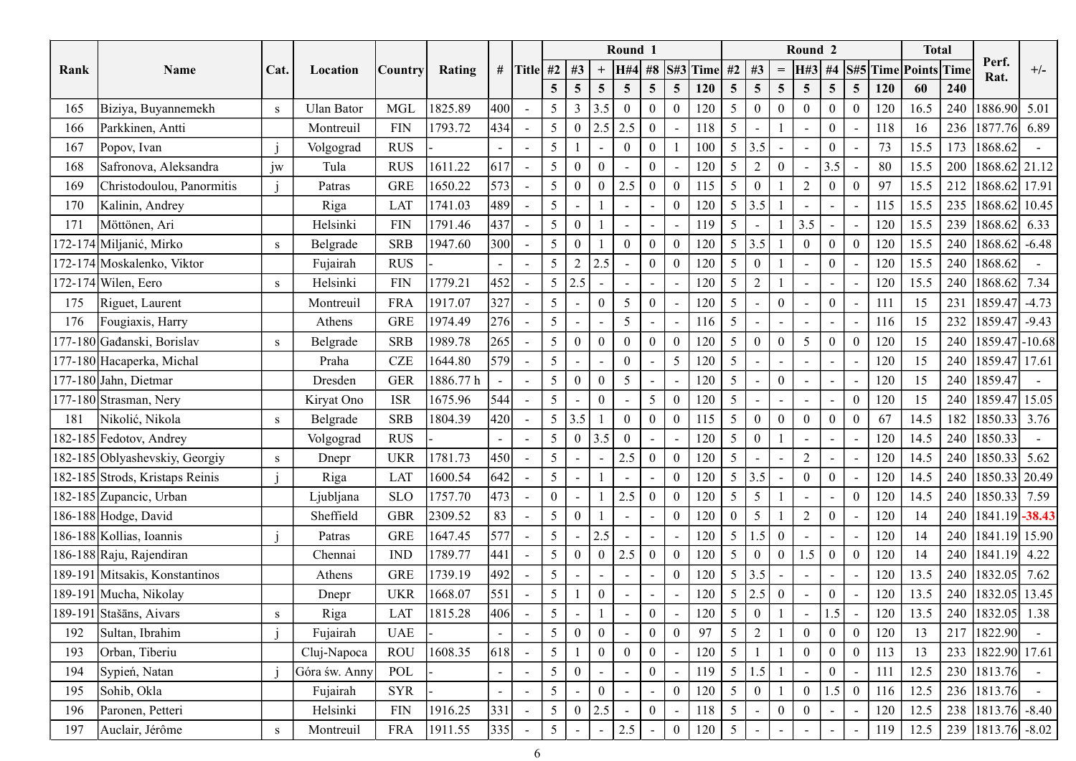| Round 1<br><b>Total</b><br>Round <sub>2</sub><br>Perf.<br>S#5 Time Points Time<br># Title #2 #3<br>#8 S#3 Time<br><b>H#4</b><br>#2<br>#3<br>H#3<br>#4<br>$+/-$<br>Cat.<br>Rank<br>Name<br>Rating<br><i>Country</i><br>Location<br>$=$<br>Rat.<br>240<br>5 <sup>5</sup><br>$5\overline{)}$<br>$\overline{5}$<br>60<br>$\overline{5}$<br>5 <sup>5</sup><br>$\overline{5}$<br>$\overline{5}$<br>5 <sup>5</sup><br>120<br>5 <sup>5</sup><br>$\overline{5}$<br>5 <sup>5</sup><br>$\overline{5}$<br><b>120</b><br>240<br><b>MGL</b><br>1825.89<br>400<br>16.5<br>1886.90 5.01<br>5 <sup>5</sup><br>$\overline{3}$<br>3.5<br>$5\overline{)}$<br>$\overline{0}$<br>Biziya, Buyannemekh<br><b>Ulan Bator</b><br>120<br>$\boldsymbol{0}$<br>$\overline{0}$<br>$\boldsymbol{0}$<br>120<br>165<br>$\overline{0}$<br>$\overline{0}$<br>$\theta$<br>S<br>$\sim$<br> 434 <br>$5\overline{)}$<br>236<br>1877.76 6.89<br>$\ensuremath{\mathrm{FIN}}$<br>1793.72<br>5 <sup>5</sup><br>2.5<br>2.5<br>$\overline{0}$<br>118<br>$\overline{0}$<br>118<br>16<br>166<br>Parkkinen, Antti<br>$\overline{0}$<br>Montreuil<br>$\sim$<br>5 <sup>5</sup><br>15.5<br>173<br>1868.62<br><b>RUS</b><br>5 <sup>5</sup><br>100<br>3.5<br>$\overline{0}$<br>73<br>167<br>$\bf{0}$<br>Popov, Ivan<br>Volgograd<br>$\theta$<br>$\sim$<br>$\overline{\phantom{a}}$<br>$\overline{\phantom{a}}$<br>$\overline{\phantom{a}}$<br>617<br>1611.22<br>$\theta$<br>15.5<br>Safronova, Aleksandra<br>jw<br><b>RUS</b><br>120<br>5<br>2<br>3.5<br>80<br>200<br>168<br>Tula<br>$\Omega$<br>$\Omega$<br>1868.62 21.12<br>$\sim$<br>$\overline{\phantom{a}}$<br>$\overline{\phantom{0}}$<br>573<br>1650.22<br>$\boldsymbol{0}$<br>97<br>15.5<br>212<br>1868.62 17.91<br>Christodoulou, Panormitis<br><b>GRE</b><br>5<br>$\vert 2.5 \vert$<br>$\overline{0}$<br>115<br>5<br>$\boldsymbol{0}$<br>2<br>$\Omega$<br>169<br>$\overline{0}$<br>Patras<br>$\Omega$<br>$\Omega$<br>$\sim$<br>1741.03<br>489<br>5 <sup>5</sup><br>235<br>120<br>5 <sup>5</sup><br>3.5<br>115<br>15.5<br>1868.62 10.45<br>170<br>Riga<br>LAT<br>Kalinin, Andrey<br>$\overline{\phantom{a}}$<br>$\blacksquare$<br>$\sim$<br>$\overline{\phantom{a}}$<br>$\overline{\phantom{a}}$<br>437<br>1791.46<br>5 <sup>5</sup><br>5<br>3.5<br>15.5<br>239<br>1868.62<br>FIN<br>$\theta$<br>119<br>120<br>171<br>Möttönen, Ari<br>Helsinki<br>6.33<br>$\sim$<br>$\overline{a}$<br><b>SRB</b><br>1947.60<br>300<br>5<br>15.5<br>240<br>1868.62<br>172-174 Miljanić, Mirko<br>$\overline{0}$<br>120<br>3.5<br>$\mathbf{0}$<br>$\overline{0}$<br>$\overline{0}$<br>120<br>$-6.48$<br>Belgrade<br>S<br>$\overline{\phantom{a}}$<br>1868.62<br>2<br>2.5<br>$\theta$<br>120<br>$5\overline{)}$<br>$\boldsymbol{0}$<br>120<br>15.5<br>240<br>172-174 Moskalenko, Viktor<br><b>RUS</b><br>-5<br>$\overline{0}$<br>Fujairah<br>$\sim$<br>$\sim$<br>452<br>2.5<br>$ 1868.62 $ 7.34<br>172-174 Wilen, Eero<br>${\rm FIN}$<br>1779.21<br>5 <sup>5</sup><br>120<br>$5\overline{)}$<br>$\overline{2}$<br>120<br>15.5<br>240<br>Helsinki<br>S<br>$\sim$<br>327<br>$ 1859.47  -4.73$<br><b>FRA</b><br>1917.07<br>231<br>Riguet, Laurent<br>120<br>5 <sup>5</sup><br>$\overline{0}$<br>$\bf{0}$<br>111<br>15<br>175<br>Montreuil<br>5<br>5<br>$\boldsymbol{0}$<br>$\overline{\phantom{a}}$<br>$\sim$<br>$\overline{a}$<br>$\sim$<br>276<br>5 <sup>5</sup><br>232   1859.47   -9.43<br>1974.49<br>5 <sup>5</sup><br>15<br>176<br>Fougiaxis, Harry<br><b>GRE</b><br>$5\overline{)}$<br>116<br>116<br>Athens<br>$\sim$<br>$\overline{a}$<br>$\sim$<br>$\overline{\phantom{a}}$<br>$\blacksquare$<br>$\sim$<br>265<br>5 <sup>1</sup><br>240<br>1859.47 - 10.68<br>177-180 Gađanski, Borislav<br><b>SRB</b><br>1989.78<br>5 <sup>5</sup><br>$\mathbf{0}$<br>$\mathbf{0}$<br>120<br>15<br>120<br>$5\overline{)}$<br>$\boldsymbol{0}$<br>$\overline{0}$<br>$\Omega$<br>$\Omega$<br>Belgrade<br>$\sim$<br>S<br>579<br>240<br>1859.47 17.61<br>177-180 Hacaperka, Michal<br><b>CZE</b><br>1644.80<br>5 <sup>1</sup><br>120<br>$5\overline{)}$<br>15<br>5 <sup>5</sup><br>120<br>Praha<br>$\sim$<br>1859.47<br>177-180 Jahn, Dietmar<br>1886.77 h<br>5 <sup>1</sup><br>240<br><b>GER</b><br>5<br>120<br>$5\overline{)}$<br>$\overline{0}$<br>15<br>Dresden<br>$\theta$<br>120<br>$\blacksquare$<br>$\sim$<br>544<br>177-180 Strasman, Nery<br>5 <sup>5</sup><br>5 <sup>5</sup><br>15<br>240 1859.47 15.05<br><b>ISR</b><br>1675.96<br>5 <sup>7</sup><br>120<br>$\overline{0}$<br>120<br>Kiryat Ono<br>$\theta$<br>$\Omega$<br>$\sim$<br>Nikolić, Nikola<br>420<br>$5 \mid 3.5$<br>14.5<br>182<br><b>SRB</b><br>1804.39<br>5 <sup>5</sup><br>$\mathbf{0}$<br>$\overline{0}$<br>67<br>$ 1850.33 $ 3.76<br>181<br>$\overline{0}$<br>115<br>$\overline{0}$<br>$\overline{0}$<br>Belgrade<br>$\overline{0}$<br>S<br>$\sim$<br>$5 \mid 0$<br>3.5<br>5 <sup>5</sup><br>14.5<br>240 1850.33<br>182-185 Fedotov, Andrey<br><b>RUS</b><br>120<br>$\overline{0}$<br>120<br>Volgograd<br>$\overline{0}$<br>$\sim$<br>$\sim$<br>$\overline{\phantom{a}}$<br>450<br>1781.73<br>182-185 Oblyashevskiy, Georgiy<br>5 <sup>5</sup><br>$\vert 2.5 \vert$<br>$\overline{0}$<br>120<br>5 <sup>5</sup><br>14.5<br>240   1850.33   5.62<br><b>UKR</b><br>$\overline{2}$<br>$\theta$<br>120<br>S<br>Dnepr<br>$\sim$<br>$\blacksquare$<br>642<br>$5\overline{)}$<br>$5 \mid 3.5 \mid$<br>$\mathbf{0}$<br>14.5<br>240 1850.33 20.49<br>1600.54<br>120<br>$\mathbf{0}$<br>182-185 Strods, Kristaps Reinis<br>120<br>$\theta$<br>Riga<br>LAT<br>$\sim$<br>$\sim$<br>$\sim$<br>$\sim$<br>1757.70<br>473<br>182-185 Zupancic, Urban<br>120<br>5 <sup>5</sup><br>$5\overline{)}$<br>14.5<br>240   1850.33   7.59<br><b>SLO</b><br>$\overline{0}$<br>2.5<br>$\overline{0}$<br>$\overline{0}$<br>120<br>Ljubljana<br>$\Omega$<br>$\sim$<br>$\overline{a}$<br>83<br>5 <sup>5</sup><br>240   1841.19   - 38.43<br>2309.52<br>5 <sup>7</sup><br>120<br>$\overline{2}$<br>$\mathbf{0}$<br>14<br>186-188 Hodge, David<br><b>GBR</b><br>$\boldsymbol{0}$<br>$\overline{0}$<br>120<br>Sheffield<br>$\theta$<br>$\sim$<br>$\blacksquare$<br> 577 <br>186-188 Kollias, Ioannis<br>5 <sup>1</sup><br>$\boldsymbol{0}$<br>1647.45<br>2.5<br>120<br>5 <sup>5</sup><br>1.5<br>240   1841.19   15.90<br><b>GRE</b><br>120<br>14<br>Patras<br>$\sim$<br>$\overline{\phantom{a}}$<br> 441 <br>1789.77<br>5 <sup>5</sup><br>1.5<br>240   1841.19   4.22<br>186-188 Raju, Rajendiran<br>$\mathop{\rm IND}\nolimits$<br>5 <sup>5</sup><br>120<br>$\overline{0}$<br>120<br>14<br>$\vert 2.5 \vert$<br>$\boldsymbol{0}$<br>$\mathbf{0}$<br>$\overline{0}$<br>$\mathbf{0}$<br>$\boldsymbol{0}$<br>Chennai<br>$\theta$<br>$\sim$<br>492<br>5 <sup>1</sup><br>5 <sup>5</sup><br>3.5<br>240   1832.05   7.62<br>189-191 Mitsakis, Konstantinos<br>1739.19<br>120<br>13.5<br><b>GRE</b><br>120<br>Athens<br>$\Omega$<br>$\sim$<br>$\blacksquare$<br>$\sim$<br>$\overline{\phantom{a}}$<br>$\overline{a}$<br>$\blacksquare$<br>240   1832.05   13.45<br> 551 <br>189-191 Mucha, Nikolay<br>1668.07<br>5 <sup>5</sup><br>120<br>13.5<br><b>UKR</b><br>5 <sup>5</sup><br>2.5<br>$\overline{0}$<br>$\boldsymbol{0}$<br>120<br>Dnepr<br>$\sim$<br>406<br>5 <sup>5</sup><br>120<br>240   1832.05   1.38<br>1815.28<br>$\mathbf{0}$<br>5 <sup>5</sup><br>$\mathbf{0}$<br>1.5<br>120<br>13.5<br>189-191 Stašāns, Aivars<br>LAT<br>Riga<br>S<br>$\sim$<br>$\sim$<br>$\sim$<br>1822.90<br>5 <sup>1</sup><br>97<br>5 <sup>5</sup><br>$\overline{2}$<br>$\boldsymbol{0}$<br>217<br>Sultan, Ibrahim<br>Fujairah<br><b>UAE</b><br>$\mathbf{0}$<br>$\overline{0}$<br>$\overline{0}$<br>120<br>13<br>192<br>$\Omega$<br>$\Omega$<br>$\blacksquare$<br>$\blacksquare$<br>1608.35<br>618<br>233<br>1822.90 17.61<br>Orban, Tiberiu<br><b>ROU</b><br>5 <sup>5</sup><br>$\mathbf{0}$<br>120<br>5 <sup>5</sup><br>$\boldsymbol{0}$<br>113<br>13<br>$\overline{0}$<br>$\overline{0}$<br>193<br>Cluj-Napoca<br>$\Omega$<br>$\sim$<br>230<br>1813.76<br>5 <sup>1</sup><br>5 <sup>5</sup><br>1.5<br>12.5<br>Sypień, Natan<br>POL<br>$\mathbf{0}$<br>119<br>$\mathbf{0}$<br>111<br>194<br>Góra św. Anny<br>$\Omega$<br>$\overline{\phantom{a}}$<br>5 <sup>5</sup><br>236 1813.76<br>5 <sup>1</sup><br>120<br>$\overline{0}$<br>$\mathbf{0}$<br>12.5<br><b>SYR</b><br>$\overline{0}$<br>1.5<br>116<br>195<br>Sohib, Okla<br>Fujairah<br>$\Omega$<br>$\sim$<br>$\sim$<br> 331 <br>1916.25<br>238   1813.76   -8.40<br>${\rm FIN}$<br>5 <sup>5</sup><br>2.5<br>5 <sup>5</sup><br>$\overline{0}$<br>12.5<br>196<br>Paronen, Petteri<br>Helsinki<br>$\theta$<br>$\overline{0}$<br>118<br>120<br>$\overline{0}$<br>$\sim$<br>$\blacksquare$<br>239 1813.76 -8.02<br>Auclair, Jérôme<br><b>FRA</b><br>1911.55<br>$335$<br>$5\overline{)}$<br>5 <sup>5</sup><br>12.5<br>2.5<br>120<br>197<br>119<br>Montreuil<br>S<br>$\sim$ |  |  |  |  |  |  |  |  |  |  |  |  |  |
|----------------------------------------------------------------------------------------------------------------------------------------------------------------------------------------------------------------------------------------------------------------------------------------------------------------------------------------------------------------------------------------------------------------------------------------------------------------------------------------------------------------------------------------------------------------------------------------------------------------------------------------------------------------------------------------------------------------------------------------------------------------------------------------------------------------------------------------------------------------------------------------------------------------------------------------------------------------------------------------------------------------------------------------------------------------------------------------------------------------------------------------------------------------------------------------------------------------------------------------------------------------------------------------------------------------------------------------------------------------------------------------------------------------------------------------------------------------------------------------------------------------------------------------------------------------------------------------------------------------------------------------------------------------------------------------------------------------------------------------------------------------------------------------------------------------------------------------------------------------------------------------------------------------------------------------------------------------------------------------------------------------------------------------------------------------------------------------------------------------------------------------------------------------------------------------------------------------------------------------------------------------------------------------------------------------------------------------------------------------------------------------------------------------------------------------------------------------------------------------------------------------------------------------------------------------------------------------------------------------------------------------------------------------------------------------------------------------------------------------------------------------------------------------------------------------------------------------------------------------------------------------------------------------------------------------------------------------------------------------------------------------------------------------------------------------------------------------------------------------------------------------------------------------------------------------------------------------------------------------------------------------------------------------------------------------------------------------------------------------------------------------------------------------------------------------------------------------------------------------------------------------------------------------------------------------------------------------------------------------------------------------------------------------------------------------------------------------------------------------------------------------------------------------------------------------------------------------------------------------------------------------------------------------------------------------------------------------------------------------------------------------------------------------------------------------------------------------------------------------------------------------------------------------------------------------------------------------------------------------------------------------------------------------------------------------------------------------------------------------------------------------------------------------------------------------------------------------------------------------------------------------------------------------------------------------------------------------------------------------------------------------------------------------------------------------------------------------------------------------------------------------------------------------------------------------------------------------------------------------------------------------------------------------------------------------------------------------------------------------------------------------------------------------------------------------------------------------------------------------------------------------------------------------------------------------------------------------------------------------------------------------------------------------------------------------------------------------------------------------------------------------------------------------------------------------------------------------------------------------------------------------------------------------------------------------------------------------------------------------------------------------------------------------------------------------------------------------------------------------------------------------------------------------------------------------------------------------------------------------------------------------------------------------------------------------------------------------------------------------------------------------------------------------------------------------------------------------------------------------------------------------------------------------------------------------------------------------------------------------------------------------------------------------------------------------------------------------------------------------------------------------------------------------------------------------------------------------------------------------------------------------------------------------------------------------------------------------------------------------------------------------------------------------------------------------------------------------------------------------------------------------------------------------------------------------------------------------------------------------------------------------------------------------------------------------------------------------------------------------------------------------------------------------------------------------------------------------------------------------------------------------------------------------------------------------------------------------------------------------------------------------------------------------------------------------------------------------------------------------------------------------------------------------------------------------------------------------------------------------------------------------------------------------------------------------------------------------------------------------------------------------------------------------------------------------------------------------------------------------------------------------------------------------------------------------------------------------------------------------------------------------------------------------------------------------------------------------------------------------------------------------------------------------------------------------------------------------------------------------------------------------------------------------------------------------------------------------------------------------------------------------------------------------------------------------------------------------------------------------------------------------------------------------------------------------------------------------------------------------------------------------------------------------------------------------------------------------------------------------------------------------------------------------------------------------------------------------------------------------------------------------------------------------------------------------|--|--|--|--|--|--|--|--|--|--|--|--|--|
|                                                                                                                                                                                                                                                                                                                                                                                                                                                                                                                                                                                                                                                                                                                                                                                                                                                                                                                                                                                                                                                                                                                                                                                                                                                                                                                                                                                                                                                                                                                                                                                                                                                                                                                                                                                                                                                                                                                                                                                                                                                                                                                                                                                                                                                                                                                                                                                                                                                                                                                                                                                                                                                                                                                                                                                                                                                                                                                                                                                                                                                                                                                                                                                                                                                                                                                                                                                                                                                                                                                                                                                                                                                                                                                                                                                                                                                                                                                                                                                                                                                                                                                                                                                                                                                                                                                                                                                                                                                                                                                                                                                                                                                                                                                                                                                                                                                                                                                                                                                                                                                                                                                                                                                                                                                                                                                                                                                                                                                                                                                                                                                                                                                                                                                                                                                                                                                                                                                                                                                                                                                                                                                                                                                                                                                                                                                                                                                                                                                                                                                                                                                                                                                                                                                                                                                                                                                                                                                                                                                                                                                                                                                                                                                                                                                                                                                                                                                                                                                                                                                                                                                                                                                                                                                                                                                                                                                                                                                                                                                                                                                                                                                                                                                                                                                                                                                                                                                                                                                                                                                                                                                                                                                                                                                                                                                                                |  |  |  |  |  |  |  |  |  |  |  |  |  |
|                                                                                                                                                                                                                                                                                                                                                                                                                                                                                                                                                                                                                                                                                                                                                                                                                                                                                                                                                                                                                                                                                                                                                                                                                                                                                                                                                                                                                                                                                                                                                                                                                                                                                                                                                                                                                                                                                                                                                                                                                                                                                                                                                                                                                                                                                                                                                                                                                                                                                                                                                                                                                                                                                                                                                                                                                                                                                                                                                                                                                                                                                                                                                                                                                                                                                                                                                                                                                                                                                                                                                                                                                                                                                                                                                                                                                                                                                                                                                                                                                                                                                                                                                                                                                                                                                                                                                                                                                                                                                                                                                                                                                                                                                                                                                                                                                                                                                                                                                                                                                                                                                                                                                                                                                                                                                                                                                                                                                                                                                                                                                                                                                                                                                                                                                                                                                                                                                                                                                                                                                                                                                                                                                                                                                                                                                                                                                                                                                                                                                                                                                                                                                                                                                                                                                                                                                                                                                                                                                                                                                                                                                                                                                                                                                                                                                                                                                                                                                                                                                                                                                                                                                                                                                                                                                                                                                                                                                                                                                                                                                                                                                                                                                                                                                                                                                                                                                                                                                                                                                                                                                                                                                                                                                                                                                                                                                |  |  |  |  |  |  |  |  |  |  |  |  |  |
|                                                                                                                                                                                                                                                                                                                                                                                                                                                                                                                                                                                                                                                                                                                                                                                                                                                                                                                                                                                                                                                                                                                                                                                                                                                                                                                                                                                                                                                                                                                                                                                                                                                                                                                                                                                                                                                                                                                                                                                                                                                                                                                                                                                                                                                                                                                                                                                                                                                                                                                                                                                                                                                                                                                                                                                                                                                                                                                                                                                                                                                                                                                                                                                                                                                                                                                                                                                                                                                                                                                                                                                                                                                                                                                                                                                                                                                                                                                                                                                                                                                                                                                                                                                                                                                                                                                                                                                                                                                                                                                                                                                                                                                                                                                                                                                                                                                                                                                                                                                                                                                                                                                                                                                                                                                                                                                                                                                                                                                                                                                                                                                                                                                                                                                                                                                                                                                                                                                                                                                                                                                                                                                                                                                                                                                                                                                                                                                                                                                                                                                                                                                                                                                                                                                                                                                                                                                                                                                                                                                                                                                                                                                                                                                                                                                                                                                                                                                                                                                                                                                                                                                                                                                                                                                                                                                                                                                                                                                                                                                                                                                                                                                                                                                                                                                                                                                                                                                                                                                                                                                                                                                                                                                                                                                                                                                                                |  |  |  |  |  |  |  |  |  |  |  |  |  |
|                                                                                                                                                                                                                                                                                                                                                                                                                                                                                                                                                                                                                                                                                                                                                                                                                                                                                                                                                                                                                                                                                                                                                                                                                                                                                                                                                                                                                                                                                                                                                                                                                                                                                                                                                                                                                                                                                                                                                                                                                                                                                                                                                                                                                                                                                                                                                                                                                                                                                                                                                                                                                                                                                                                                                                                                                                                                                                                                                                                                                                                                                                                                                                                                                                                                                                                                                                                                                                                                                                                                                                                                                                                                                                                                                                                                                                                                                                                                                                                                                                                                                                                                                                                                                                                                                                                                                                                                                                                                                                                                                                                                                                                                                                                                                                                                                                                                                                                                                                                                                                                                                                                                                                                                                                                                                                                                                                                                                                                                                                                                                                                                                                                                                                                                                                                                                                                                                                                                                                                                                                                                                                                                                                                                                                                                                                                                                                                                                                                                                                                                                                                                                                                                                                                                                                                                                                                                                                                                                                                                                                                                                                                                                                                                                                                                                                                                                                                                                                                                                                                                                                                                                                                                                                                                                                                                                                                                                                                                                                                                                                                                                                                                                                                                                                                                                                                                                                                                                                                                                                                                                                                                                                                                                                                                                                                                                |  |  |  |  |  |  |  |  |  |  |  |  |  |
|                                                                                                                                                                                                                                                                                                                                                                                                                                                                                                                                                                                                                                                                                                                                                                                                                                                                                                                                                                                                                                                                                                                                                                                                                                                                                                                                                                                                                                                                                                                                                                                                                                                                                                                                                                                                                                                                                                                                                                                                                                                                                                                                                                                                                                                                                                                                                                                                                                                                                                                                                                                                                                                                                                                                                                                                                                                                                                                                                                                                                                                                                                                                                                                                                                                                                                                                                                                                                                                                                                                                                                                                                                                                                                                                                                                                                                                                                                                                                                                                                                                                                                                                                                                                                                                                                                                                                                                                                                                                                                                                                                                                                                                                                                                                                                                                                                                                                                                                                                                                                                                                                                                                                                                                                                                                                                                                                                                                                                                                                                                                                                                                                                                                                                                                                                                                                                                                                                                                                                                                                                                                                                                                                                                                                                                                                                                                                                                                                                                                                                                                                                                                                                                                                                                                                                                                                                                                                                                                                                                                                                                                                                                                                                                                                                                                                                                                                                                                                                                                                                                                                                                                                                                                                                                                                                                                                                                                                                                                                                                                                                                                                                                                                                                                                                                                                                                                                                                                                                                                                                                                                                                                                                                                                                                                                                                                                |  |  |  |  |  |  |  |  |  |  |  |  |  |
|                                                                                                                                                                                                                                                                                                                                                                                                                                                                                                                                                                                                                                                                                                                                                                                                                                                                                                                                                                                                                                                                                                                                                                                                                                                                                                                                                                                                                                                                                                                                                                                                                                                                                                                                                                                                                                                                                                                                                                                                                                                                                                                                                                                                                                                                                                                                                                                                                                                                                                                                                                                                                                                                                                                                                                                                                                                                                                                                                                                                                                                                                                                                                                                                                                                                                                                                                                                                                                                                                                                                                                                                                                                                                                                                                                                                                                                                                                                                                                                                                                                                                                                                                                                                                                                                                                                                                                                                                                                                                                                                                                                                                                                                                                                                                                                                                                                                                                                                                                                                                                                                                                                                                                                                                                                                                                                                                                                                                                                                                                                                                                                                                                                                                                                                                                                                                                                                                                                                                                                                                                                                                                                                                                                                                                                                                                                                                                                                                                                                                                                                                                                                                                                                                                                                                                                                                                                                                                                                                                                                                                                                                                                                                                                                                                                                                                                                                                                                                                                                                                                                                                                                                                                                                                                                                                                                                                                                                                                                                                                                                                                                                                                                                                                                                                                                                                                                                                                                                                                                                                                                                                                                                                                                                                                                                                                                                |  |  |  |  |  |  |  |  |  |  |  |  |  |
|                                                                                                                                                                                                                                                                                                                                                                                                                                                                                                                                                                                                                                                                                                                                                                                                                                                                                                                                                                                                                                                                                                                                                                                                                                                                                                                                                                                                                                                                                                                                                                                                                                                                                                                                                                                                                                                                                                                                                                                                                                                                                                                                                                                                                                                                                                                                                                                                                                                                                                                                                                                                                                                                                                                                                                                                                                                                                                                                                                                                                                                                                                                                                                                                                                                                                                                                                                                                                                                                                                                                                                                                                                                                                                                                                                                                                                                                                                                                                                                                                                                                                                                                                                                                                                                                                                                                                                                                                                                                                                                                                                                                                                                                                                                                                                                                                                                                                                                                                                                                                                                                                                                                                                                                                                                                                                                                                                                                                                                                                                                                                                                                                                                                                                                                                                                                                                                                                                                                                                                                                                                                                                                                                                                                                                                                                                                                                                                                                                                                                                                                                                                                                                                                                                                                                                                                                                                                                                                                                                                                                                                                                                                                                                                                                                                                                                                                                                                                                                                                                                                                                                                                                                                                                                                                                                                                                                                                                                                                                                                                                                                                                                                                                                                                                                                                                                                                                                                                                                                                                                                                                                                                                                                                                                                                                                                                                |  |  |  |  |  |  |  |  |  |  |  |  |  |
|                                                                                                                                                                                                                                                                                                                                                                                                                                                                                                                                                                                                                                                                                                                                                                                                                                                                                                                                                                                                                                                                                                                                                                                                                                                                                                                                                                                                                                                                                                                                                                                                                                                                                                                                                                                                                                                                                                                                                                                                                                                                                                                                                                                                                                                                                                                                                                                                                                                                                                                                                                                                                                                                                                                                                                                                                                                                                                                                                                                                                                                                                                                                                                                                                                                                                                                                                                                                                                                                                                                                                                                                                                                                                                                                                                                                                                                                                                                                                                                                                                                                                                                                                                                                                                                                                                                                                                                                                                                                                                                                                                                                                                                                                                                                                                                                                                                                                                                                                                                                                                                                                                                                                                                                                                                                                                                                                                                                                                                                                                                                                                                                                                                                                                                                                                                                                                                                                                                                                                                                                                                                                                                                                                                                                                                                                                                                                                                                                                                                                                                                                                                                                                                                                                                                                                                                                                                                                                                                                                                                                                                                                                                                                                                                                                                                                                                                                                                                                                                                                                                                                                                                                                                                                                                                                                                                                                                                                                                                                                                                                                                                                                                                                                                                                                                                                                                                                                                                                                                                                                                                                                                                                                                                                                                                                                                                                |  |  |  |  |  |  |  |  |  |  |  |  |  |
|                                                                                                                                                                                                                                                                                                                                                                                                                                                                                                                                                                                                                                                                                                                                                                                                                                                                                                                                                                                                                                                                                                                                                                                                                                                                                                                                                                                                                                                                                                                                                                                                                                                                                                                                                                                                                                                                                                                                                                                                                                                                                                                                                                                                                                                                                                                                                                                                                                                                                                                                                                                                                                                                                                                                                                                                                                                                                                                                                                                                                                                                                                                                                                                                                                                                                                                                                                                                                                                                                                                                                                                                                                                                                                                                                                                                                                                                                                                                                                                                                                                                                                                                                                                                                                                                                                                                                                                                                                                                                                                                                                                                                                                                                                                                                                                                                                                                                                                                                                                                                                                                                                                                                                                                                                                                                                                                                                                                                                                                                                                                                                                                                                                                                                                                                                                                                                                                                                                                                                                                                                                                                                                                                                                                                                                                                                                                                                                                                                                                                                                                                                                                                                                                                                                                                                                                                                                                                                                                                                                                                                                                                                                                                                                                                                                                                                                                                                                                                                                                                                                                                                                                                                                                                                                                                                                                                                                                                                                                                                                                                                                                                                                                                                                                                                                                                                                                                                                                                                                                                                                                                                                                                                                                                                                                                                                                                |  |  |  |  |  |  |  |  |  |  |  |  |  |
|                                                                                                                                                                                                                                                                                                                                                                                                                                                                                                                                                                                                                                                                                                                                                                                                                                                                                                                                                                                                                                                                                                                                                                                                                                                                                                                                                                                                                                                                                                                                                                                                                                                                                                                                                                                                                                                                                                                                                                                                                                                                                                                                                                                                                                                                                                                                                                                                                                                                                                                                                                                                                                                                                                                                                                                                                                                                                                                                                                                                                                                                                                                                                                                                                                                                                                                                                                                                                                                                                                                                                                                                                                                                                                                                                                                                                                                                                                                                                                                                                                                                                                                                                                                                                                                                                                                                                                                                                                                                                                                                                                                                                                                                                                                                                                                                                                                                                                                                                                                                                                                                                                                                                                                                                                                                                                                                                                                                                                                                                                                                                                                                                                                                                                                                                                                                                                                                                                                                                                                                                                                                                                                                                                                                                                                                                                                                                                                                                                                                                                                                                                                                                                                                                                                                                                                                                                                                                                                                                                                                                                                                                                                                                                                                                                                                                                                                                                                                                                                                                                                                                                                                                                                                                                                                                                                                                                                                                                                                                                                                                                                                                                                                                                                                                                                                                                                                                                                                                                                                                                                                                                                                                                                                                                                                                                                                                |  |  |  |  |  |  |  |  |  |  |  |  |  |
|                                                                                                                                                                                                                                                                                                                                                                                                                                                                                                                                                                                                                                                                                                                                                                                                                                                                                                                                                                                                                                                                                                                                                                                                                                                                                                                                                                                                                                                                                                                                                                                                                                                                                                                                                                                                                                                                                                                                                                                                                                                                                                                                                                                                                                                                                                                                                                                                                                                                                                                                                                                                                                                                                                                                                                                                                                                                                                                                                                                                                                                                                                                                                                                                                                                                                                                                                                                                                                                                                                                                                                                                                                                                                                                                                                                                                                                                                                                                                                                                                                                                                                                                                                                                                                                                                                                                                                                                                                                                                                                                                                                                                                                                                                                                                                                                                                                                                                                                                                                                                                                                                                                                                                                                                                                                                                                                                                                                                                                                                                                                                                                                                                                                                                                                                                                                                                                                                                                                                                                                                                                                                                                                                                                                                                                                                                                                                                                                                                                                                                                                                                                                                                                                                                                                                                                                                                                                                                                                                                                                                                                                                                                                                                                                                                                                                                                                                                                                                                                                                                                                                                                                                                                                                                                                                                                                                                                                                                                                                                                                                                                                                                                                                                                                                                                                                                                                                                                                                                                                                                                                                                                                                                                                                                                                                                                                                |  |  |  |  |  |  |  |  |  |  |  |  |  |
|                                                                                                                                                                                                                                                                                                                                                                                                                                                                                                                                                                                                                                                                                                                                                                                                                                                                                                                                                                                                                                                                                                                                                                                                                                                                                                                                                                                                                                                                                                                                                                                                                                                                                                                                                                                                                                                                                                                                                                                                                                                                                                                                                                                                                                                                                                                                                                                                                                                                                                                                                                                                                                                                                                                                                                                                                                                                                                                                                                                                                                                                                                                                                                                                                                                                                                                                                                                                                                                                                                                                                                                                                                                                                                                                                                                                                                                                                                                                                                                                                                                                                                                                                                                                                                                                                                                                                                                                                                                                                                                                                                                                                                                                                                                                                                                                                                                                                                                                                                                                                                                                                                                                                                                                                                                                                                                                                                                                                                                                                                                                                                                                                                                                                                                                                                                                                                                                                                                                                                                                                                                                                                                                                                                                                                                                                                                                                                                                                                                                                                                                                                                                                                                                                                                                                                                                                                                                                                                                                                                                                                                                                                                                                                                                                                                                                                                                                                                                                                                                                                                                                                                                                                                                                                                                                                                                                                                                                                                                                                                                                                                                                                                                                                                                                                                                                                                                                                                                                                                                                                                                                                                                                                                                                                                                                                                                                |  |  |  |  |  |  |  |  |  |  |  |  |  |
|                                                                                                                                                                                                                                                                                                                                                                                                                                                                                                                                                                                                                                                                                                                                                                                                                                                                                                                                                                                                                                                                                                                                                                                                                                                                                                                                                                                                                                                                                                                                                                                                                                                                                                                                                                                                                                                                                                                                                                                                                                                                                                                                                                                                                                                                                                                                                                                                                                                                                                                                                                                                                                                                                                                                                                                                                                                                                                                                                                                                                                                                                                                                                                                                                                                                                                                                                                                                                                                                                                                                                                                                                                                                                                                                                                                                                                                                                                                                                                                                                                                                                                                                                                                                                                                                                                                                                                                                                                                                                                                                                                                                                                                                                                                                                                                                                                                                                                                                                                                                                                                                                                                                                                                                                                                                                                                                                                                                                                                                                                                                                                                                                                                                                                                                                                                                                                                                                                                                                                                                                                                                                                                                                                                                                                                                                                                                                                                                                                                                                                                                                                                                                                                                                                                                                                                                                                                                                                                                                                                                                                                                                                                                                                                                                                                                                                                                                                                                                                                                                                                                                                                                                                                                                                                                                                                                                                                                                                                                                                                                                                                                                                                                                                                                                                                                                                                                                                                                                                                                                                                                                                                                                                                                                                                                                                                                                |  |  |  |  |  |  |  |  |  |  |  |  |  |
|                                                                                                                                                                                                                                                                                                                                                                                                                                                                                                                                                                                                                                                                                                                                                                                                                                                                                                                                                                                                                                                                                                                                                                                                                                                                                                                                                                                                                                                                                                                                                                                                                                                                                                                                                                                                                                                                                                                                                                                                                                                                                                                                                                                                                                                                                                                                                                                                                                                                                                                                                                                                                                                                                                                                                                                                                                                                                                                                                                                                                                                                                                                                                                                                                                                                                                                                                                                                                                                                                                                                                                                                                                                                                                                                                                                                                                                                                                                                                                                                                                                                                                                                                                                                                                                                                                                                                                                                                                                                                                                                                                                                                                                                                                                                                                                                                                                                                                                                                                                                                                                                                                                                                                                                                                                                                                                                                                                                                                                                                                                                                                                                                                                                                                                                                                                                                                                                                                                                                                                                                                                                                                                                                                                                                                                                                                                                                                                                                                                                                                                                                                                                                                                                                                                                                                                                                                                                                                                                                                                                                                                                                                                                                                                                                                                                                                                                                                                                                                                                                                                                                                                                                                                                                                                                                                                                                                                                                                                                                                                                                                                                                                                                                                                                                                                                                                                                                                                                                                                                                                                                                                                                                                                                                                                                                                                                                |  |  |  |  |  |  |  |  |  |  |  |  |  |
|                                                                                                                                                                                                                                                                                                                                                                                                                                                                                                                                                                                                                                                                                                                                                                                                                                                                                                                                                                                                                                                                                                                                                                                                                                                                                                                                                                                                                                                                                                                                                                                                                                                                                                                                                                                                                                                                                                                                                                                                                                                                                                                                                                                                                                                                                                                                                                                                                                                                                                                                                                                                                                                                                                                                                                                                                                                                                                                                                                                                                                                                                                                                                                                                                                                                                                                                                                                                                                                                                                                                                                                                                                                                                                                                                                                                                                                                                                                                                                                                                                                                                                                                                                                                                                                                                                                                                                                                                                                                                                                                                                                                                                                                                                                                                                                                                                                                                                                                                                                                                                                                                                                                                                                                                                                                                                                                                                                                                                                                                                                                                                                                                                                                                                                                                                                                                                                                                                                                                                                                                                                                                                                                                                                                                                                                                                                                                                                                                                                                                                                                                                                                                                                                                                                                                                                                                                                                                                                                                                                                                                                                                                                                                                                                                                                                                                                                                                                                                                                                                                                                                                                                                                                                                                                                                                                                                                                                                                                                                                                                                                                                                                                                                                                                                                                                                                                                                                                                                                                                                                                                                                                                                                                                                                                                                                                                                |  |  |  |  |  |  |  |  |  |  |  |  |  |
|                                                                                                                                                                                                                                                                                                                                                                                                                                                                                                                                                                                                                                                                                                                                                                                                                                                                                                                                                                                                                                                                                                                                                                                                                                                                                                                                                                                                                                                                                                                                                                                                                                                                                                                                                                                                                                                                                                                                                                                                                                                                                                                                                                                                                                                                                                                                                                                                                                                                                                                                                                                                                                                                                                                                                                                                                                                                                                                                                                                                                                                                                                                                                                                                                                                                                                                                                                                                                                                                                                                                                                                                                                                                                                                                                                                                                                                                                                                                                                                                                                                                                                                                                                                                                                                                                                                                                                                                                                                                                                                                                                                                                                                                                                                                                                                                                                                                                                                                                                                                                                                                                                                                                                                                                                                                                                                                                                                                                                                                                                                                                                                                                                                                                                                                                                                                                                                                                                                                                                                                                                                                                                                                                                                                                                                                                                                                                                                                                                                                                                                                                                                                                                                                                                                                                                                                                                                                                                                                                                                                                                                                                                                                                                                                                                                                                                                                                                                                                                                                                                                                                                                                                                                                                                                                                                                                                                                                                                                                                                                                                                                                                                                                                                                                                                                                                                                                                                                                                                                                                                                                                                                                                                                                                                                                                                                                                |  |  |  |  |  |  |  |  |  |  |  |  |  |
|                                                                                                                                                                                                                                                                                                                                                                                                                                                                                                                                                                                                                                                                                                                                                                                                                                                                                                                                                                                                                                                                                                                                                                                                                                                                                                                                                                                                                                                                                                                                                                                                                                                                                                                                                                                                                                                                                                                                                                                                                                                                                                                                                                                                                                                                                                                                                                                                                                                                                                                                                                                                                                                                                                                                                                                                                                                                                                                                                                                                                                                                                                                                                                                                                                                                                                                                                                                                                                                                                                                                                                                                                                                                                                                                                                                                                                                                                                                                                                                                                                                                                                                                                                                                                                                                                                                                                                                                                                                                                                                                                                                                                                                                                                                                                                                                                                                                                                                                                                                                                                                                                                                                                                                                                                                                                                                                                                                                                                                                                                                                                                                                                                                                                                                                                                                                                                                                                                                                                                                                                                                                                                                                                                                                                                                                                                                                                                                                                                                                                                                                                                                                                                                                                                                                                                                                                                                                                                                                                                                                                                                                                                                                                                                                                                                                                                                                                                                                                                                                                                                                                                                                                                                                                                                                                                                                                                                                                                                                                                                                                                                                                                                                                                                                                                                                                                                                                                                                                                                                                                                                                                                                                                                                                                                                                                                                                |  |  |  |  |  |  |  |  |  |  |  |  |  |
|                                                                                                                                                                                                                                                                                                                                                                                                                                                                                                                                                                                                                                                                                                                                                                                                                                                                                                                                                                                                                                                                                                                                                                                                                                                                                                                                                                                                                                                                                                                                                                                                                                                                                                                                                                                                                                                                                                                                                                                                                                                                                                                                                                                                                                                                                                                                                                                                                                                                                                                                                                                                                                                                                                                                                                                                                                                                                                                                                                                                                                                                                                                                                                                                                                                                                                                                                                                                                                                                                                                                                                                                                                                                                                                                                                                                                                                                                                                                                                                                                                                                                                                                                                                                                                                                                                                                                                                                                                                                                                                                                                                                                                                                                                                                                                                                                                                                                                                                                                                                                                                                                                                                                                                                                                                                                                                                                                                                                                                                                                                                                                                                                                                                                                                                                                                                                                                                                                                                                                                                                                                                                                                                                                                                                                                                                                                                                                                                                                                                                                                                                                                                                                                                                                                                                                                                                                                                                                                                                                                                                                                                                                                                                                                                                                                                                                                                                                                                                                                                                                                                                                                                                                                                                                                                                                                                                                                                                                                                                                                                                                                                                                                                                                                                                                                                                                                                                                                                                                                                                                                                                                                                                                                                                                                                                                                                                |  |  |  |  |  |  |  |  |  |  |  |  |  |
|                                                                                                                                                                                                                                                                                                                                                                                                                                                                                                                                                                                                                                                                                                                                                                                                                                                                                                                                                                                                                                                                                                                                                                                                                                                                                                                                                                                                                                                                                                                                                                                                                                                                                                                                                                                                                                                                                                                                                                                                                                                                                                                                                                                                                                                                                                                                                                                                                                                                                                                                                                                                                                                                                                                                                                                                                                                                                                                                                                                                                                                                                                                                                                                                                                                                                                                                                                                                                                                                                                                                                                                                                                                                                                                                                                                                                                                                                                                                                                                                                                                                                                                                                                                                                                                                                                                                                                                                                                                                                                                                                                                                                                                                                                                                                                                                                                                                                                                                                                                                                                                                                                                                                                                                                                                                                                                                                                                                                                                                                                                                                                                                                                                                                                                                                                                                                                                                                                                                                                                                                                                                                                                                                                                                                                                                                                                                                                                                                                                                                                                                                                                                                                                                                                                                                                                                                                                                                                                                                                                                                                                                                                                                                                                                                                                                                                                                                                                                                                                                                                                                                                                                                                                                                                                                                                                                                                                                                                                                                                                                                                                                                                                                                                                                                                                                                                                                                                                                                                                                                                                                                                                                                                                                                                                                                                                                                |  |  |  |  |  |  |  |  |  |  |  |  |  |
|                                                                                                                                                                                                                                                                                                                                                                                                                                                                                                                                                                                                                                                                                                                                                                                                                                                                                                                                                                                                                                                                                                                                                                                                                                                                                                                                                                                                                                                                                                                                                                                                                                                                                                                                                                                                                                                                                                                                                                                                                                                                                                                                                                                                                                                                                                                                                                                                                                                                                                                                                                                                                                                                                                                                                                                                                                                                                                                                                                                                                                                                                                                                                                                                                                                                                                                                                                                                                                                                                                                                                                                                                                                                                                                                                                                                                                                                                                                                                                                                                                                                                                                                                                                                                                                                                                                                                                                                                                                                                                                                                                                                                                                                                                                                                                                                                                                                                                                                                                                                                                                                                                                                                                                                                                                                                                                                                                                                                                                                                                                                                                                                                                                                                                                                                                                                                                                                                                                                                                                                                                                                                                                                                                                                                                                                                                                                                                                                                                                                                                                                                                                                                                                                                                                                                                                                                                                                                                                                                                                                                                                                                                                                                                                                                                                                                                                                                                                                                                                                                                                                                                                                                                                                                                                                                                                                                                                                                                                                                                                                                                                                                                                                                                                                                                                                                                                                                                                                                                                                                                                                                                                                                                                                                                                                                                                                                |  |  |  |  |  |  |  |  |  |  |  |  |  |
|                                                                                                                                                                                                                                                                                                                                                                                                                                                                                                                                                                                                                                                                                                                                                                                                                                                                                                                                                                                                                                                                                                                                                                                                                                                                                                                                                                                                                                                                                                                                                                                                                                                                                                                                                                                                                                                                                                                                                                                                                                                                                                                                                                                                                                                                                                                                                                                                                                                                                                                                                                                                                                                                                                                                                                                                                                                                                                                                                                                                                                                                                                                                                                                                                                                                                                                                                                                                                                                                                                                                                                                                                                                                                                                                                                                                                                                                                                                                                                                                                                                                                                                                                                                                                                                                                                                                                                                                                                                                                                                                                                                                                                                                                                                                                                                                                                                                                                                                                                                                                                                                                                                                                                                                                                                                                                                                                                                                                                                                                                                                                                                                                                                                                                                                                                                                                                                                                                                                                                                                                                                                                                                                                                                                                                                                                                                                                                                                                                                                                                                                                                                                                                                                                                                                                                                                                                                                                                                                                                                                                                                                                                                                                                                                                                                                                                                                                                                                                                                                                                                                                                                                                                                                                                                                                                                                                                                                                                                                                                                                                                                                                                                                                                                                                                                                                                                                                                                                                                                                                                                                                                                                                                                                                                                                                                                                                |  |  |  |  |  |  |  |  |  |  |  |  |  |
|                                                                                                                                                                                                                                                                                                                                                                                                                                                                                                                                                                                                                                                                                                                                                                                                                                                                                                                                                                                                                                                                                                                                                                                                                                                                                                                                                                                                                                                                                                                                                                                                                                                                                                                                                                                                                                                                                                                                                                                                                                                                                                                                                                                                                                                                                                                                                                                                                                                                                                                                                                                                                                                                                                                                                                                                                                                                                                                                                                                                                                                                                                                                                                                                                                                                                                                                                                                                                                                                                                                                                                                                                                                                                                                                                                                                                                                                                                                                                                                                                                                                                                                                                                                                                                                                                                                                                                                                                                                                                                                                                                                                                                                                                                                                                                                                                                                                                                                                                                                                                                                                                                                                                                                                                                                                                                                                                                                                                                                                                                                                                                                                                                                                                                                                                                                                                                                                                                                                                                                                                                                                                                                                                                                                                                                                                                                                                                                                                                                                                                                                                                                                                                                                                                                                                                                                                                                                                                                                                                                                                                                                                                                                                                                                                                                                                                                                                                                                                                                                                                                                                                                                                                                                                                                                                                                                                                                                                                                                                                                                                                                                                                                                                                                                                                                                                                                                                                                                                                                                                                                                                                                                                                                                                                                                                                                                                |  |  |  |  |  |  |  |  |  |  |  |  |  |
|                                                                                                                                                                                                                                                                                                                                                                                                                                                                                                                                                                                                                                                                                                                                                                                                                                                                                                                                                                                                                                                                                                                                                                                                                                                                                                                                                                                                                                                                                                                                                                                                                                                                                                                                                                                                                                                                                                                                                                                                                                                                                                                                                                                                                                                                                                                                                                                                                                                                                                                                                                                                                                                                                                                                                                                                                                                                                                                                                                                                                                                                                                                                                                                                                                                                                                                                                                                                                                                                                                                                                                                                                                                                                                                                                                                                                                                                                                                                                                                                                                                                                                                                                                                                                                                                                                                                                                                                                                                                                                                                                                                                                                                                                                                                                                                                                                                                                                                                                                                                                                                                                                                                                                                                                                                                                                                                                                                                                                                                                                                                                                                                                                                                                                                                                                                                                                                                                                                                                                                                                                                                                                                                                                                                                                                                                                                                                                                                                                                                                                                                                                                                                                                                                                                                                                                                                                                                                                                                                                                                                                                                                                                                                                                                                                                                                                                                                                                                                                                                                                                                                                                                                                                                                                                                                                                                                                                                                                                                                                                                                                                                                                                                                                                                                                                                                                                                                                                                                                                                                                                                                                                                                                                                                                                                                                                                                |  |  |  |  |  |  |  |  |  |  |  |  |  |
|                                                                                                                                                                                                                                                                                                                                                                                                                                                                                                                                                                                                                                                                                                                                                                                                                                                                                                                                                                                                                                                                                                                                                                                                                                                                                                                                                                                                                                                                                                                                                                                                                                                                                                                                                                                                                                                                                                                                                                                                                                                                                                                                                                                                                                                                                                                                                                                                                                                                                                                                                                                                                                                                                                                                                                                                                                                                                                                                                                                                                                                                                                                                                                                                                                                                                                                                                                                                                                                                                                                                                                                                                                                                                                                                                                                                                                                                                                                                                                                                                                                                                                                                                                                                                                                                                                                                                                                                                                                                                                                                                                                                                                                                                                                                                                                                                                                                                                                                                                                                                                                                                                                                                                                                                                                                                                                                                                                                                                                                                                                                                                                                                                                                                                                                                                                                                                                                                                                                                                                                                                                                                                                                                                                                                                                                                                                                                                                                                                                                                                                                                                                                                                                                                                                                                                                                                                                                                                                                                                                                                                                                                                                                                                                                                                                                                                                                                                                                                                                                                                                                                                                                                                                                                                                                                                                                                                                                                                                                                                                                                                                                                                                                                                                                                                                                                                                                                                                                                                                                                                                                                                                                                                                                                                                                                                                                                |  |  |  |  |  |  |  |  |  |  |  |  |  |
|                                                                                                                                                                                                                                                                                                                                                                                                                                                                                                                                                                                                                                                                                                                                                                                                                                                                                                                                                                                                                                                                                                                                                                                                                                                                                                                                                                                                                                                                                                                                                                                                                                                                                                                                                                                                                                                                                                                                                                                                                                                                                                                                                                                                                                                                                                                                                                                                                                                                                                                                                                                                                                                                                                                                                                                                                                                                                                                                                                                                                                                                                                                                                                                                                                                                                                                                                                                                                                                                                                                                                                                                                                                                                                                                                                                                                                                                                                                                                                                                                                                                                                                                                                                                                                                                                                                                                                                                                                                                                                                                                                                                                                                                                                                                                                                                                                                                                                                                                                                                                                                                                                                                                                                                                                                                                                                                                                                                                                                                                                                                                                                                                                                                                                                                                                                                                                                                                                                                                                                                                                                                                                                                                                                                                                                                                                                                                                                                                                                                                                                                                                                                                                                                                                                                                                                                                                                                                                                                                                                                                                                                                                                                                                                                                                                                                                                                                                                                                                                                                                                                                                                                                                                                                                                                                                                                                                                                                                                                                                                                                                                                                                                                                                                                                                                                                                                                                                                                                                                                                                                                                                                                                                                                                                                                                                                                                |  |  |  |  |  |  |  |  |  |  |  |  |  |
|                                                                                                                                                                                                                                                                                                                                                                                                                                                                                                                                                                                                                                                                                                                                                                                                                                                                                                                                                                                                                                                                                                                                                                                                                                                                                                                                                                                                                                                                                                                                                                                                                                                                                                                                                                                                                                                                                                                                                                                                                                                                                                                                                                                                                                                                                                                                                                                                                                                                                                                                                                                                                                                                                                                                                                                                                                                                                                                                                                                                                                                                                                                                                                                                                                                                                                                                                                                                                                                                                                                                                                                                                                                                                                                                                                                                                                                                                                                                                                                                                                                                                                                                                                                                                                                                                                                                                                                                                                                                                                                                                                                                                                                                                                                                                                                                                                                                                                                                                                                                                                                                                                                                                                                                                                                                                                                                                                                                                                                                                                                                                                                                                                                                                                                                                                                                                                                                                                                                                                                                                                                                                                                                                                                                                                                                                                                                                                                                                                                                                                                                                                                                                                                                                                                                                                                                                                                                                                                                                                                                                                                                                                                                                                                                                                                                                                                                                                                                                                                                                                                                                                                                                                                                                                                                                                                                                                                                                                                                                                                                                                                                                                                                                                                                                                                                                                                                                                                                                                                                                                                                                                                                                                                                                                                                                                                                                |  |  |  |  |  |  |  |  |  |  |  |  |  |
|                                                                                                                                                                                                                                                                                                                                                                                                                                                                                                                                                                                                                                                                                                                                                                                                                                                                                                                                                                                                                                                                                                                                                                                                                                                                                                                                                                                                                                                                                                                                                                                                                                                                                                                                                                                                                                                                                                                                                                                                                                                                                                                                                                                                                                                                                                                                                                                                                                                                                                                                                                                                                                                                                                                                                                                                                                                                                                                                                                                                                                                                                                                                                                                                                                                                                                                                                                                                                                                                                                                                                                                                                                                                                                                                                                                                                                                                                                                                                                                                                                                                                                                                                                                                                                                                                                                                                                                                                                                                                                                                                                                                                                                                                                                                                                                                                                                                                                                                                                                                                                                                                                                                                                                                                                                                                                                                                                                                                                                                                                                                                                                                                                                                                                                                                                                                                                                                                                                                                                                                                                                                                                                                                                                                                                                                                                                                                                                                                                                                                                                                                                                                                                                                                                                                                                                                                                                                                                                                                                                                                                                                                                                                                                                                                                                                                                                                                                                                                                                                                                                                                                                                                                                                                                                                                                                                                                                                                                                                                                                                                                                                                                                                                                                                                                                                                                                                                                                                                                                                                                                                                                                                                                                                                                                                                                                                                |  |  |  |  |  |  |  |  |  |  |  |  |  |
|                                                                                                                                                                                                                                                                                                                                                                                                                                                                                                                                                                                                                                                                                                                                                                                                                                                                                                                                                                                                                                                                                                                                                                                                                                                                                                                                                                                                                                                                                                                                                                                                                                                                                                                                                                                                                                                                                                                                                                                                                                                                                                                                                                                                                                                                                                                                                                                                                                                                                                                                                                                                                                                                                                                                                                                                                                                                                                                                                                                                                                                                                                                                                                                                                                                                                                                                                                                                                                                                                                                                                                                                                                                                                                                                                                                                                                                                                                                                                                                                                                                                                                                                                                                                                                                                                                                                                                                                                                                                                                                                                                                                                                                                                                                                                                                                                                                                                                                                                                                                                                                                                                                                                                                                                                                                                                                                                                                                                                                                                                                                                                                                                                                                                                                                                                                                                                                                                                                                                                                                                                                                                                                                                                                                                                                                                                                                                                                                                                                                                                                                                                                                                                                                                                                                                                                                                                                                                                                                                                                                                                                                                                                                                                                                                                                                                                                                                                                                                                                                                                                                                                                                                                                                                                                                                                                                                                                                                                                                                                                                                                                                                                                                                                                                                                                                                                                                                                                                                                                                                                                                                                                                                                                                                                                                                                                                                |  |  |  |  |  |  |  |  |  |  |  |  |  |
|                                                                                                                                                                                                                                                                                                                                                                                                                                                                                                                                                                                                                                                                                                                                                                                                                                                                                                                                                                                                                                                                                                                                                                                                                                                                                                                                                                                                                                                                                                                                                                                                                                                                                                                                                                                                                                                                                                                                                                                                                                                                                                                                                                                                                                                                                                                                                                                                                                                                                                                                                                                                                                                                                                                                                                                                                                                                                                                                                                                                                                                                                                                                                                                                                                                                                                                                                                                                                                                                                                                                                                                                                                                                                                                                                                                                                                                                                                                                                                                                                                                                                                                                                                                                                                                                                                                                                                                                                                                                                                                                                                                                                                                                                                                                                                                                                                                                                                                                                                                                                                                                                                                                                                                                                                                                                                                                                                                                                                                                                                                                                                                                                                                                                                                                                                                                                                                                                                                                                                                                                                                                                                                                                                                                                                                                                                                                                                                                                                                                                                                                                                                                                                                                                                                                                                                                                                                                                                                                                                                                                                                                                                                                                                                                                                                                                                                                                                                                                                                                                                                                                                                                                                                                                                                                                                                                                                                                                                                                                                                                                                                                                                                                                                                                                                                                                                                                                                                                                                                                                                                                                                                                                                                                                                                                                                                                                |  |  |  |  |  |  |  |  |  |  |  |  |  |
|                                                                                                                                                                                                                                                                                                                                                                                                                                                                                                                                                                                                                                                                                                                                                                                                                                                                                                                                                                                                                                                                                                                                                                                                                                                                                                                                                                                                                                                                                                                                                                                                                                                                                                                                                                                                                                                                                                                                                                                                                                                                                                                                                                                                                                                                                                                                                                                                                                                                                                                                                                                                                                                                                                                                                                                                                                                                                                                                                                                                                                                                                                                                                                                                                                                                                                                                                                                                                                                                                                                                                                                                                                                                                                                                                                                                                                                                                                                                                                                                                                                                                                                                                                                                                                                                                                                                                                                                                                                                                                                                                                                                                                                                                                                                                                                                                                                                                                                                                                                                                                                                                                                                                                                                                                                                                                                                                                                                                                                                                                                                                                                                                                                                                                                                                                                                                                                                                                                                                                                                                                                                                                                                                                                                                                                                                                                                                                                                                                                                                                                                                                                                                                                                                                                                                                                                                                                                                                                                                                                                                                                                                                                                                                                                                                                                                                                                                                                                                                                                                                                                                                                                                                                                                                                                                                                                                                                                                                                                                                                                                                                                                                                                                                                                                                                                                                                                                                                                                                                                                                                                                                                                                                                                                                                                                                                                                |  |  |  |  |  |  |  |  |  |  |  |  |  |
|                                                                                                                                                                                                                                                                                                                                                                                                                                                                                                                                                                                                                                                                                                                                                                                                                                                                                                                                                                                                                                                                                                                                                                                                                                                                                                                                                                                                                                                                                                                                                                                                                                                                                                                                                                                                                                                                                                                                                                                                                                                                                                                                                                                                                                                                                                                                                                                                                                                                                                                                                                                                                                                                                                                                                                                                                                                                                                                                                                                                                                                                                                                                                                                                                                                                                                                                                                                                                                                                                                                                                                                                                                                                                                                                                                                                                                                                                                                                                                                                                                                                                                                                                                                                                                                                                                                                                                                                                                                                                                                                                                                                                                                                                                                                                                                                                                                                                                                                                                                                                                                                                                                                                                                                                                                                                                                                                                                                                                                                                                                                                                                                                                                                                                                                                                                                                                                                                                                                                                                                                                                                                                                                                                                                                                                                                                                                                                                                                                                                                                                                                                                                                                                                                                                                                                                                                                                                                                                                                                                                                                                                                                                                                                                                                                                                                                                                                                                                                                                                                                                                                                                                                                                                                                                                                                                                                                                                                                                                                                                                                                                                                                                                                                                                                                                                                                                                                                                                                                                                                                                                                                                                                                                                                                                                                                                                                |  |  |  |  |  |  |  |  |  |  |  |  |  |
|                                                                                                                                                                                                                                                                                                                                                                                                                                                                                                                                                                                                                                                                                                                                                                                                                                                                                                                                                                                                                                                                                                                                                                                                                                                                                                                                                                                                                                                                                                                                                                                                                                                                                                                                                                                                                                                                                                                                                                                                                                                                                                                                                                                                                                                                                                                                                                                                                                                                                                                                                                                                                                                                                                                                                                                                                                                                                                                                                                                                                                                                                                                                                                                                                                                                                                                                                                                                                                                                                                                                                                                                                                                                                                                                                                                                                                                                                                                                                                                                                                                                                                                                                                                                                                                                                                                                                                                                                                                                                                                                                                                                                                                                                                                                                                                                                                                                                                                                                                                                                                                                                                                                                                                                                                                                                                                                                                                                                                                                                                                                                                                                                                                                                                                                                                                                                                                                                                                                                                                                                                                                                                                                                                                                                                                                                                                                                                                                                                                                                                                                                                                                                                                                                                                                                                                                                                                                                                                                                                                                                                                                                                                                                                                                                                                                                                                                                                                                                                                                                                                                                                                                                                                                                                                                                                                                                                                                                                                                                                                                                                                                                                                                                                                                                                                                                                                                                                                                                                                                                                                                                                                                                                                                                                                                                                                                                |  |  |  |  |  |  |  |  |  |  |  |  |  |
|                                                                                                                                                                                                                                                                                                                                                                                                                                                                                                                                                                                                                                                                                                                                                                                                                                                                                                                                                                                                                                                                                                                                                                                                                                                                                                                                                                                                                                                                                                                                                                                                                                                                                                                                                                                                                                                                                                                                                                                                                                                                                                                                                                                                                                                                                                                                                                                                                                                                                                                                                                                                                                                                                                                                                                                                                                                                                                                                                                                                                                                                                                                                                                                                                                                                                                                                                                                                                                                                                                                                                                                                                                                                                                                                                                                                                                                                                                                                                                                                                                                                                                                                                                                                                                                                                                                                                                                                                                                                                                                                                                                                                                                                                                                                                                                                                                                                                                                                                                                                                                                                                                                                                                                                                                                                                                                                                                                                                                                                                                                                                                                                                                                                                                                                                                                                                                                                                                                                                                                                                                                                                                                                                                                                                                                                                                                                                                                                                                                                                                                                                                                                                                                                                                                                                                                                                                                                                                                                                                                                                                                                                                                                                                                                                                                                                                                                                                                                                                                                                                                                                                                                                                                                                                                                                                                                                                                                                                                                                                                                                                                                                                                                                                                                                                                                                                                                                                                                                                                                                                                                                                                                                                                                                                                                                                                                                |  |  |  |  |  |  |  |  |  |  |  |  |  |
|                                                                                                                                                                                                                                                                                                                                                                                                                                                                                                                                                                                                                                                                                                                                                                                                                                                                                                                                                                                                                                                                                                                                                                                                                                                                                                                                                                                                                                                                                                                                                                                                                                                                                                                                                                                                                                                                                                                                                                                                                                                                                                                                                                                                                                                                                                                                                                                                                                                                                                                                                                                                                                                                                                                                                                                                                                                                                                                                                                                                                                                                                                                                                                                                                                                                                                                                                                                                                                                                                                                                                                                                                                                                                                                                                                                                                                                                                                                                                                                                                                                                                                                                                                                                                                                                                                                                                                                                                                                                                                                                                                                                                                                                                                                                                                                                                                                                                                                                                                                                                                                                                                                                                                                                                                                                                                                                                                                                                                                                                                                                                                                                                                                                                                                                                                                                                                                                                                                                                                                                                                                                                                                                                                                                                                                                                                                                                                                                                                                                                                                                                                                                                                                                                                                                                                                                                                                                                                                                                                                                                                                                                                                                                                                                                                                                                                                                                                                                                                                                                                                                                                                                                                                                                                                                                                                                                                                                                                                                                                                                                                                                                                                                                                                                                                                                                                                                                                                                                                                                                                                                                                                                                                                                                                                                                                                                                |  |  |  |  |  |  |  |  |  |  |  |  |  |
|                                                                                                                                                                                                                                                                                                                                                                                                                                                                                                                                                                                                                                                                                                                                                                                                                                                                                                                                                                                                                                                                                                                                                                                                                                                                                                                                                                                                                                                                                                                                                                                                                                                                                                                                                                                                                                                                                                                                                                                                                                                                                                                                                                                                                                                                                                                                                                                                                                                                                                                                                                                                                                                                                                                                                                                                                                                                                                                                                                                                                                                                                                                                                                                                                                                                                                                                                                                                                                                                                                                                                                                                                                                                                                                                                                                                                                                                                                                                                                                                                                                                                                                                                                                                                                                                                                                                                                                                                                                                                                                                                                                                                                                                                                                                                                                                                                                                                                                                                                                                                                                                                                                                                                                                                                                                                                                                                                                                                                                                                                                                                                                                                                                                                                                                                                                                                                                                                                                                                                                                                                                                                                                                                                                                                                                                                                                                                                                                                                                                                                                                                                                                                                                                                                                                                                                                                                                                                                                                                                                                                                                                                                                                                                                                                                                                                                                                                                                                                                                                                                                                                                                                                                                                                                                                                                                                                                                                                                                                                                                                                                                                                                                                                                                                                                                                                                                                                                                                                                                                                                                                                                                                                                                                                                                                                                                                                |  |  |  |  |  |  |  |  |  |  |  |  |  |
|                                                                                                                                                                                                                                                                                                                                                                                                                                                                                                                                                                                                                                                                                                                                                                                                                                                                                                                                                                                                                                                                                                                                                                                                                                                                                                                                                                                                                                                                                                                                                                                                                                                                                                                                                                                                                                                                                                                                                                                                                                                                                                                                                                                                                                                                                                                                                                                                                                                                                                                                                                                                                                                                                                                                                                                                                                                                                                                                                                                                                                                                                                                                                                                                                                                                                                                                                                                                                                                                                                                                                                                                                                                                                                                                                                                                                                                                                                                                                                                                                                                                                                                                                                                                                                                                                                                                                                                                                                                                                                                                                                                                                                                                                                                                                                                                                                                                                                                                                                                                                                                                                                                                                                                                                                                                                                                                                                                                                                                                                                                                                                                                                                                                                                                                                                                                                                                                                                                                                                                                                                                                                                                                                                                                                                                                                                                                                                                                                                                                                                                                                                                                                                                                                                                                                                                                                                                                                                                                                                                                                                                                                                                                                                                                                                                                                                                                                                                                                                                                                                                                                                                                                                                                                                                                                                                                                                                                                                                                                                                                                                                                                                                                                                                                                                                                                                                                                                                                                                                                                                                                                                                                                                                                                                                                                                                                                |  |  |  |  |  |  |  |  |  |  |  |  |  |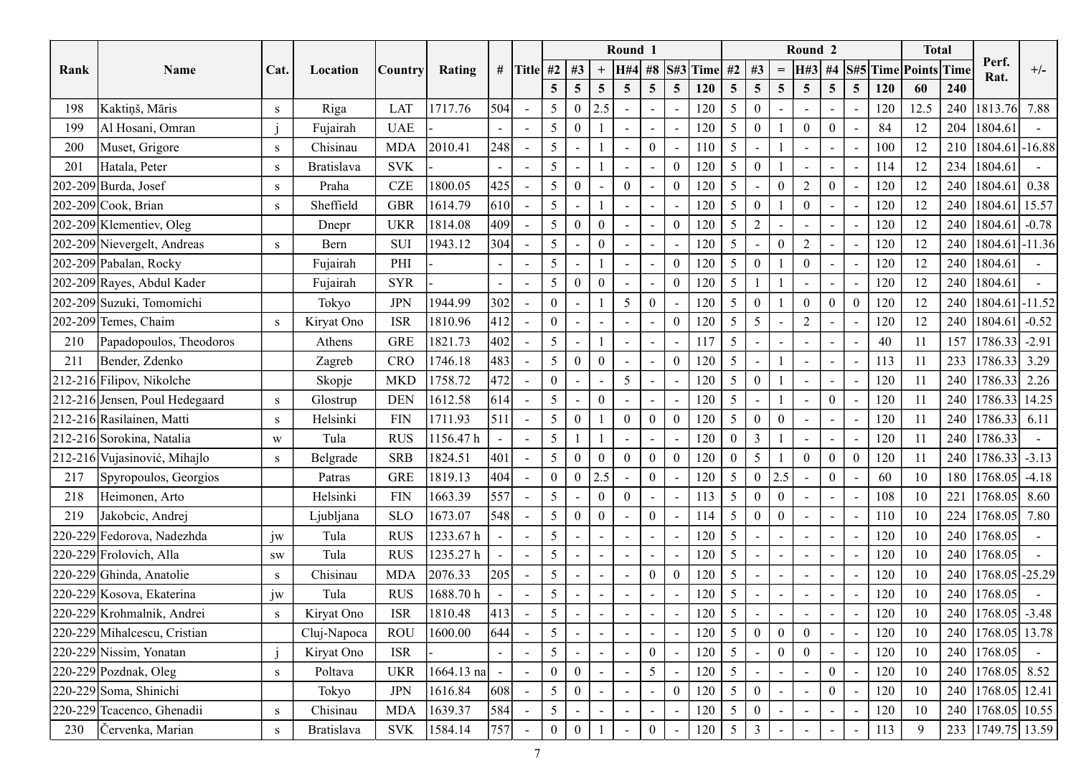|      |                                |              |                   |                             |                      |                          |                 |                |                          |                 | Round 1                  |                  |                 |                   |                                             |                          |                                              | Round <sub>2</sub>         |                |                                 |        | <b>Total</b> |                                        |                    |
|------|--------------------------------|--------------|-------------------|-----------------------------|----------------------|--------------------------|-----------------|----------------|--------------------------|-----------------|--------------------------|------------------|-----------------|-------------------|---------------------------------------------|--------------------------|----------------------------------------------|----------------------------|----------------|---------------------------------|--------|--------------|----------------------------------------|--------------------|
| Rank | Name                           | Cat.         | Location          | Country                     | Rating               |                          | # Title #2   #3 |                |                          |                 | <b>H#4</b>               |                  |                 | #8 $S$ #3 Time    | #2                                          | #3                       | $\displaystyle \qquad \qquad =\qquad \qquad$ | H#3                        | #4             | S#5 Time Points Time            |        |              | Perf.                                  | $+/-$              |
|      |                                |              |                   |                             |                      |                          |                 | 5 <sup>5</sup> | $\overline{5}$           | $5\overline{)}$ | $\overline{5}$           | 5 <sup>5</sup>   | $5\overline{)}$ | <b>120</b>        | $5\overline{)}$                             | $\overline{5}$           | $5\overline{)}$                              | 5 <sup>5</sup>             | $\overline{5}$ | 5 <sup>5</sup><br>120           | 60     | 240          | Rat.                                   |                    |
| 198  | Kaktiņš, Māris                 | S            | Riga              | <b>LAT</b>                  | 1717.76              | 504                      | $\sim$          | 5 <sup>5</sup> | $\bf{0}$                 | 2.5             | $\overline{\phantom{a}}$ |                  |                 | 120               | $\overline{5}$                              | $\mathbf{0}$             | $\sim$                                       |                            |                | 120                             | 12.5   | 240          | 1813.76 7.88                           |                    |
| 199  | Al Hosani, Omran               |              | Fujairah          | <b>UAE</b>                  |                      | $\blacksquare$           | $\sim$          | 5 <sup>5</sup> | $\overline{0}$           |                 | $\overline{\phantom{a}}$ |                  |                 | 120               | 5                                           | $\mathbf{0}$             |                                              | $\overline{0}$<br>$\Omega$ |                | 84                              | 12     | 204          | 1804.61                                |                    |
| 200  | Muset, Grigore                 | S            | Chisinau          | <b>MDA</b>                  | 2010.41              | 248                      | $\sim$          | 5 <sup>5</sup> | $\overline{\phantom{a}}$ |                 | $\overline{\phantom{a}}$ | $\overline{0}$   |                 | 110               | 5<br>$\overline{\phantom{a}}$               |                          |                                              |                            |                | 100                             | 12     | 210          | $ 1804.61 $ -16.88                     |                    |
| 201  | Hatala, Peter                  | S            | <b>Bratislava</b> | <b>SVK</b>                  |                      | $\overline{\phantom{0}}$ | $\sim$          | 5              |                          |                 |                          |                  |                 | 120               | 5                                           | $\theta$                 |                                              |                            |                | 114                             | 12     | 234          | 1804.61                                |                    |
|      | $[202-209]$ Burda, Josef       | S            | Praha             | $CZE$                       | 1800.05              | 425                      | $\sim$          | 5 <sup>5</sup> | $\bf{0}$                 |                 |                          |                  | $\theta$        | 120               | 5<br>$\overline{\phantom{a}}$               |                          | $\overline{0}$                               | 2<br>$\theta$              |                | 120<br>$\overline{\phantom{a}}$ | 12     | 240          | 1804.61                                | $\vert 0.38 \vert$ |
|      | 202-209 Cook, Brian            | S            | Sheffield         | <b>GBR</b>                  | 1614.79              | 610                      | $\sim$          | 5 <sup>5</sup> |                          |                 | $\blacksquare$           |                  |                 | 120               | $5\overline{)}$                             | $\overline{0}$           |                                              | $\overline{0}$             |                | 120<br>$\blacksquare$           | 12     | 240          | 1804.61 15.57                          |                    |
|      | 202-209 Klementiev, Oleg       |              | Dnepr             | <b>UKR</b>                  | 1814.08              | 409                      | $\sim$          | 5 <sup>5</sup> | $\overline{0}$           | $\theta$        | $\sim$                   |                  | $\theta$        | 120               | $5\overline{)}$<br>$\overline{2}$           |                          |                                              |                            |                | 120                             | 12     | 240          | 1804.61                                | $-0.78$            |
|      | 202-209 Nievergelt, Andreas    | S            | Bern              | <b>SUI</b>                  | 1943.12              | 304                      | $\sim$          | 5              |                          |                 | $\overline{\phantom{a}}$ |                  |                 | 120               | $\overline{5}$                              | $\overline{\phantom{a}}$ | $\theta$                                     | $\gamma$                   |                | 120                             | 12     | 240          | 1804.61 - 11.36                        |                    |
|      | 202-209 Pabalan, Rocky         |              | Fujairah          | PHI                         |                      | $\blacksquare$           | $\sim$          | 5              |                          |                 | $\blacksquare$           |                  | $\theta$        | 120               | 5                                           | $\mathbf{0}$             |                                              | $\theta$                   |                | 120                             | 12     | 240          | 1804.61                                |                    |
|      | 202-209 Rayes, Abdul Kader     |              | Fujairah          | <b>SYR</b>                  |                      | $\blacksquare$           | $\sim$          | 5 <sup>5</sup> | $\boldsymbol{0}$         |                 | $\overline{\phantom{0}}$ |                  | $\theta$        | 120               | $5\overline{)}$                             |                          |                                              |                            |                | 120                             | 12     | 240          | 1804.61                                |                    |
|      | 202-209 Suzuki, Tomomichi      |              | Tokyo             | $\rm JPN$                   | 1944.99              | 302                      | $\sim$          | $\overline{0}$ |                          |                 | $\overline{5}$           | $\mathbf{0}$     | $\sim$          | 120               | 5 <sup>5</sup><br>$\bf{0}$                  |                          |                                              | $\overline{0}$             | $\bf{0}$       | $\mathbf{0}$<br>120             | 12     | 240          | $1804.61$ -11.52                       |                    |
|      | 202-209 Temes, Chaim           | $\mathbf{s}$ | Kiryat Ono        | <b>ISR</b>                  | 1810.96              |                          | $ 412  -$       | $\overline{0}$ | $\sim$                   |                 | $\overline{\phantom{a}}$ |                  | $\Omega$        | 120               | $5 \mid$                                    | $5\overline{)}$          |                                              | $\overline{2}$             |                | 120                             | 12     |              | 240   1804.61   $-0.52$                |                    |
| 210  | Papadopoulos, Theodoros        |              | Athens            | <b>GRE</b>                  | 1821.73              | 402                      | $\sim$          | 5 <sup>5</sup> |                          |                 |                          |                  |                 | 117               | $5\overline{)}$                             |                          |                                              |                            |                | 40                              | 11     | 157          | $\left 1786.33\right $ -2.91           |                    |
| 211  | Bender, Zdenko                 |              | Zagreb            | CRO                         | 1746.18              | 483                      | $\sim$          | 5 <sup>5</sup> | $\overline{0}$           |                 |                          |                  | $\Omega$        | 120               | $5\overline{)}$                             |                          |                                              |                            |                | 113                             | 11     | 233          | 1786.33                                | 3.29               |
|      | 212-216 Filipov, Nikolche      |              | Skopje            | $\ensuremath{\mathsf{MKD}}$ | 1758.72              | 472                      | $\sim$          | $\overline{0}$ |                          |                 | 5 <sup>5</sup>           |                  |                 | 120               | $5\overline{)}$                             | $\boldsymbol{0}$         |                                              |                            |                | 120                             | 11     | 240          | 1786.33 2.26                           |                    |
|      | 212-216 Jensen, Poul Hedegaard | S            | Glostrup          | <b>DEN</b>                  | 1612.58              | 614                      | $\sim$          | 5 <sup>1</sup> | $\sim$                   |                 |                          |                  |                 | 120               | $5\overline{)}$                             |                          |                                              |                            | $\mathbf{0}$   | 120                             | 11     | 240          | $\left  \frac{1786.33}{14.25} \right $ |                    |
|      | 212-216 Rasilainen, Matti      | S            | Helsinki          | <b>FIN</b>                  | 1711.93              | 511                      | $\sim$          | 5 <sup>5</sup> | $\overline{0}$           |                 |                          | $\overline{0}$   |                 | 120               | $5\overline{)}$                             | $\mathbf{0}$             | $\overline{0}$                               |                            |                | 120                             | 11     | 240          | $ 1786.33 $ 6.11                       |                    |
|      | 212-216 Sorokina, Natalia      | W            | Tula              | <b>RUS</b>                  | 1156.47 h            | $\sim$                   | $\sim$          | $5 \mid$       | $\mathbf{1}$             |                 |                          |                  |                 | 120               | $\overline{0}$                              | $\overline{3}$           |                                              |                            |                | 120                             | 11     | 240          | 1786.33                                |                    |
|      | 212-216 Vujasinović, Mihajlo   | S            | Belgrade          | <b>SRB</b>                  | 1824.51              | 401                      | $\sim$          | 5 <sup>7</sup> | $\theta$                 |                 |                          | $\overline{0}$   | $\Omega$        | 120               | $\mathbf{0}$                                | 5                        |                                              | $\theta$                   | $\overline{0}$ | $\overline{0}$<br>120           | 11     |              | 240   1786.33   -3.13                  |                    |
| 217  | Spyropoulos, Georgios          |              | Patras            | <b>GRE</b>                  | 1819.13              | 404                      | $\sim$          |                | $0 \mid 0 \mid 2.5$      |                 | $\sim$                   | $\overline{0}$   |                 | $120 \mid 5 \mid$ |                                             | $0 \mid 2.5$             |                                              |                            | $\mathbf{0}$   | 60                              | $10\,$ | 180          | $ 1768.05  -4.18$                      |                    |
| 218  | Heimonen, Arto                 |              | Helsinki          | <b>FIN</b>                  | 1663.39              | 557                      | $\sim$          | 5 <sup>5</sup> |                          | $\Omega$        |                          |                  |                 | $113 \mid 5$      |                                             | $\overline{0}$           | $\overline{0}$                               |                            |                | 108                             | 10     | 221          | $ 1768.05 $ 8.60                       |                    |
| 219  | Jakobcic, Andrej               |              | Ljubljana         | <b>SLO</b>                  | 1673.07              | 548                      | $\sim$          | 5 <sup>5</sup> | $\boldsymbol{0}$         | $\overline{0}$  | $\sim$                   | $\boldsymbol{0}$ |                 | $114 \mid 5$      |                                             | $\overline{0}$           | $\overline{0}$                               |                            |                | 110                             | 10     | 224          | $ 1768.05 $ 7.80                       |                    |
|      | 220-229 Fedorova, Nadezhda     | jw           | Tula              | <b>RUS</b>                  | 1233.67h             | $\blacksquare$           | $\sim$          | 5 <sup>5</sup> |                          |                 | $\overline{\phantom{a}}$ |                  |                 | 120               | $5\overline{)}$<br>$\overline{\phantom{a}}$ |                          | $\sim$                                       |                            |                | 120                             | 10     |              | 240 1768.05                            |                    |
|      | 220-229 Frolovich, Alla        | ${\bf SW}$   | Tula              | <b>RUS</b>                  | 1235.27h             | $\overline{\phantom{a}}$ | $\sim$          | 5 <sup>5</sup> |                          |                 | $\blacksquare$           |                  |                 | 120               | $5\overline{)}$                             |                          |                                              |                            |                | 120                             | 10     | 240          | 1768.05                                |                    |
|      | 220-229 Ghinda, Anatolie       | S            | Chisinau          | <b>MDA</b>                  | 2076.33              | 205                      | $\sim$          | 5 <sup>5</sup> |                          |                 | $\overline{\phantom{a}}$ | $\overline{0}$   | $\Omega$        | 120               | $5\overline{)}$<br>$\overline{\phantom{a}}$ |                          | $\sim$                                       |                            |                | 120                             | 10     | 240          | $ 1768.05  - 25.29$                    |                    |
|      | 220-229 Kosova, Ekaterina      | jw           | Tula              | <b>RUS</b>                  | $1688.70~\mathrm{h}$ | $\blacksquare$           | $\sim$          | 5 <sup>5</sup> |                          |                 |                          |                  |                 | 120               | $5\overline{)}$                             |                          |                                              |                            |                | 120                             | 10     | 240          | 1768.05                                |                    |
|      | 220-229 Krohmalnik, Andrei     | $\mathbf{s}$ | Kiryat Ono        | <b>ISR</b>                  | 1810.48              | 413                      | $\sim$          | 5 <sup>5</sup> |                          |                 |                          |                  |                 | 120               | $5\overline{)}$                             |                          |                                              |                            |                | 120                             | 10     | 240          | $ 1768.05  -3.48$                      |                    |
|      | 220-229 Mihalcescu, Cristian   |              | Cluj-Napoca       | <b>ROU</b>                  | 1600.00              | 644                      | $\sim$          | 5 <sup>5</sup> |                          |                 |                          |                  |                 | 120               | $5\overline{)}$                             | $\mathbf{0}$             | $\mathbf{0}$                                 | $\overline{0}$             |                | 120                             | 10     | 240          | 1768.05 13.78                          |                    |
|      | 220-229 Nissim, Yonatan        |              | Kiryat Ono        | <b>ISR</b>                  |                      |                          | $\sim$          | 5 <sup>5</sup> |                          |                 |                          | $\mathbf{0}$     |                 | 120               | $5\overline{)}$                             |                          | $\overline{0}$                               | $\overline{0}$             |                | 120                             | $10\,$ | 240          | 1768.05                                |                    |
|      | 220-229 Pozdnak, Oleg          | S            | Poltava           | <b>UKR</b>                  | $1664.13$ na         | $\overline{\phantom{a}}$ | $\sim$          | $\overline{0}$ | $\bf{0}$                 |                 |                          | 5 <sup>1</sup>   |                 | 120               | 5 <sup>5</sup>                              |                          |                                              | $\Omega$                   |                | 120                             | 10     | 240          | 1768.05 8.52                           |                    |
|      | 220-229 Soma, Shinichi         |              | Tokyo             | <b>JPN</b>                  | 1616.84              | 608                      | $\sim$          | 5 <sup>5</sup> | $\mathbf{0}$             |                 |                          |                  | $\Omega$        | 120               | $5 \mid$                                    | $\mathbf{0}$             | $\sim$                                       |                            | $\theta$       | 120                             | $10\,$ | 240          | 1768.05 12.41                          |                    |
|      | 220-229 Teacenco, Ghenadii     | S            | Chisinau          | <b>MDA</b>                  | 1639.37              | 584                      | $\sim$          | 5 <sup>5</sup> |                          |                 |                          |                  |                 | 120               | 5 <sup>5</sup><br>$\overline{0}$            |                          |                                              |                            |                | 120                             | 10     | 240          | $ 1768.05 $ 10.55                      |                    |
|      | 230 Červenka, Marian           | S            | Bratislava        | <b>SVK</b>                  | 1584.14              | 757                      | $\sim$          | $\overline{0}$ | $\bf{0}$                 |                 |                          | $\overline{0}$   |                 | 120               | 5                                           | $\overline{3}$           |                                              |                            |                | 113                             | 9      |              | 233 1749.75 13.59                      |                    |
|      |                                |              |                   |                             |                      |                          |                 |                |                          |                 |                          |                  |                 |                   |                                             |                          |                                              |                            |                |                                 |        |              |                                        |                    |